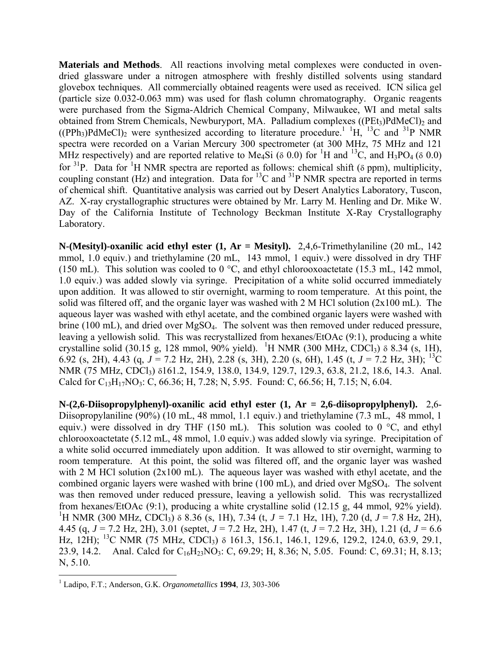**Materials and Methods**. All reactions involving metal complexes were conducted in ovendried glassware under a nitrogen atmosphere with freshly distilled solvents using standard glovebox techniques. All commercially obtained reagents were used as received. ICN silica gel (particle size 0.032-0.063 mm) was used for flash column chromatography. Organic reagents were purchased from the Sigma-Aldrich Chemical Company, Milwaukee, WI and metal salts obtained from Strem Chemicals, Newburyport, MA. Palladium complexes ((PEt<sub>3</sub>)PdMeCl)<sub>2</sub> and  $((PPh<sub>3</sub>)PdMeCl)<sub>2</sub>$  were synthesized according to literature procedure.<sup>1</sup> <sup>1</sup>H, <sup>13</sup>C and <sup>31</sup>P NMR spectra were recorded on a Varian Mercury 300 spectrometer (at 300 MHz, 75 MHz and 121 MHz respectively) and are reported relative to Me<sub>4</sub>Si ( $\delta$  0.0) for <sup>1</sup>H and <sup>13</sup>C, and H<sub>3</sub>PO<sub>4</sub> ( $\delta$  0.0) for <sup>31</sup>P. Data for <sup>1</sup>H NMR spectra are reported as follows: chemical shift ( $\delta$  ppm), multiplicity, coupling constant (Hz) and integration. Data for  $^{13}$ C and  $^{31}$ P NMR spectra are reported in terms of chemical shift. Quantitative analysis was carried out by Desert Analytics Laboratory, Tuscon, AZ. X-ray crystallographic structures were obtained by Mr. Larry M. Henling and Dr. Mike W. Day of the California Institute of Technology Beckman Institute X-Ray Crystallography Laboratory.

**N-(Mesityl)-oxanilic acid ethyl ester (1, Ar = Mesityl).** 2,4,6-Trimethylaniline (20 mL, 142 mmol, 1.0 equiv.) and triethylamine (20 mL, 143 mmol, 1 equiv.) were dissolved in dry THF (150 mL). This solution was cooled to  $0^{\circ}$ C, and ethyl chlorooxoactetate (15.3 mL, 142 mmol, 1.0 equiv.) was added slowly via syringe. Precipitation of a white solid occurred immediately upon addition. It was allowed to stir overnight, warming to room temperature. At this point, the solid was filtered off, and the organic layer was washed with 2 M HCl solution (2x100 mL). The aqueous layer was washed with ethyl acetate, and the combined organic layers were washed with brine (100 mL), and dried over MgSO4. The solvent was then removed under reduced pressure, leaving a yellowish solid. This was recrystallized from hexanes/EtOAc (9:1), producing a white crystalline solid (30.15 g, 128 mmol, 90% yield). <sup>1</sup>H NMR (300 MHz, CDCl<sub>3</sub>)  $\delta$  8.34 (s, 1H), 6.92 (s, 2H), 4.43 (q,  $J = 7.2$  Hz, 2H), 2.28 (s, 3H), 2.20 (s, 6H), 1.45 (t,  $J = 7.2$  Hz, 3H); <sup>13</sup>C NMR (75 MHz, CDCl<sub>3</sub>) δ161.2, 154.9, 138.0, 134.9, 129.7, 129.3, 63.8, 21.2, 18.6, 14.3. Anal. Calcd for  $C_{13}H_{17}NO_3$ : C, 66.36; H, 7.28; N, 5.95. Found: C, 66.56; H, 7.15; N, 6.04.

**N-(2,6-Diisopropylphenyl)-oxanilic acid ethyl ester (1, Ar = 2,6-diisopropylphenyl).** 2,6- Diisopropylaniline (90%) (10 mL, 48 mmol, 1.1 equiv.) and triethylamine (7.3 mL, 48 mmol, 1 equiv.) were dissolved in dry THF (150 mL). This solution was cooled to 0  $\degree$ C, and ethyl chlorooxoactetate (5.12 mL, 48 mmol, 1.0 equiv.) was added slowly via syringe. Precipitation of a white solid occurred immediately upon addition. It was allowed to stir overnight, warming to room temperature. At this point, the solid was filtered off, and the organic layer was washed with 2 M HCl solution (2x100 mL). The aqueous layer was washed with ethyl acetate, and the combined organic layers were washed with brine (100 mL), and dried over MgSO4. The solvent was then removed under reduced pressure, leaving a yellowish solid. This was recrystallized from hexanes/EtOAc (9:1), producing a white crystalline solid (12.15 g, 44 mmol, 92% yield). <sup>1</sup>H NMR (300 MHz, CDCl<sub>3</sub>) δ 8.36 (s, 1H), 7.34 (t, *J* = 7.1 Hz, 1H), 7.20 (d, *J* = 7.8 Hz, 2H), 4.45 (q, *J* = 7.2 Hz, 2H), 3.01 (septet, *J* = 7.2 Hz, 2H), 1.47 (t, *J* = 7.2 Hz, 3H), 1.21 (d, *J* = 6.6 Hz, 12H); <sup>13</sup>C NMR (75 MHz, CDCl<sub>3</sub>) δ 161.3, 156.1, 146.1, 129.6, 129.2, 124.0, 63.9, 29.1, 23.9, 14.2. Anal. Calcd for C<sub>16</sub>H<sub>23</sub>NO<sub>3</sub>: C, 69.29; H, 8.36; N, 5.05. Found: C, 69.31; H, 8.13; N, 5.10.

<u>.</u>

<span id="page-0-0"></span><sup>1</sup> Ladipo, F.T.; Anderson, G.K. *Organometallics* **1994**, *13*, 303-306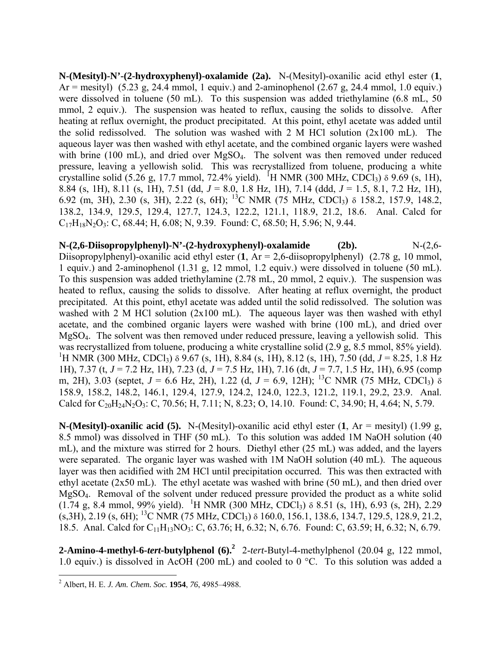**N-(Mesityl)-N'-(2-hydroxyphenyl)-oxalamide (2a).** N-(Mesityl)-oxanilic acid ethyl ester (**1**, Ar = mesityl)  $(5.23 \text{ g}, 24.4 \text{ mmol}, 1 \text{ equiv.})$  and 2-aminophenol  $(2.67 \text{ g}, 24.4 \text{ mmol}, 1.0 \text{ equiv.})$ were dissolved in toluene (50 mL). To this suspension was added triethylamine (6.8 mL, 50 mmol, 2 equiv.). The suspension was heated to reflux, causing the solids to dissolve. After heating at reflux overnight, the product precipitated. At this point, ethyl acetate was added until the solid redissolved. The solution was washed with 2 M HCl solution  $(2x100 \text{ mL})$ . The aqueous layer was then washed with ethyl acetate, and the combined organic layers were washed with brine (100 mL), and dried over MgSO<sub>4</sub>. The solvent was then removed under reduced pressure, leaving a yellowish solid. This was recrystallized from toluene, producing a white crystalline solid  $(5.26 \text{ g}, 17.7 \text{ mmol}, 72.4\% \text{ yield})$ . <sup>1</sup>H NMR  $(300 \text{ MHz}, \text{CDCl}_3)$   $\delta$  9.69 (s, 1H), 8.84 (s, 1H), 8.11 (s, 1H), 7.51 (dd, *J* = 8.0, 1.8 Hz, 1H), 7.14 (ddd, *J* = 1.5, 8.1, 7.2 Hz, 1H), 6.92 (m, 3H), 2.30 (s, 3H), 2.22 (s, 6H); <sup>13</sup>C NMR (75 MHz, CDCl<sub>3</sub>)  $\delta$  158.2, 157.9, 148.2, 138.2, 134.9, 129.5, 129.4, 127.7, 124.3, 122.2, 121.1, 118.9, 21.2, 18.6. Anal. Calcd for  $C_{17}H_{18}N_2O_3$ : C, 68.44; H, 6.08; N, 9.39. Found: C, 68.50; H, 5.96; N, 9.44.

**N-(2,6-Diisopropylphenyl)-N'-(2-hydroxyphenyl)-oxalamide (2b).** N-(2,6- Diisopropylphenyl)-oxanilic acid ethyl ester  $(1, Ar = 2.6$ -diisopropylphenyl)  $(2.78 \text{ g}, 10 \text{ mmol})$ , 1 equiv.) and 2-aminophenol (1.31 g, 12 mmol, 1.2 equiv.) were dissolved in toluene (50 mL). To this suspension was added triethylamine (2.78 mL, 20 mmol, 2 equiv.). The suspension was heated to reflux, causing the solids to dissolve. After heating at reflux overnight, the product precipitated. At this point, ethyl acetate was added until the solid redissolved. The solution was washed with 2 M HCl solution (2x100 mL). The aqueous layer was then washed with ethyl acetate, and the combined organic layers were washed with brine (100 mL), and dried over MgSO4. The solvent was then removed under reduced pressure, leaving a yellowish solid. This was recrystallized from toluene, producing a white crystalline solid (2.9 g, 8.5 mmol, 85% yield). <sup>1</sup>H NMR (300 MHz, CDCl<sub>3</sub>) δ 9.67 (s, 1H), 8.84 (s, 1H), 8.12 (s, 1H), 7.50 (dd, *J* = 8.25, 1.8 Hz 1H), 7.37 (t, *J* = 7.2 Hz, 1H), 7.23 (d, *J* = 7.5 Hz, 1H), 7.16 (dt, *J* = 7.7, 1.5 Hz, 1H), 6.95 (comp m, 2H), 3.03 (septet,  $J = 6.6$  Hz, 2H), 1.22 (d,  $J = 6.9$ , 12H); <sup>13</sup>C NMR (75 MHz, CDCl<sub>3</sub>) δ 158.9, 158.2, 148.2, 146.1, 129.4, 127.9, 124.2, 124.0, 122.3, 121.2, 119.1, 29.2, 23.9. Anal. Calcd for  $C_{20}H_{24}N_2O_3$ : C, 70.56; H, 7.11; N, 8.23; O, 14.10. Found: C, 34.90; H, 4.64; N, 5.79.

**N-(Mesityl)-oxanilic acid (5).** N-(Mesityl)-oxanilic acid ethyl ester (**1**, Ar = mesityl) (1.99 g, 8.5 mmol) was dissolved in THF (50 mL). To this solution was added 1M NaOH solution (40 mL), and the mixture was stirred for 2 hours. Diethyl ether (25 mL) was added, and the layers were separated. The organic layer was washed with 1M NaOH solution (40 mL). The aqueous layer was then acidified with 2M HCl until precipitation occurred. This was then extracted with ethyl acetate (2x50 mL). The ethyl acetate was washed with brine (50 mL), and then dried over MgSO4. Removal of the solvent under reduced pressure provided the product as a white solid  $(1.74 \text{ g}, 8.4 \text{ mmol}, 99\% \text{ yield})$ . <sup>1</sup>H NMR (300 MHz, CDCl<sub>3</sub>)  $\delta$  8.51 (s, 1H), 6.93 (s, 2H), 2.29  $($ s,3H), 2.19 (s, 6H); <sup>13</sup>C NMR (75 MHz, CDCl<sub>3</sub>) δ 160.0, 156.1, 138.6, 134.7, 129.5, 128.9, 21.2, 18.5. Anal. Calcd for C<sub>11</sub>H<sub>13</sub>NO<sub>3</sub>: C, 63.76; H, 6.32; N, 6.76. Found: C, 63.59; H, 6.32; N, 6.79.

**2-Amino-4-methyl-6-***tert***-butylphenol (6)[.2](#page-1-0)** 2-*tert*-Butyl-4-methylphenol (20.04 g, 122 mmol, 1.0 equiv.) is dissolved in AcOH (200 mL) and cooled to 0 °C. To this solution was added a

 $\overline{a}$ 

<span id="page-1-0"></span><sup>2</sup> Albert, H. E. *J. Am. Chem. Soc.* **1954**, *76*, 4985–4988.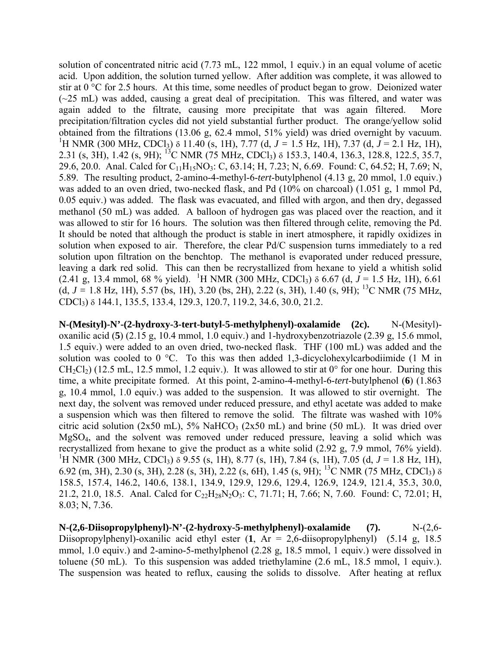solution of concentrated nitric acid (7.73 mL, 122 mmol, 1 equiv.) in an equal volume of acetic acid. Upon addition, the solution turned yellow. After addition was complete, it was allowed to stir at 0 °C for 2.5 hours. At this time, some needles of product began to grow. Deionized water  $(\sim 25 \text{ mL})$  was added, causing a great deal of precipitation. This was filtered, and water was again added to the filtrate, causing more precipitate that was again filtered. More precipitation/filtration cycles did not yield substantial further product. The orange/yellow solid obtained from the filtrations (13.06 g, 62.4 mmol, 51% yield) was dried overnight by vacuum. <sup>1</sup>H NMR (300 MHz, CDCl<sub>3</sub>) δ 11.40 (s, 1H), 7.77 (d, *J* = 1.5 Hz, 1H), 7.37 (d, *J* = 2.1 Hz, 1H), 2.31 (s, 3H), 1.42 (s, 9H); 13C NMR (75 MHz, CDCl3) δ 153.3, 140.4, 136.3, 128.8, 122.5, 35.7, 29.6, 20.0. Anal. Calcd for C<sub>11</sub>H<sub>15</sub>NO<sub>3</sub>: C, 63.14; H, 7.23; N, 6.69. Found: C, 64.52; H, 7.69; N, 5.89. The resulting product, 2-amino-4-methyl-6-*tert*-butylphenol (4.13 g, 20 mmol, 1.0 equiv.) was added to an oven dried, two-necked flask, and Pd (10% on charcoal) (1.051 g, 1 mmol Pd, 0.05 equiv.) was added. The flask was evacuated, and filled with argon, and then dry, degassed methanol (50 mL) was added. A balloon of hydrogen gas was placed over the reaction, and it was allowed to stir for 16 hours. The solution was then filtered through celite, removing the Pd. It should be noted that although the product is stable in inert atmosphere, it rapidly oxidizes in solution when exposed to air. Therefore, the clear Pd/C suspension turns immediately to a red solution upon filtration on the benchtop. The methanol is evaporated under reduced pressure, leaving a dark red solid. This can then be recrystallized from hexane to yield a whitish solid  $(2.41 \text{ g}, 13.4 \text{ mmol}, 68 \text{ % yield}).$ <sup>1</sup>H NMR  $(300 \text{ MHz}, \text{CDCl}_3)$   $\delta$  6.67  $(d, J = 1.5 \text{ Hz}, 1\text{H}), 6.61$ (d,  $J = 1.8$  Hz, 1H), 5.57 (bs, 1H), 3.20 (bs, 2H), 2.22 (s, 3H), 1.40 (s, 9H); <sup>13</sup>C NMR (75 MHz, CDCl3) δ 144.1, 135.5, 133.4, 129.3, 120.7, 119.2, 34.6, 30.0, 21.2.

**N-(Mesityl)-N'-(2-hydroxy-3-tert-butyl-5-methylphenyl)-oxalamide (2c).** N-(Mesityl) oxanilic acid (**5**) (2.15 g, 10.4 mmol, 1.0 equiv.) and 1-hydroxybenzotriazole (2.39 g, 15.6 mmol, 1.5 equiv.) were added to an oven dried, two-necked flask. THF (100 mL) was added and the solution was cooled to  $0^{\circ}$ C. To this was then added 1,3-dicyclohexylcarbodiimide (1 M in  $CH_2Cl_2$ ) (12.5 mL, 12.5 mmol, 1.2 equiv.). It was allowed to stir at  $0^{\circ}$  for one hour. During this time, a white precipitate formed. At this point, 2-amino-4-methyl-6-*tert*-butylphenol (**6**) (1.863 g, 10.4 mmol, 1.0 equiv.) was added to the suspension. It was allowed to stir overnight. The next day, the solvent was removed under reduced pressure, and ethyl acetate was added to make a suspension which was then filtered to remove the solid. The filtrate was washed with 10% citric acid solution (2x50 mL), 5% NaHCO<sub>3</sub> (2x50 mL) and brine (50 mL). It was dried over MgSO4, and the solvent was removed under reduced pressure, leaving a solid which was recrystallized from hexane to give the product as a white solid (2.92 g, 7.9 mmol, 76% yield). <sup>1</sup>H NMR (300 MHz, CDCl<sub>3</sub>) δ 9.55 (s, 1H), 8.77 (s, 1H), 7.84 (s, 1H), 7.05 (d, *J* = 1.8 Hz, 1H), 6.92 (m, 3H), 2.30 (s, 3H), 2.28 (s, 3H), 2.22 (s, 6H), 1.45 (s, 9H); 13C NMR (75 MHz, CDCl3) <sup>δ</sup> 158.5, 157.4, 146.2, 140.6, 138.1, 134.9, 129.9, 129.6, 129.4, 126.9, 124.9, 121.4, 35.3, 30.0, 21.2, 21.0, 18.5. Anal. Calcd for  $C_{22}H_{28}N_2O_3$ : C, 71.71; H, 7.66; N, 7.60. Found: C, 72.01; H, 8.03; N, 7.36.

**N-(2,6-Diisopropylphenyl)-N'-(2-hydroxy-5-methylphenyl)-oxalamide (7).** N-(2,6- Diisopropylphenyl)-oxanilic acid ethyl ester (**1**, Ar = 2,6-diisopropylphenyl) (5.14 g, 18.5 mmol, 1.0 equiv.) and 2-amino-5-methylphenol (2.28 g, 18.5 mmol, 1 equiv.) were dissolved in toluene (50 mL). To this suspension was added triethylamine (2.6 mL, 18.5 mmol, 1 equiv.). The suspension was heated to reflux, causing the solids to dissolve. After heating at reflux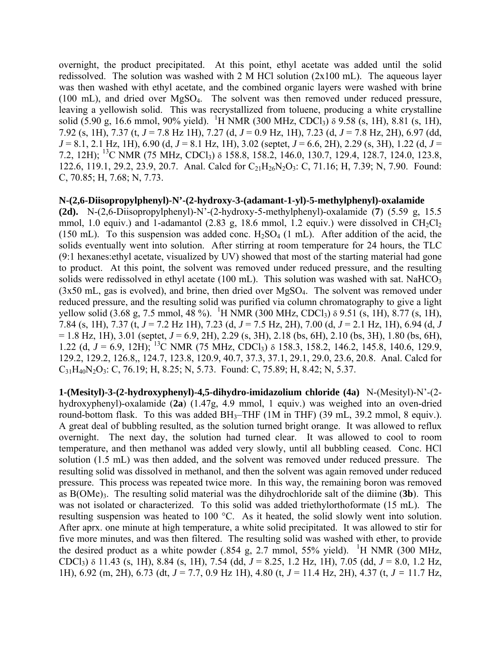overnight, the product precipitated. At this point, ethyl acetate was added until the solid redissolved. The solution was washed with 2 M HCl solution (2x100 mL). The aqueous layer was then washed with ethyl acetate, and the combined organic layers were washed with brine (100 mL), and dried over MgSO4. The solvent was then removed under reduced pressure, leaving a yellowish solid. This was recrystallized from toluene, producing a white crystalline solid  $(5.90 \text{ g}, 16.6 \text{ mmol}, 90\% \text{ yield})$ . <sup>1</sup>H NMR (300 MHz, CDCl<sub>3</sub>)  $\delta$  9.58 (s, 1H), 8.81 (s, 1H), 7.92 (s, 1H), 7.37 (t, *J* = 7.8 Hz 1H), 7.27 (d, *J* = 0.9 Hz, 1H), 7.23 (d, *J* = 7.8 Hz, 2H), 6.97 (dd, *J* = 8.1, 2.1 Hz, 1H), 6.90 (d, *J* = 8.1 Hz, 1H), 3.02 (septet, *J* = 6.6, 2H), 2.29 (s, 3H), 1.22 (d, *J* = 7.2, 12H); <sup>13</sup>C NMR (75 MHz, CDCl<sub>3</sub>) δ 158.8, 158.2, 146.0, 130.7, 129.4, 128.7, 124.0, 123.8, 122.6, 119.1, 29.2, 23.9, 20.7. Anal. Calcd for C<sub>21</sub>H<sub>26</sub>N<sub>2</sub>O<sub>3</sub>: C, 71.16; H, 7.39; N, 7.90. Found: C, 70.85; H, 7.68; N, 7.73.

### **N-(2,6-Diisopropylphenyl)-N'-(2-hydroxy-3-(adamant-1-yl)-5-methylphenyl)-oxalamide**

**(2d).** N-(2,6-Diisopropylphenyl)-N'-(2-hydroxy-5-methylphenyl)-oxalamide (**7**) (5.59 g, 15.5 mmol, 1.0 equiv.) and 1-adamantol (2.83 g, 18.6 mmol, 1.2 equiv.) were dissolved in  $CH_2Cl_2$ (150 mL). To this suspension was added conc.  $H_2SO_4$  (1 mL). After addition of the acid, the solids eventually went into solution. After stirring at room temperature for 24 hours, the TLC (9:1 hexanes:ethyl acetate, visualized by UV) showed that most of the starting material had gone to product. At this point, the solvent was removed under reduced pressure, and the resulting solids were redissolved in ethyl acetate  $(100 \text{ mL})$ . This solution was washed with sat. NaHCO<sub>3</sub> (3x50 mL, gas is evolved), and brine, then dried over MgSO4. The solvent was removed under reduced pressure, and the resulting solid was purified via column chromatography to give a light yellow solid (3.68 g, 7.5 mmol, 48 %). <sup>1</sup>H NMR (300 MHz, CDCl<sub>3</sub>)  $\delta$  9.51 (s, 1H), 8.77 (s, 1H), 7.84 (s, 1H), 7.37 (t, *J* = 7.2 Hz 1H), 7.23 (d, *J* = 7.5 Hz, 2H), 7.00 (d, *J* = 2.1 Hz, 1H), 6.94 (d, *J*  $= 1.8$  Hz, 1H), 3.01 (septet,  $J = 6.9$ , 2H), 2.29 (s, 3H), 2.18 (bs, 6H), 2.10 (bs, 3H), 1.80 (bs, 6H), 1.22 (d, *J* = 6.9, 12H); 13C NMR (75 MHz, CDCl3) δ 158.3, 158.2, 146.2, 145.8, 140.6, 129.9, 129.2, 129.2, 126.8,, 124.7, 123.8, 120.9, 40.7, 37.3, 37.1, 29.1, 29.0, 23.6, 20.8. Anal. Calcd for  $C_{31}H_{40}N_2O_3$ : C, 76.19; H, 8.25; N, 5.73. Found: C, 75.89; H, 8.42; N, 5.37.

**1-(Mesityl)-3-(2-hydroxyphenyl)-4,5-dihydro-imidazolium chloride (4a)** N-(Mesityl)-N'-(2 hydroxyphenyl)-oxalamide (**2a**) (1.47g, 4.9 mmol, 1 equiv.) was weighed into an oven-dried round-bottom flask. To this was added  $BH_3$ -THF (1M in THF) (39 mL, 39.2 mmol, 8 equiv.). A great deal of bubbling resulted, as the solution turned bright orange. It was allowed to reflux overnight. The next day, the solution had turned clear. It was allowed to cool to room temperature, and then methanol was added very slowly, until all bubbling ceased. Conc. HCl solution (1.5 mL) was then added, and the solvent was removed under reduced pressure. The resulting solid was dissolved in methanol, and then the solvent was again removed under reduced pressure. This process was repeated twice more. In this way, the remaining boron was removed as B(OMe)3. The resulting solid material was the dihydrochloride salt of the diimine (**3b**). This was not isolated or characterized. To this solid was added triethylorthoformate (15 mL). The resulting suspension was heated to 100 °C. As it heated, the solid slowly went into solution. After aprx. one minute at high temperature, a white solid precipitated. It was allowed to stir for five more minutes, and was then filtered. The resulting solid was washed with ether, to provide the desired product as a white powder  $(.854 \text{ g}, 2.7 \text{ mmol}, 55\% \text{ yield})$ . <sup>1</sup>H NMR  $(300 \text{ MHz},$ CDCl3) δ 11.43 (s, 1H), 8.84 (s, 1H), 7.54 (dd, *J* = 8.25, 1.2 Hz, 1H), 7.05 (dd, *J* = 8.0, 1.2 Hz, 1H), 6.92 (m, 2H), 6.73 (dt, *J* = 7.7, 0.9 Hz 1H), 4.80 (t, *J* = 11.4 Hz, 2H), 4.37 (t, *J =* 11.7 Hz,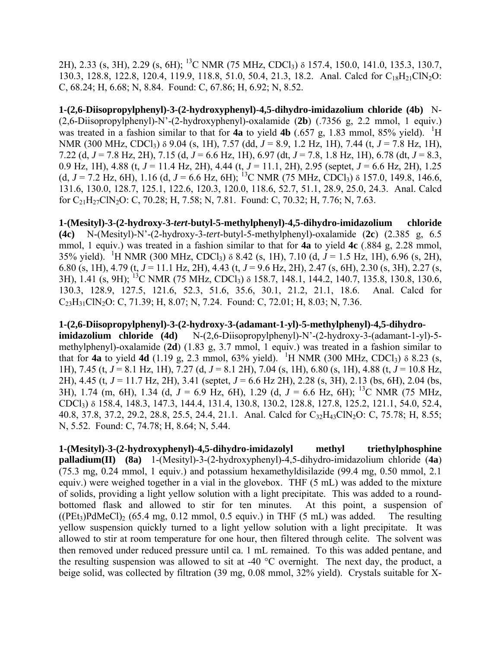2H), 2.33 (s, 3H), 2.29 (s, 6H); 13C NMR (75 MHz, CDCl3) δ 157.4, 150.0, 141.0, 135.3, 130.7, 130.3, 128.8, 122.8, 120.4, 119.9, 118.8, 51.0, 50.4, 21.3, 18.2. Anal. Calcd for C<sub>18</sub>H<sub>21</sub>ClN<sub>2</sub>O: C, 68.24; H, 6.68; N, 8.84. Found: C, 67.86; H, 6.92; N, 8.52.

**1-(2,6-Diisopropylphenyl)-3-(2-hydroxyphenyl)-4,5-dihydro-imidazolium chloride (4b)** N- (2,6-Diisopropylphenyl)-N'-(2-hydroxyphenyl)-oxalamide (**2b**) (.7356 g, 2.2 mmol, 1 equiv.) was treated in a fashion similar to that for **4a** to yield **4b** (.657 g, 1.83 mmol, 85% yield). <sup>1</sup>H NMR (300 MHz, CDCl<sub>3</sub>) δ 9.04 (s, 1H), 7.57 (dd, *J* = 8.9, 1.2 Hz, 1H), 7.44 (t, *J* = 7.8 Hz, 1H), 7.22 (d, *J* = 7.8 Hz, 2H), 7.15 (d, *J* = 6.6 Hz, 1H), 6.97 (dt, *J* = 7.8, 1.8 Hz, 1H), 6.78 (dt, *J* = 8.3, 0.9 Hz, 1H), 4.88 (t, *J* = 11.4 Hz, 2H), 4.44 (t, *J* = 11.1, 2H), 2.95 (septet, *J* = 6.6 Hz, 2H), 1.25 (d,  $J = 7.2$  Hz, 6H), 1.16 (d,  $J = 6.6$  Hz, 6H); <sup>13</sup>C NMR (75 MHz, CDCl<sub>3</sub>)  $\delta$  157.0, 149.8, 146.6, 131.6, 130.0, 128.7, 125.1, 122.6, 120.3, 120.0, 118.6, 52.7, 51.1, 28.9, 25.0, 24.3. Anal. Calcd for  $C_{21}H_{27}CIN_2O$ : C, 70.28; H, 7.58; N, 7.81. Found: C, 70.32; H, 7.76; N, 7.63.

**1-(Mesityl)-3-(2-hydroxy-3-***tert***-butyl-5-methylphenyl)-4,5-dihydro-imidazolium chloride (4c)** N-(Mesityl)-N'-(2-hydroxy-3-*tert*-butyl-5-methylphenyl)-oxalamide (**2c**) (2.385 g, 6.5 mmol, 1 equiv.) was treated in a fashion similar to that for **4a** to yield **4c** (.884 g, 2.28 mmol, 35% yield). <sup>1</sup>H NMR (300 MHz, CDCl<sub>3</sub>)  $\delta$  8.42 (s, 1H), 7.10 (d,  $J = 1.5$  Hz, 1H), 6.96 (s, 2H), 6.80 (s, 1H), 4.79 (t, *J* = 11.1 Hz, 2H), 4.43 (t, *J* = 9.6 Hz, 2H), 2.47 (s, 6H), 2.30 (s, 3H), 2.27 (s, 3H), 1.41 (s, 9H); 13C NMR (75 MHz, CDCl3) δ 158.7, 148.1, 144.2, 140.7, 135.8, 130.8, 130.6, 130.3, 128.9, 127.5, 121.6, 52.3, 51.6, 35.6, 30.1, 21.2, 21.1, 18.6. Anal. Calcd for  $C_{23}H_{31}CN_2O$ : C, 71.39; H, 8.07; N, 7.24. Found: C, 72.01; H, 8.03; N, 7.36.

**1-(2,6-Diisopropylphenyl)-3-(2-hydroxy-3-(adamant-1-yl)-5-methylphenyl)-4,5-dihydroimidazolium chloride** (4d) N-(2,6-Diisopropylphenyl)-N'-(2-hydroxy-3-(adamant-1-yl)-5methylphenyl)-oxalamide (**2d**) (1.83 g, 3.7 mmol, 1 equiv.) was treated in a fashion similar to that for **4a** to yield **4d** (1.19 g, 2.3 mmol, 63% yield). <sup>1</sup>H NMR (300 MHz, CDCl<sub>3</sub>)  $\delta$  8.23 (s, 1H), 7.45 (t, *J* = 8.1 Hz, 1H), 7.27 (d, *J* = 8.1 2H), 7.04 (s, 1H), 6.80 (s, 1H), 4.88 (t, *J* = 10.8 Hz, 2H), 4.45 (t, *J* = 11.7 Hz, 2H), 3.41 (septet, *J* = 6.6 Hz 2H), 2.28 (s, 3H), 2.13 (bs, 6H), 2.04 (bs, 3H), 1.74 (m, 6H), 1.34 (d, *J* = 6.9 Hz, 6H), 1.29 (d, *J* = 6.6 Hz, 6H); 13C NMR (75 MHz, CDCl3) δ 158.4, 148.3, 147.3, 144.4, 131.4, 130.8, 130.2, 128.8, 127.8, 125.2, 121.1, 54.0, 52.4, 40.8, 37.8, 37.2, 29.2, 28.8, 25.5, 24.4, 21.1. Anal. Calcd for C32H43ClN2O: C, 75.78; H, 8.55; N, 5.52. Found: C, 74.78; H, 8.64; N, 5.44.

**1-(Mesityl)-3-(2-hydroxyphenyl)-4,5-dihydro-imidazolyl methyl triethylphosphine palladium(II) (8a)** 1-(Mesityl)-3-(2-hydroxyphenyl)-4,5-dihydro-imidazolium chloride (**4a**) (75.3 mg, 0.24 mmol, 1 equiv.) and potassium hexamethyldisilazide (99.4 mg, 0.50 mmol, 2.1 equiv.) were weighed together in a vial in the glovebox. THF (5 mL) was added to the mixture of solids, providing a light yellow solution with a light precipitate. This was added to a roundbottomed flask and allowed to stir for ten minutes. At this point, a suspension of  $((PEt<sub>3</sub>)PdMeCl)<sub>2</sub>$  (65.4 mg, 0.12 mmol, 0.5 equiv.) in THF (5 mL) was added. The resulting yellow suspension quickly turned to a light yellow solution with a light precipitate. It was allowed to stir at room temperature for one hour, then filtered through celite. The solvent was then removed under reduced pressure until ca. 1 mL remained. To this was added pentane, and the resulting suspension was allowed to sit at -40 °C overnight. The next day, the product, a beige solid, was collected by filtration (39 mg, 0.08 mmol, 32% yield). Crystals suitable for X-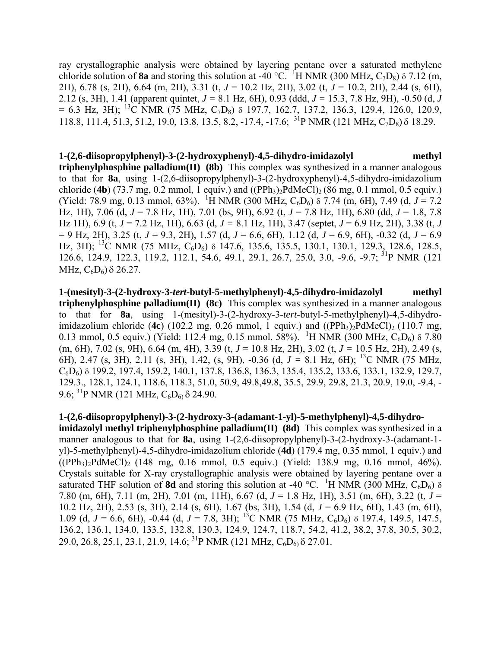ray crystallographic analysis were obtained by layering pentane over a saturated methylene chloride solution of **8a** and storing this solution at -40 °C. <sup>1</sup>H NMR (300 MHz, C<sub>7</sub>D<sub>8</sub>)  $\delta$  7.12 (m, 2H), 6.78 (s, 2H), 6.64 (m, 2H), 3.31 (t, *J* = 10.2 Hz, 2H), 3.02 (t, *J* = 10.2, 2H), 2.44 (s, 6H), 2.12 (s, 3H), 1.41 (apparent quintet, *J =* 8.1 Hz, 6H), 0.93 (ddd, *J =* 15.3, 7.8 Hz, 9H), -0.50 (d, *J*  $= 6.3$  Hz, 3H); <sup>13</sup>C NMR (75 MHz, C<sub>7</sub>D<sub>8</sub>)  $\delta$  197.7, 162.7, 137.2, 136.3, 129.4, 126.0, 120.9, 118.8, 111.4, 51.3, 51.2, 19.0, 13.8, 13.5, 8.2, -17.4, -17.6; <sup>31</sup>P NMR (121 MHz, C<sub>7</sub>D<sub>8</sub>)  $\delta$  18.29.

**1-(2,6-diisopropylphenyl)-3-(2-hydroxyphenyl)-4,5-dihydro-imidazolyl methyl triphenylphosphine palladium(II) (8b)** This complex was synthesized in a manner analogous to that for **8a**, using 1-(2,6-diisopropylphenyl)-3-(2-hydroxyphenyl)-4,5-dihydro-imidazolium chloride (4b) (73.7 mg, 0.2 mmol, 1 equiv.) and  $((PPh_3)_2PdMeCl)_2$  (86 mg, 0.1 mmol, 0.5 equiv.) (Yield: 78.9 mg, 0.13 mmol, 63%). <sup>1</sup>H NMR (300 MHz, C<sub>6</sub>D<sub>6</sub>)  $\delta$  7.74 (m, 6H), 7.49 (d,  $J = 7.2$ Hz, 1H), 7.06 (d,  $J = 7.8$  Hz, 1H), 7.01 (bs, 9H), 6.92 (t,  $J = 7.8$  Hz, 1H), 6.80 (dd,  $J = 1.8$ , 7.8 Hz 1H), 6.9 (t, *J* = 7.2 Hz, 1H), 6.63 (d, *J =* 8.1 Hz, 1H), 3.47 (septet, *J* = 6.9 Hz, 2H), 3.38 (t, *J*  = 9 Hz, 2H), 3.25 (t, *J* = 9.3, 2H), 1.57 (d, *J* = 6.6, 6H), 1.12 (d, *J* = 6.9, 6H), -0.32 (d, *J* = 6.9 Hz, 3H); <sup>13</sup>C NMR (75 MHz, C<sub>6</sub>D<sub>6</sub>) δ 147.6, 135.6, 135.5, 130.1, 130.1, 129.3, 128.6, 128.5, 126.6, 124.9, 122.3, 119.2, 112.1, 54.6, 49.1, 29.1, 26.7, 25.0, 3.0, -9.6, -9.7; 31P NMR (121 MHz,  $C_6D_6$ ) δ 26.27.

**1-(mesityl)-3-(2-hydroxy-3-***tert-***butyl-5-methylphenyl)-4,5-dihydro-imidazolyl methyl triphenylphosphine palladium(II) (8c)** This complex was synthesized in a manner analogous to that for **8a**, using 1-(mesityl)-3-(2-hydroxy-3-*tert*-butyl-5-methylphenyl)-4,5-dihydroimidazolium chloride (4c) (102.2 mg, 0.26 mmol, 1 equiv.) and  $((PPh<sub>3</sub>),PdMeCl)$ <sub>2</sub> (110.7 mg, 0.13 mmol, 0.5 equiv.) (Yield: 112.4 mg, 0.15 mmol, 58%). <sup>1</sup>H NMR (300 MHz, C<sub>6</sub>D<sub>6</sub>) δ 7.80 (m, 6H), 7.02 (s, 9H), 6.64 (m, 4H), 3.39 (t,  $J = 10.8$  Hz, 2H), 3.02 (t,  $J = 10.5$  Hz, 2H), 2.49 (s, 6H), 2.47 (s, 3H), 2.11 (s, 3H), 1.42, (s, 9H), -0.36 (d, *J =* 8.1 Hz, 6H); 13C NMR (75 MHz, C6D6) δ 199.2, 197.4, 159.2, 140.1, 137.8, 136.8, 136.3, 135.4, 135.2, 133.6, 133.1, 132.9, 129.7, 129.3., 128.1, 124.1, 118.6, 118.3, 51.0, 50.9, 49.8,49.8, 35.5, 29.9, 29.8, 21.3, 20.9, 19.0, -9.4, - 9.6; <sup>31</sup>P NMR (121 MHz,  $C_6D_6$ )  $\delta$  24.90.

### **1-(2,6-diisopropylphenyl)-3-(2-hydroxy-3-(adamant-1-yl)-5-methylphenyl)-4,5-dihydro-**

**imidazolyl methyl triphenylphosphine palladium(II) (8d)** This complex was synthesized in a manner analogous to that for **8a**, using 1-(2,6-diisopropylphenyl)-3-(2-hydroxy-3-(adamant-1 yl)-5-methylphenyl)-4,5-dihydro-imidazolium chloride (**4d**) (179.4 mg, 0.35 mmol, 1 equiv.) and  $((PPh<sub>3</sub>)<sub>2</sub>PdMeCl)<sub>2</sub>$  (148 mg, 0.16 mmol, 0.5 equiv.) (Yield: 138.9 mg, 0.16 mmol, 46%). Crystals suitable for X-ray crystallographic analysis were obtained by layering pentane over a saturated THF solution of 8d and storing this solution at -40 °C. <sup>1</sup>H NMR (300 MHz, C<sub>6</sub>D<sub>6</sub>)  $\delta$ 7.80 (m, 6H), 7.11 (m, 2H), 7.01 (m, 11H), 6.67 (d, *J* = 1.8 Hz, 1H), 3.51 (m, 6H), 3.22 (t, *J* = 10.2 Hz, 2H), 2.53 (s, 3H), 2.14 (s, *6*H), 1.67 (bs, 3H), 1.54 (d, *J* = 6.9 Hz, 6H), 1.43 (m, 6H), 1.09 (d,  $J = 6.6$ , 6H), -0.44 (d,  $J = 7.8$ , 3H); <sup>13</sup>C NMR (75 MHz, C<sub>6</sub>D<sub>6</sub>)  $\delta$  197.4, 149.5, 147.5, 136.2, 136.1, 134.0, 133.5, 132.8, 130.3, 124.9, 124.7, 118.7, 54.2, 41.2, 38.2, 37.8, 30.5, 30.2, 29.0, 26.8, 25.1, 23.1, 21.9, 14.6; <sup>31</sup>P NMR (121 MHz,  $C_6D_6$ )  $\delta$  27.01.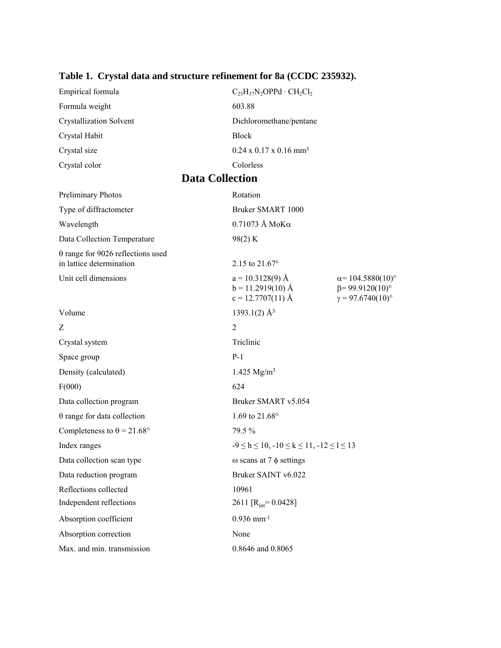| Empirical formula                                                    | $C_{25}H_{37}N_2OPPd \cdot CH_2Cl_2$                             |                                                                                            |  |  |
|----------------------------------------------------------------------|------------------------------------------------------------------|--------------------------------------------------------------------------------------------|--|--|
| Formula weight                                                       | 603.88                                                           |                                                                                            |  |  |
| <b>Crystallization Solvent</b>                                       | Dichloromethane/pentane                                          |                                                                                            |  |  |
| Crystal Habit                                                        | <b>Block</b>                                                     |                                                                                            |  |  |
| Crystal size                                                         | $0.24 \times 0.17 \times 0.16$ mm <sup>3</sup>                   |                                                                                            |  |  |
| Crystal color                                                        | Colorless                                                        |                                                                                            |  |  |
| <b>Data Collection</b>                                               |                                                                  |                                                                                            |  |  |
| Preliminary Photos                                                   | Rotation                                                         |                                                                                            |  |  |
| Type of diffractometer                                               | <b>Bruker SMART 1000</b>                                         |                                                                                            |  |  |
| Wavelength                                                           | $0.71073$ Å MoK $\alpha$                                         |                                                                                            |  |  |
| Data Collection Temperature                                          | 98(2) K                                                          |                                                                                            |  |  |
| $\theta$ range for 9026 reflections used<br>in lattice determination | 2.15 to $21.67^{\circ}$                                          |                                                                                            |  |  |
| Unit cell dimensions                                                 | $a = 10.3128(9)$ Å<br>$b = 11.2919(10)$ Å<br>$c = 12.7707(11)$ Å | $\alpha$ = 104.5880(10) <sup>o</sup><br>$\beta$ = 99.9120(10)°<br>$\gamma = 97.6740(10)$ ° |  |  |
| Volume                                                               | $1393.1(2)$ Å <sup>3</sup>                                       |                                                                                            |  |  |
| Ζ                                                                    | $\overline{2}$                                                   |                                                                                            |  |  |
| Crystal system                                                       | Triclinic                                                        |                                                                                            |  |  |
| Space group                                                          | $P-1$                                                            |                                                                                            |  |  |
| Density (calculated)                                                 | 1.425 $Mg/m^3$                                                   |                                                                                            |  |  |
| F(000)                                                               | 624                                                              |                                                                                            |  |  |
| Data collection program                                              | Bruker SMART v5.054                                              |                                                                                            |  |  |
| $\theta$ range for data collection                                   | 1.69 to 21.68°                                                   |                                                                                            |  |  |
| Completeness to $\theta$ = 21.68°                                    | 79.5 %                                                           |                                                                                            |  |  |
| Index ranges                                                         | $-9 \le h \le 10$ , $-10 \le k \le 11$ , $-12 \le l \le 13$      |                                                                                            |  |  |
| Data collection scan type                                            | $\omega$ scans at 7 $\phi$ settings                              |                                                                                            |  |  |
| Data reduction program                                               | Bruker SAINT v6.022                                              |                                                                                            |  |  |
| Reflections collected                                                | 10961                                                            |                                                                                            |  |  |
| Independent reflections                                              | 2611 [ $R_{int} = 0.0428$ ]                                      |                                                                                            |  |  |
| Absorption coefficient                                               | $0.936$ mm <sup>-1</sup>                                         |                                                                                            |  |  |
| Absorption correction                                                | None                                                             |                                                                                            |  |  |
| Max. and min. transmission                                           | 0.8646 and 0.8065                                                |                                                                                            |  |  |

## **Table 1. Crystal data and structure refinement for 8a (CCDC 235932).**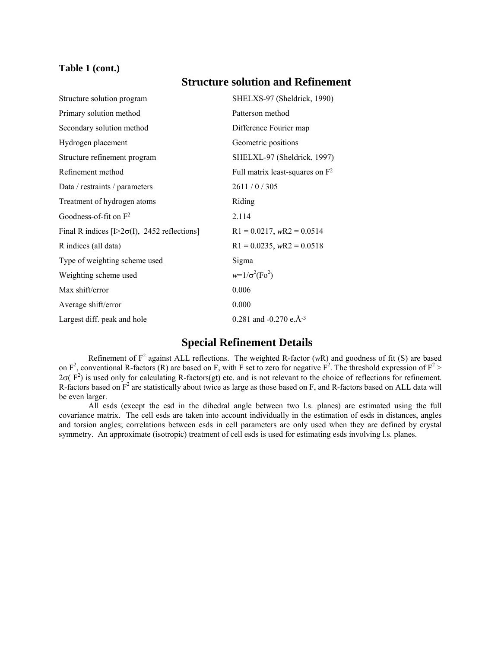#### **Table 1 (cont.)**

## **Structure solution and Refinement**

| Structure solution program                           | SHELXS-97 (Sheldrick, 1990)             |
|------------------------------------------------------|-----------------------------------------|
| Primary solution method                              | Patterson method                        |
| Secondary solution method                            | Difference Fourier map                  |
| Hydrogen placement                                   | Geometric positions                     |
| Structure refinement program                         | SHELXL-97 (Sheldrick, 1997)             |
| Refinement method                                    | Full matrix least-squares on $F^2$      |
| Data / restraints / parameters                       | 2611/0/305                              |
| Treatment of hydrogen atoms                          | Riding                                  |
| Goodness-of-fit on $F^2$                             | 2.114                                   |
| Final R indices $[I>2\sigma(I)]$ , 2452 reflections] | $R1 = 0.0217$ , $wR2 = 0.0514$          |
| R indices (all data)                                 | $R1 = 0.0235$ , $wR2 = 0.0518$          |
| Type of weighting scheme used                        | Sigma                                   |
| Weighting scheme used                                | $w=1/\sigma^2(F\sigma^2)$               |
| Max shift/error                                      | 0.006                                   |
| Average shift/error                                  | 0.000                                   |
| Largest diff. peak and hole                          | 0.281 and -0.270 e. $\AA$ <sup>-3</sup> |

## **Special Refinement Details**

Refinement of  $F^2$  against ALL reflections. The weighted R-factor ( $wR$ ) and goodness of fit (S) are based on  $F^2$ , conventional R-factors (R) are based on F, with F set to zero for negative  $F^2$ . The threshold expression of  $F^2$  >  $2\sigma$ ( $F^2$ ) is used only for calculating R-factors(gt) etc. and is not relevant to the choice of reflections for refinement. R-factors based on  $F^2$  are statistically about twice as large as those based on F, and R-factors based on ALL data will be even larger.

All esds (except the esd in the dihedral angle between two l.s. planes) are estimated using the full covariance matrix. The cell esds are taken into account individually in the estimation of esds in distances, angles and torsion angles; correlations between esds in cell parameters are only used when they are defined by crystal symmetry. An approximate (isotropic) treatment of cell esds is used for estimating esds involving l.s. planes.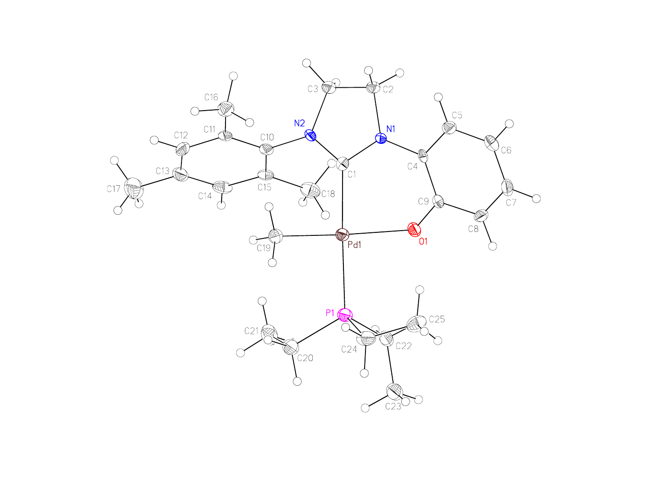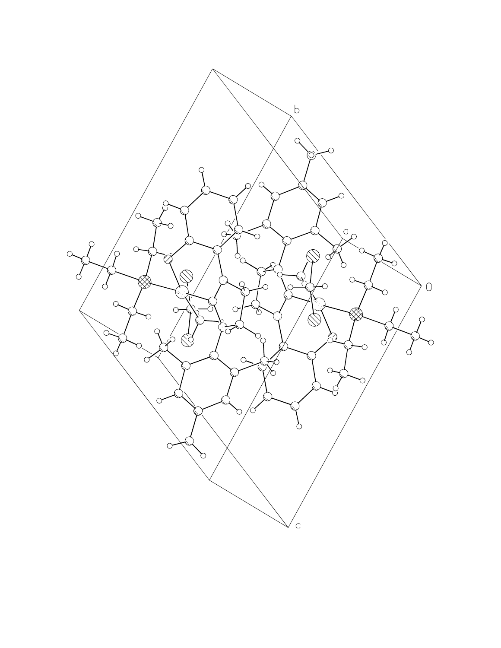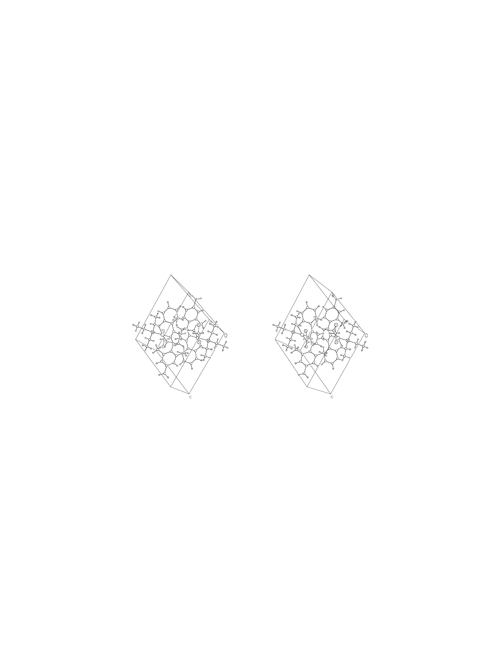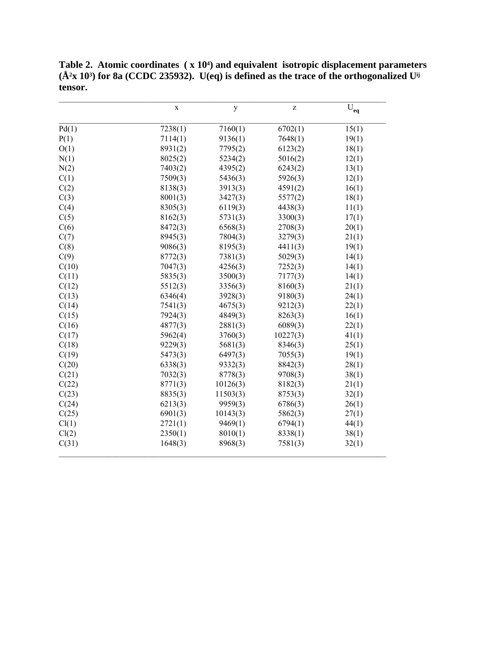**Table 2. Atomic coordinates ( x 104) and equivalent isotropic displacement parameters**   $(\AA^2$ x  $10^3)$  for 8a (CCDC 235932). U(eq) is defined as the trace of the orthogonalized U<sup>ij</sup> **tensor.**

|       | $\mathbf X$ | y        | $\mathbf{Z}% ^{T}=\mathbf{Z}^{T}\times\mathbf{Z}^{T}$ | $\rm \overline{U}_{eq}$ |
|-------|-------------|----------|-------------------------------------------------------|-------------------------|
| Pd(1) | 7238(1)     | 7160(1)  | 6702(1)                                               | 15(1)                   |
| P(1)  | 7114(1)     | 9136(1)  | 7648(1)                                               | 19(1)                   |
| O(1)  | 8931(2)     | 7795(2)  | 6123(2)                                               | 18(1)                   |
| N(1)  | 8025(2)     | 5234(2)  | 5016(2)                                               | 12(1)                   |
| N(2)  | 7403(2)     | 4395(2)  | 6243(2)                                               | 13(1)                   |
| C(1)  | 7509(3)     | 5436(3)  | 5926(3)                                               | 12(1)                   |
| C(2)  | 8138(3)     | 3913(3)  | 4591(2)                                               | 16(1)                   |
| C(3)  | 8001(3)     | 3427(3)  | 5577(2)                                               | 18(1)                   |
| C(4)  | 8305(3)     | 6119(3)  | 4438(3)                                               | 11(1)                   |
| C(5)  | 8162(3)     | 5731(3)  | 3300(3)                                               | 17(1)                   |
| C(6)  | 8472(3)     | 6568(3)  | 2708(3)                                               | 20(1)                   |
| C(7)  | 8945(3)     | 7804(3)  | 3279(3)                                               | 21(1)                   |
| C(8)  | 9086(3)     | 8195(3)  | 4411(3)                                               | 19(1)                   |
| C(9)  | 8772(3)     | 7381(3)  | 5029(3)                                               | 14(1)                   |
| C(10) | 7047(3)     | 4256(3)  | 7252(3)                                               | 14(1)                   |
| C(11) | 5835(3)     | 3500(3)  | 7177(3)                                               | 14(1)                   |
| C(12) | 5512(3)     | 3356(3)  | 8160(3)                                               | 21(1)                   |
| C(13) | 6346(4)     | 3928(3)  | 9180(3)                                               | 24(1)                   |
| C(14) | 7541(3)     | 4675(3)  | 9212(3)                                               | 22(1)                   |
| C(15) | 7924(3)     | 4849(3)  | 8263(3)                                               | 16(1)                   |
| C(16) | 4877(3)     | 2881(3)  | 6089(3)                                               | 22(1)                   |
| C(17) | 5962(4)     | 3760(3)  | 10227(3)                                              | 41(1)                   |
| C(18) | 9229(3)     | 5681(3)  | 8346(3)                                               | 25(1)                   |
| C(19) | 5473(3)     | 6497(3)  | 7055(3)                                               | 19(1)                   |
| C(20) | 6338(3)     | 9332(3)  | 8842(3)                                               | 28(1)                   |
| C(21) | 7032(3)     | 8778(3)  | 9708(3)                                               | 38(1)                   |
| C(22) | 8771(3)     | 10126(3) | 8182(3)                                               | 21(1)                   |
| C(23) | 8835(3)     | 11503(3) | 8753(3)                                               | 32(1)                   |
| C(24) | 6213(3)     | 9959(3)  | 6786(3)                                               | 26(1)                   |
| C(25) | 6901(3)     | 10143(3) | 5862(3)                                               | 27(1)                   |
| Cl(1) | 2721(1)     | 9469(1)  | 6794(1)                                               | 44(1)                   |
| Cl(2) | 2350(1)     | 8010(1)  | 8338(1)                                               | 38(1)                   |
| C(31) | 1648(3)     | 8968(3)  | 7581(3)                                               | 32(1)                   |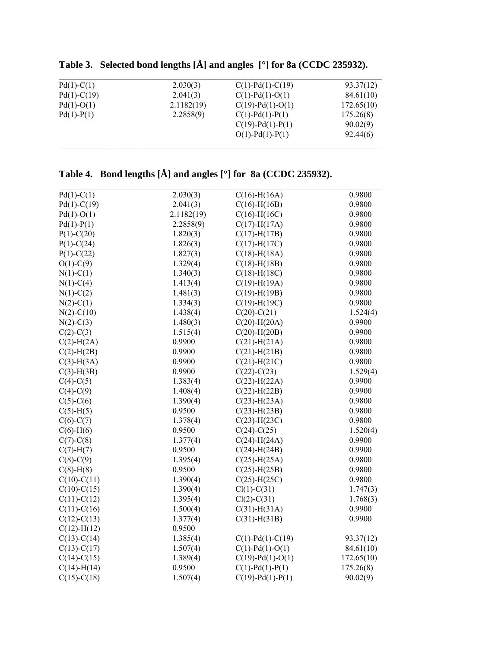| $Pd(1)-C(1)$   | 2.030(3)   | $C(1)$ -Pd $(1)$ -C $(19)$ | 93.37(12)  |
|----------------|------------|----------------------------|------------|
| $Pd(1)-C(19)$  | 2.041(3)   | $C(1)$ -Pd $(1)$ -O $(1)$  | 84.61(10)  |
| $Pd(1)-O(1)$   | 2.1182(19) | $C(19)$ -Pd(1)-O(1)        | 172.65(10) |
| $Pd(1) - P(1)$ | 2.2858(9)  | $C(1)$ -Pd $(1)$ -P $(1)$  | 175.26(8)  |
|                |            | $C(19)$ -Pd $(1)$ -P $(1)$ | 90.02(9)   |
|                |            | $O(1)$ -Pd $(1)$ -P $(1)$  | 92.44(6)   |

**Table 3. Selected bond lengths [Å] and angles [°] for 8a (CCDC 235932).**

# **Table 4. Bond lengths [Å] and angles [°] for 8a (CCDC 235932).**

| $Pd(1)-C(1)$      | 2.030(3)   | $C(16) - H(16A)$           | 0.9800     |
|-------------------|------------|----------------------------|------------|
| $Pd(1)-C(19)$     | 2.041(3)   | $C(16) - H(16B)$           | 0.9800     |
| $Pd(1)-O(1)$      | 2.1182(19) | $C(16) - H(16C)$           | 0.9800     |
| $Pd(1) - P(1)$    | 2.2858(9)  | $C(17) - H(17A)$           | 0.9800     |
| $P(1)-C(20)$      | 1.820(3)   | $C(17)$ -H $(17B)$         | 0.9800     |
| $P(1)-C(24)$      | 1.826(3)   | $C(17)$ -H $(17C)$         | 0.9800     |
| $P(1)-C(22)$      | 1.827(3)   | $C(18)$ -H(18A)            | 0.9800     |
| $O(1)$ -C(9)      | 1.329(4)   | $C(18) - H(18B)$           | 0.9800     |
| $N(1)-C(1)$       | 1.340(3)   | $C(18) - H(18C)$           | 0.9800     |
| $N(1)-C(4)$       | 1.413(4)   | $C(19) - H(19A)$           | 0.9800     |
| $N(1)-C(2)$       | 1.481(3)   | $C(19) - H(19B)$           | 0.9800     |
| $N(2)-C(1)$       | 1.334(3)   | $C(19) - H(19C)$           | 0.9800     |
| $N(2)-C(10)$      | 1.438(4)   | $C(20)-C(21)$              | 1.524(4)   |
| $N(2) - C(3)$     | 1.480(3)   | $C(20)$ -H $(20A)$         | 0.9900     |
| $C(2)-C(3)$       | 1.515(4)   | $C(20)$ -H $(20B)$         | 0.9900     |
| $C(2)-H(2A)$      | 0.9900     | $C(21)$ -H $(21A)$         | 0.9800     |
| $C(2)-H(2B)$      | 0.9900     | $C(21) - H(21B)$           | 0.9800     |
| $C(3)-H(3A)$      | 0.9900     | $C(21)$ -H(21C)            | 0.9800     |
| $C(3)-H(3B)$      | 0.9900     | $C(22)-C(23)$              | 1.529(4)   |
| $C(4)-C(5)$       | 1.383(4)   | $C(22)$ -H $(22A)$         | 0.9900     |
| $C(4)-C(9)$       | 1.408(4)   | $C(22) - H(22B)$           | 0.9900     |
| $C(5)-C(6)$       | 1.390(4)   | $C(23)$ -H $(23A)$         | 0.9800     |
| $C(5)-H(5)$       | 0.9500     | $C(23) - H(23B)$           | 0.9800     |
| $C(6)-C(7)$       | 1.378(4)   | $C(23)$ -H $(23C)$         | 0.9800     |
| $C(6)-H(6)$       | 0.9500     | $C(24)-C(25)$              | 1.520(4)   |
| $C(7)$ - $C(8)$   | 1.377(4)   | $C(24)$ -H $(24A)$         | 0.9900     |
| $C(7)-H(7)$       | 0.9500     | $C(24)$ -H $(24B)$         | 0.9900     |
| $C(8)-C(9)$       | 1.395(4)   | $C(25)$ -H $(25A)$         | 0.9800     |
| $C(8)-H(8)$       | 0.9500     | $C(25)$ -H $(25B)$         | 0.9800     |
| $C(10)-C(11)$     | 1.390(4)   | $C(25)$ -H $(25C)$         | 0.9800     |
| $C(10)-C(15)$     | 1.390(4)   | $Cl(1)-C(31)$              | 1.747(3)   |
| $C(11)-C(12)$     | 1.395(4)   | $Cl(2)-C(31)$              | 1.768(3)   |
| $C(11)-C(16)$     | 1.500(4)   | $C(31) - H(31A)$           | 0.9900     |
| $C(12)-C(13)$     | 1.377(4)   | $C(31) - H(31B)$           | 0.9900     |
| $C(12)$ -H $(12)$ | 0.9500     |                            |            |
| $C(13)-C(14)$     | 1.385(4)   | $C(1)$ -Pd $(1)$ -C $(19)$ | 93.37(12)  |
| $C(13)-C(17)$     | 1.507(4)   | $C(1)$ -Pd(1)-O(1)         | 84.61(10)  |
| $C(14)-C(15)$     | 1.389(4)   | $C(19)$ -Pd(1)-O(1)        | 172.65(10) |
| $C(14)$ -H $(14)$ | 0.9500     | $C(1)$ -Pd(1)-P(1)         | 175.26(8)  |
| $C(15)-C(18)$     | 1.507(4)   | $C(19)$ -Pd(1)-P(1)        | 90.02(9)   |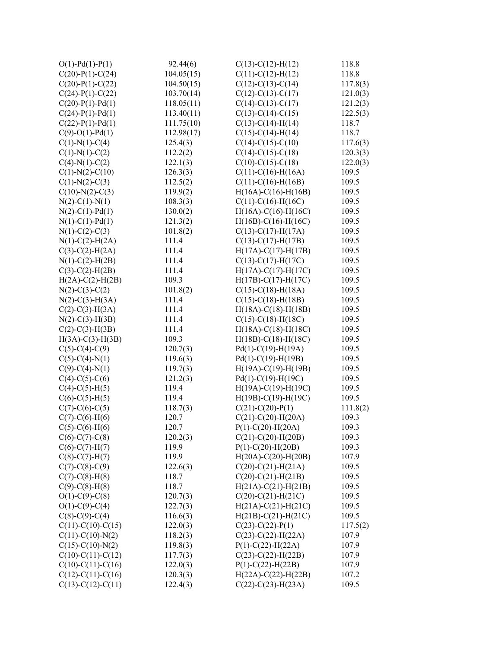| $C(20)$ -P(1)-C(24)<br>104.05(15)<br>$C(11)-C(12)-H(12)$<br>118.8<br>104.50(15)<br>$C(20) - P(1) - C(22)$<br>$C(12)-C(13)-C(14)$<br>117.8(3)<br>103.70(14)<br>$C(24)-P(1)-C(22)$<br>$C(12)-C(13)-C(17)$<br>121.0(3)<br>118.05(11)<br>$C(14)-C(13)-C(17)$<br>121.2(3)<br>$C(20) - P(1) - Pd(1)$<br>113.40(11)<br>$C(13)-C(14)-C(15)$<br>122.5(3)<br>$C(24) - P(1) - Pd(1)$<br>111.75(10)<br>$C(13)-C(14)-H(14)$<br>118.7<br>$C(22) - P(1) - Pd(1)$<br>112.98(17)<br>118.7<br>$C(9)-O(1)-Pd(1)$<br>$C(15)-C(14)-H(14)$<br>125.4(3)<br>$C(1)-N(1)-C(4)$<br>$C(14)-C(15)-C(10)$<br>117.6(3)<br>$C(14)-C(15)-C(18)$<br>$C(1)-N(1)-C(2)$<br>112.2(2)<br>120.3(3)<br>122.1(3)<br>$C(10)-C(15)-C(18)$<br>122.0(3)<br>$C(4)-N(1)-C(2)$<br>109.5<br>$C(1)-N(2)-C(10)$<br>126.3(3)<br>$C(11)-C(16)-H(16A)$<br>109.5<br>$C(1)-N(2)-C(3)$<br>112.5(2)<br>$C(11)-C(16)-H(16B)$<br>119.9(2)<br>109.5<br>$C(10)-N(2)-C(3)$<br>$H(16A)-C(16)-H(16B)$<br>108.3(3)<br>109.5<br>$N(2)$ -C(1)- $N(1)$<br>$C(11)-C(16)-H(16C)$<br>109.5<br>$N(2)-C(1)-Pd(1)$<br>130.0(2)<br>$H(16A)-C(16)-H(16C)$<br>121.3(2)<br>109.5<br>$N(1)-C(1)-Pd(1)$<br>$H(16B)-C(16)-H(16C)$<br>$C(13)-C(17)-H(17A)$<br>109.5<br>$N(1)-C(2)-C(3)$<br>101.8(2)<br>109.5<br>$N(1)-C(2)-H(2A)$<br>111.4<br>$C(13)-C(17)-H(17B)$<br>109.5<br>$C(3)-C(2)-H(2A)$<br>111.4<br>$H(17A)-C(17)-H(17B)$<br>109.5<br>$N(1)-C(2)-H(2B)$<br>111.4<br>$C(13)-C(17)-H(17C)$<br>109.5<br>$C(3)-C(2)-H(2B)$<br>111.4<br>$H(17A)-C(17)-H(17C)$<br>$H(17B)-C(17)-H(17C)$<br>109.5<br>$H(2A)-C(2)-H(2B)$<br>109.3<br>$C(15)-C(18)-H(18A)$<br>109.5<br>$N(2)-C(3)-C(2)$<br>101.8(2)<br>$C(15)-C(18)-H(18B)$<br>109.5<br>$N(2)$ -C(3)-H(3A)<br>111.4<br>109.5<br>$C(2)-C(3)-H(3A)$<br>111.4<br>$H(18A)-C(18)-H(18B)$<br>109.5<br>$N(2)-C(3)-H(3B)$<br>111.4<br>$C(15)-C(18)-H(18C)$<br>109.5<br>$C(2)-C(3)-H(3B)$<br>111.4<br>$H(18A)-C(18)-H(18C)$<br>109.5<br>$H(3A)-C(3)-H(3B)$<br>109.3<br>$H(18B)-C(18)-H(18C)$<br>109.5<br>$C(5)$ -C(4)-C(9)<br>120.7(3)<br>$Pd(1)-C(19)-H(19A)$<br>$Pd(1)-C(19)-H(19B)$<br>109.5<br>$C(5)$ -C(4)-N(1)<br>119.6(3)<br>$H(19A)-C(19)-H(19B)$<br>109.5<br>$C(9)$ -C(4)-N(1)<br>119.7(3)<br>109.5<br>$C(4)-C(5)-C(6)$<br>121.2(3)<br>$Pd(1)-C(19)-H(19C)$<br>119.4<br>109.5<br>$C(4)-C(5)-H(5)$<br>$H(19A)-C(19)-H(19C)$<br>119.4<br>109.5<br>$C(6)-C(5)-H(5)$<br>$H(19B)-C(19)-H(19C)$<br>$C(21) - C(20) - P(1)$<br>$C(7)$ -C(6)-C(5)<br>118.7(3)<br>111.8(2)<br>$C(21)$ - $C(20)$ - $H(20A)$<br>$C(7)-C(6)-H(6)$<br>120.7<br>109.3<br>$P(1) - C(20) - H(20A)$<br>$C(5)-C(6)-H(6)$<br>120.7<br>109.3<br>$C(21)$ - $C(20)$ - $H(20B)$<br>109.3<br>$C(6)-C(7)-C(8)$<br>120.2(3)<br>$P(1) - C(20) - H(20B)$<br>$C(6)-C(7)-H(7)$<br>119.9<br>109.3<br>119.9<br>$H(20A)-C(20)-H(20B)$<br>$C(8)-C(7)-H(7)$<br>107.9<br>$C(20)$ - $C(21)$ - $H(21A)$<br>$C(7)$ -C(8)-C(9)<br>122.6(3)<br>109.5<br>$C(20) - C(21) - H(21B)$<br>$C(7)$ -C(8)-H(8)<br>109.5<br>118.7<br>$C(9)$ -C(8)-H(8)<br>118.7<br>$H(21A)-C(21)-H(21B)$<br>109.5<br>$O(1)$ -C(9)-C(8)<br>$C(20)$ - $C(21)$ - $H(21C)$<br>109.5<br>120.7(3)<br>$O(1)$ -C(9)-C(4)<br>$H(21A)-C(21)-H(21C)$<br>109.5<br>122.7(3)<br>$C(8)$ -C(9)-C(4)<br>$H(21B)-C(21)-H(21C)$<br>109.5<br>116.6(3)<br>$C(23)-C(22)-P(1)$<br>$C(11)-C(10)-C(15)$<br>122.0(3)<br>117.5(2)<br>$C(11)-C(10)-N(2)$<br>118.2(3)<br>$C(23)-C(22)-H(22A)$<br>107.9<br>$C(15)-C(10)-N(2)$<br>119.8(3)<br>$P(1) - C(22) - H(22A)$<br>107.9<br>$C(10)-C(11)-C(12)$<br>117.7(3)<br>$C(23)-C(22)-H(22B)$<br>107.9<br>$C(10)-C(11)-C(16)$<br>122.0(3)<br>$P(1) - C(22) - H(22B)$<br>107.9<br>$C(12)-C(11)-C(16)$<br>120.3(3)<br>$H(22A)-C(22)-H(22B)$<br>107.2 | $O(1)$ -Pd $(1)$ -P $(1)$ | 92.44(6) | $C(13)-C(12)-H(12)$      | 118.8 |
|-----------------------------------------------------------------------------------------------------------------------------------------------------------------------------------------------------------------------------------------------------------------------------------------------------------------------------------------------------------------------------------------------------------------------------------------------------------------------------------------------------------------------------------------------------------------------------------------------------------------------------------------------------------------------------------------------------------------------------------------------------------------------------------------------------------------------------------------------------------------------------------------------------------------------------------------------------------------------------------------------------------------------------------------------------------------------------------------------------------------------------------------------------------------------------------------------------------------------------------------------------------------------------------------------------------------------------------------------------------------------------------------------------------------------------------------------------------------------------------------------------------------------------------------------------------------------------------------------------------------------------------------------------------------------------------------------------------------------------------------------------------------------------------------------------------------------------------------------------------------------------------------------------------------------------------------------------------------------------------------------------------------------------------------------------------------------------------------------------------------------------------------------------------------------------------------------------------------------------------------------------------------------------------------------------------------------------------------------------------------------------------------------------------------------------------------------------------------------------------------------------------------------------------------------------------------------------------------------------------------------------------------------------------------------------------------------------------------------------------------------------------------------------------------------------------------------------------------------------------------------------------------------------------------------------------------------------------------------------------------------------------------------------------------------------------------------------------------------------------------------------------------------------------------------------------------------------------------------------------------------------------------------------------------------------------------------------------------------------------------------------------------------------------------------------------------------------------------------------------------------------------------------------------------------------------------------------------------------------------------------------------------|---------------------------|----------|--------------------------|-------|
|                                                                                                                                                                                                                                                                                                                                                                                                                                                                                                                                                                                                                                                                                                                                                                                                                                                                                                                                                                                                                                                                                                                                                                                                                                                                                                                                                                                                                                                                                                                                                                                                                                                                                                                                                                                                                                                                                                                                                                                                                                                                                                                                                                                                                                                                                                                                                                                                                                                                                                                                                                                                                                                                                                                                                                                                                                                                                                                                                                                                                                                                                                                                                                                                                                                                                                                                                                                                                                                                                                                                                                                                                                         |                           |          |                          |       |
|                                                                                                                                                                                                                                                                                                                                                                                                                                                                                                                                                                                                                                                                                                                                                                                                                                                                                                                                                                                                                                                                                                                                                                                                                                                                                                                                                                                                                                                                                                                                                                                                                                                                                                                                                                                                                                                                                                                                                                                                                                                                                                                                                                                                                                                                                                                                                                                                                                                                                                                                                                                                                                                                                                                                                                                                                                                                                                                                                                                                                                                                                                                                                                                                                                                                                                                                                                                                                                                                                                                                                                                                                                         |                           |          |                          |       |
|                                                                                                                                                                                                                                                                                                                                                                                                                                                                                                                                                                                                                                                                                                                                                                                                                                                                                                                                                                                                                                                                                                                                                                                                                                                                                                                                                                                                                                                                                                                                                                                                                                                                                                                                                                                                                                                                                                                                                                                                                                                                                                                                                                                                                                                                                                                                                                                                                                                                                                                                                                                                                                                                                                                                                                                                                                                                                                                                                                                                                                                                                                                                                                                                                                                                                                                                                                                                                                                                                                                                                                                                                                         |                           |          |                          |       |
|                                                                                                                                                                                                                                                                                                                                                                                                                                                                                                                                                                                                                                                                                                                                                                                                                                                                                                                                                                                                                                                                                                                                                                                                                                                                                                                                                                                                                                                                                                                                                                                                                                                                                                                                                                                                                                                                                                                                                                                                                                                                                                                                                                                                                                                                                                                                                                                                                                                                                                                                                                                                                                                                                                                                                                                                                                                                                                                                                                                                                                                                                                                                                                                                                                                                                                                                                                                                                                                                                                                                                                                                                                         |                           |          |                          |       |
|                                                                                                                                                                                                                                                                                                                                                                                                                                                                                                                                                                                                                                                                                                                                                                                                                                                                                                                                                                                                                                                                                                                                                                                                                                                                                                                                                                                                                                                                                                                                                                                                                                                                                                                                                                                                                                                                                                                                                                                                                                                                                                                                                                                                                                                                                                                                                                                                                                                                                                                                                                                                                                                                                                                                                                                                                                                                                                                                                                                                                                                                                                                                                                                                                                                                                                                                                                                                                                                                                                                                                                                                                                         |                           |          |                          |       |
|                                                                                                                                                                                                                                                                                                                                                                                                                                                                                                                                                                                                                                                                                                                                                                                                                                                                                                                                                                                                                                                                                                                                                                                                                                                                                                                                                                                                                                                                                                                                                                                                                                                                                                                                                                                                                                                                                                                                                                                                                                                                                                                                                                                                                                                                                                                                                                                                                                                                                                                                                                                                                                                                                                                                                                                                                                                                                                                                                                                                                                                                                                                                                                                                                                                                                                                                                                                                                                                                                                                                                                                                                                         |                           |          |                          |       |
|                                                                                                                                                                                                                                                                                                                                                                                                                                                                                                                                                                                                                                                                                                                                                                                                                                                                                                                                                                                                                                                                                                                                                                                                                                                                                                                                                                                                                                                                                                                                                                                                                                                                                                                                                                                                                                                                                                                                                                                                                                                                                                                                                                                                                                                                                                                                                                                                                                                                                                                                                                                                                                                                                                                                                                                                                                                                                                                                                                                                                                                                                                                                                                                                                                                                                                                                                                                                                                                                                                                                                                                                                                         |                           |          |                          |       |
|                                                                                                                                                                                                                                                                                                                                                                                                                                                                                                                                                                                                                                                                                                                                                                                                                                                                                                                                                                                                                                                                                                                                                                                                                                                                                                                                                                                                                                                                                                                                                                                                                                                                                                                                                                                                                                                                                                                                                                                                                                                                                                                                                                                                                                                                                                                                                                                                                                                                                                                                                                                                                                                                                                                                                                                                                                                                                                                                                                                                                                                                                                                                                                                                                                                                                                                                                                                                                                                                                                                                                                                                                                         |                           |          |                          |       |
|                                                                                                                                                                                                                                                                                                                                                                                                                                                                                                                                                                                                                                                                                                                                                                                                                                                                                                                                                                                                                                                                                                                                                                                                                                                                                                                                                                                                                                                                                                                                                                                                                                                                                                                                                                                                                                                                                                                                                                                                                                                                                                                                                                                                                                                                                                                                                                                                                                                                                                                                                                                                                                                                                                                                                                                                                                                                                                                                                                                                                                                                                                                                                                                                                                                                                                                                                                                                                                                                                                                                                                                                                                         |                           |          |                          |       |
|                                                                                                                                                                                                                                                                                                                                                                                                                                                                                                                                                                                                                                                                                                                                                                                                                                                                                                                                                                                                                                                                                                                                                                                                                                                                                                                                                                                                                                                                                                                                                                                                                                                                                                                                                                                                                                                                                                                                                                                                                                                                                                                                                                                                                                                                                                                                                                                                                                                                                                                                                                                                                                                                                                                                                                                                                                                                                                                                                                                                                                                                                                                                                                                                                                                                                                                                                                                                                                                                                                                                                                                                                                         |                           |          |                          |       |
|                                                                                                                                                                                                                                                                                                                                                                                                                                                                                                                                                                                                                                                                                                                                                                                                                                                                                                                                                                                                                                                                                                                                                                                                                                                                                                                                                                                                                                                                                                                                                                                                                                                                                                                                                                                                                                                                                                                                                                                                                                                                                                                                                                                                                                                                                                                                                                                                                                                                                                                                                                                                                                                                                                                                                                                                                                                                                                                                                                                                                                                                                                                                                                                                                                                                                                                                                                                                                                                                                                                                                                                                                                         |                           |          |                          |       |
|                                                                                                                                                                                                                                                                                                                                                                                                                                                                                                                                                                                                                                                                                                                                                                                                                                                                                                                                                                                                                                                                                                                                                                                                                                                                                                                                                                                                                                                                                                                                                                                                                                                                                                                                                                                                                                                                                                                                                                                                                                                                                                                                                                                                                                                                                                                                                                                                                                                                                                                                                                                                                                                                                                                                                                                                                                                                                                                                                                                                                                                                                                                                                                                                                                                                                                                                                                                                                                                                                                                                                                                                                                         |                           |          |                          |       |
|                                                                                                                                                                                                                                                                                                                                                                                                                                                                                                                                                                                                                                                                                                                                                                                                                                                                                                                                                                                                                                                                                                                                                                                                                                                                                                                                                                                                                                                                                                                                                                                                                                                                                                                                                                                                                                                                                                                                                                                                                                                                                                                                                                                                                                                                                                                                                                                                                                                                                                                                                                                                                                                                                                                                                                                                                                                                                                                                                                                                                                                                                                                                                                                                                                                                                                                                                                                                                                                                                                                                                                                                                                         |                           |          |                          |       |
|                                                                                                                                                                                                                                                                                                                                                                                                                                                                                                                                                                                                                                                                                                                                                                                                                                                                                                                                                                                                                                                                                                                                                                                                                                                                                                                                                                                                                                                                                                                                                                                                                                                                                                                                                                                                                                                                                                                                                                                                                                                                                                                                                                                                                                                                                                                                                                                                                                                                                                                                                                                                                                                                                                                                                                                                                                                                                                                                                                                                                                                                                                                                                                                                                                                                                                                                                                                                                                                                                                                                                                                                                                         |                           |          |                          |       |
|                                                                                                                                                                                                                                                                                                                                                                                                                                                                                                                                                                                                                                                                                                                                                                                                                                                                                                                                                                                                                                                                                                                                                                                                                                                                                                                                                                                                                                                                                                                                                                                                                                                                                                                                                                                                                                                                                                                                                                                                                                                                                                                                                                                                                                                                                                                                                                                                                                                                                                                                                                                                                                                                                                                                                                                                                                                                                                                                                                                                                                                                                                                                                                                                                                                                                                                                                                                                                                                                                                                                                                                                                                         |                           |          |                          |       |
|                                                                                                                                                                                                                                                                                                                                                                                                                                                                                                                                                                                                                                                                                                                                                                                                                                                                                                                                                                                                                                                                                                                                                                                                                                                                                                                                                                                                                                                                                                                                                                                                                                                                                                                                                                                                                                                                                                                                                                                                                                                                                                                                                                                                                                                                                                                                                                                                                                                                                                                                                                                                                                                                                                                                                                                                                                                                                                                                                                                                                                                                                                                                                                                                                                                                                                                                                                                                                                                                                                                                                                                                                                         |                           |          |                          |       |
|                                                                                                                                                                                                                                                                                                                                                                                                                                                                                                                                                                                                                                                                                                                                                                                                                                                                                                                                                                                                                                                                                                                                                                                                                                                                                                                                                                                                                                                                                                                                                                                                                                                                                                                                                                                                                                                                                                                                                                                                                                                                                                                                                                                                                                                                                                                                                                                                                                                                                                                                                                                                                                                                                                                                                                                                                                                                                                                                                                                                                                                                                                                                                                                                                                                                                                                                                                                                                                                                                                                                                                                                                                         |                           |          |                          |       |
|                                                                                                                                                                                                                                                                                                                                                                                                                                                                                                                                                                                                                                                                                                                                                                                                                                                                                                                                                                                                                                                                                                                                                                                                                                                                                                                                                                                                                                                                                                                                                                                                                                                                                                                                                                                                                                                                                                                                                                                                                                                                                                                                                                                                                                                                                                                                                                                                                                                                                                                                                                                                                                                                                                                                                                                                                                                                                                                                                                                                                                                                                                                                                                                                                                                                                                                                                                                                                                                                                                                                                                                                                                         |                           |          |                          |       |
|                                                                                                                                                                                                                                                                                                                                                                                                                                                                                                                                                                                                                                                                                                                                                                                                                                                                                                                                                                                                                                                                                                                                                                                                                                                                                                                                                                                                                                                                                                                                                                                                                                                                                                                                                                                                                                                                                                                                                                                                                                                                                                                                                                                                                                                                                                                                                                                                                                                                                                                                                                                                                                                                                                                                                                                                                                                                                                                                                                                                                                                                                                                                                                                                                                                                                                                                                                                                                                                                                                                                                                                                                                         |                           |          |                          |       |
|                                                                                                                                                                                                                                                                                                                                                                                                                                                                                                                                                                                                                                                                                                                                                                                                                                                                                                                                                                                                                                                                                                                                                                                                                                                                                                                                                                                                                                                                                                                                                                                                                                                                                                                                                                                                                                                                                                                                                                                                                                                                                                                                                                                                                                                                                                                                                                                                                                                                                                                                                                                                                                                                                                                                                                                                                                                                                                                                                                                                                                                                                                                                                                                                                                                                                                                                                                                                                                                                                                                                                                                                                                         |                           |          |                          |       |
|                                                                                                                                                                                                                                                                                                                                                                                                                                                                                                                                                                                                                                                                                                                                                                                                                                                                                                                                                                                                                                                                                                                                                                                                                                                                                                                                                                                                                                                                                                                                                                                                                                                                                                                                                                                                                                                                                                                                                                                                                                                                                                                                                                                                                                                                                                                                                                                                                                                                                                                                                                                                                                                                                                                                                                                                                                                                                                                                                                                                                                                                                                                                                                                                                                                                                                                                                                                                                                                                                                                                                                                                                                         |                           |          |                          |       |
|                                                                                                                                                                                                                                                                                                                                                                                                                                                                                                                                                                                                                                                                                                                                                                                                                                                                                                                                                                                                                                                                                                                                                                                                                                                                                                                                                                                                                                                                                                                                                                                                                                                                                                                                                                                                                                                                                                                                                                                                                                                                                                                                                                                                                                                                                                                                                                                                                                                                                                                                                                                                                                                                                                                                                                                                                                                                                                                                                                                                                                                                                                                                                                                                                                                                                                                                                                                                                                                                                                                                                                                                                                         |                           |          |                          |       |
|                                                                                                                                                                                                                                                                                                                                                                                                                                                                                                                                                                                                                                                                                                                                                                                                                                                                                                                                                                                                                                                                                                                                                                                                                                                                                                                                                                                                                                                                                                                                                                                                                                                                                                                                                                                                                                                                                                                                                                                                                                                                                                                                                                                                                                                                                                                                                                                                                                                                                                                                                                                                                                                                                                                                                                                                                                                                                                                                                                                                                                                                                                                                                                                                                                                                                                                                                                                                                                                                                                                                                                                                                                         |                           |          |                          |       |
|                                                                                                                                                                                                                                                                                                                                                                                                                                                                                                                                                                                                                                                                                                                                                                                                                                                                                                                                                                                                                                                                                                                                                                                                                                                                                                                                                                                                                                                                                                                                                                                                                                                                                                                                                                                                                                                                                                                                                                                                                                                                                                                                                                                                                                                                                                                                                                                                                                                                                                                                                                                                                                                                                                                                                                                                                                                                                                                                                                                                                                                                                                                                                                                                                                                                                                                                                                                                                                                                                                                                                                                                                                         |                           |          |                          |       |
|                                                                                                                                                                                                                                                                                                                                                                                                                                                                                                                                                                                                                                                                                                                                                                                                                                                                                                                                                                                                                                                                                                                                                                                                                                                                                                                                                                                                                                                                                                                                                                                                                                                                                                                                                                                                                                                                                                                                                                                                                                                                                                                                                                                                                                                                                                                                                                                                                                                                                                                                                                                                                                                                                                                                                                                                                                                                                                                                                                                                                                                                                                                                                                                                                                                                                                                                                                                                                                                                                                                                                                                                                                         |                           |          |                          |       |
|                                                                                                                                                                                                                                                                                                                                                                                                                                                                                                                                                                                                                                                                                                                                                                                                                                                                                                                                                                                                                                                                                                                                                                                                                                                                                                                                                                                                                                                                                                                                                                                                                                                                                                                                                                                                                                                                                                                                                                                                                                                                                                                                                                                                                                                                                                                                                                                                                                                                                                                                                                                                                                                                                                                                                                                                                                                                                                                                                                                                                                                                                                                                                                                                                                                                                                                                                                                                                                                                                                                                                                                                                                         |                           |          |                          |       |
|                                                                                                                                                                                                                                                                                                                                                                                                                                                                                                                                                                                                                                                                                                                                                                                                                                                                                                                                                                                                                                                                                                                                                                                                                                                                                                                                                                                                                                                                                                                                                                                                                                                                                                                                                                                                                                                                                                                                                                                                                                                                                                                                                                                                                                                                                                                                                                                                                                                                                                                                                                                                                                                                                                                                                                                                                                                                                                                                                                                                                                                                                                                                                                                                                                                                                                                                                                                                                                                                                                                                                                                                                                         |                           |          |                          |       |
|                                                                                                                                                                                                                                                                                                                                                                                                                                                                                                                                                                                                                                                                                                                                                                                                                                                                                                                                                                                                                                                                                                                                                                                                                                                                                                                                                                                                                                                                                                                                                                                                                                                                                                                                                                                                                                                                                                                                                                                                                                                                                                                                                                                                                                                                                                                                                                                                                                                                                                                                                                                                                                                                                                                                                                                                                                                                                                                                                                                                                                                                                                                                                                                                                                                                                                                                                                                                                                                                                                                                                                                                                                         |                           |          |                          |       |
|                                                                                                                                                                                                                                                                                                                                                                                                                                                                                                                                                                                                                                                                                                                                                                                                                                                                                                                                                                                                                                                                                                                                                                                                                                                                                                                                                                                                                                                                                                                                                                                                                                                                                                                                                                                                                                                                                                                                                                                                                                                                                                                                                                                                                                                                                                                                                                                                                                                                                                                                                                                                                                                                                                                                                                                                                                                                                                                                                                                                                                                                                                                                                                                                                                                                                                                                                                                                                                                                                                                                                                                                                                         |                           |          |                          |       |
|                                                                                                                                                                                                                                                                                                                                                                                                                                                                                                                                                                                                                                                                                                                                                                                                                                                                                                                                                                                                                                                                                                                                                                                                                                                                                                                                                                                                                                                                                                                                                                                                                                                                                                                                                                                                                                                                                                                                                                                                                                                                                                                                                                                                                                                                                                                                                                                                                                                                                                                                                                                                                                                                                                                                                                                                                                                                                                                                                                                                                                                                                                                                                                                                                                                                                                                                                                                                                                                                                                                                                                                                                                         |                           |          |                          |       |
|                                                                                                                                                                                                                                                                                                                                                                                                                                                                                                                                                                                                                                                                                                                                                                                                                                                                                                                                                                                                                                                                                                                                                                                                                                                                                                                                                                                                                                                                                                                                                                                                                                                                                                                                                                                                                                                                                                                                                                                                                                                                                                                                                                                                                                                                                                                                                                                                                                                                                                                                                                                                                                                                                                                                                                                                                                                                                                                                                                                                                                                                                                                                                                                                                                                                                                                                                                                                                                                                                                                                                                                                                                         |                           |          |                          |       |
|                                                                                                                                                                                                                                                                                                                                                                                                                                                                                                                                                                                                                                                                                                                                                                                                                                                                                                                                                                                                                                                                                                                                                                                                                                                                                                                                                                                                                                                                                                                                                                                                                                                                                                                                                                                                                                                                                                                                                                                                                                                                                                                                                                                                                                                                                                                                                                                                                                                                                                                                                                                                                                                                                                                                                                                                                                                                                                                                                                                                                                                                                                                                                                                                                                                                                                                                                                                                                                                                                                                                                                                                                                         |                           |          |                          |       |
|                                                                                                                                                                                                                                                                                                                                                                                                                                                                                                                                                                                                                                                                                                                                                                                                                                                                                                                                                                                                                                                                                                                                                                                                                                                                                                                                                                                                                                                                                                                                                                                                                                                                                                                                                                                                                                                                                                                                                                                                                                                                                                                                                                                                                                                                                                                                                                                                                                                                                                                                                                                                                                                                                                                                                                                                                                                                                                                                                                                                                                                                                                                                                                                                                                                                                                                                                                                                                                                                                                                                                                                                                                         |                           |          |                          |       |
|                                                                                                                                                                                                                                                                                                                                                                                                                                                                                                                                                                                                                                                                                                                                                                                                                                                                                                                                                                                                                                                                                                                                                                                                                                                                                                                                                                                                                                                                                                                                                                                                                                                                                                                                                                                                                                                                                                                                                                                                                                                                                                                                                                                                                                                                                                                                                                                                                                                                                                                                                                                                                                                                                                                                                                                                                                                                                                                                                                                                                                                                                                                                                                                                                                                                                                                                                                                                                                                                                                                                                                                                                                         |                           |          |                          |       |
|                                                                                                                                                                                                                                                                                                                                                                                                                                                                                                                                                                                                                                                                                                                                                                                                                                                                                                                                                                                                                                                                                                                                                                                                                                                                                                                                                                                                                                                                                                                                                                                                                                                                                                                                                                                                                                                                                                                                                                                                                                                                                                                                                                                                                                                                                                                                                                                                                                                                                                                                                                                                                                                                                                                                                                                                                                                                                                                                                                                                                                                                                                                                                                                                                                                                                                                                                                                                                                                                                                                                                                                                                                         |                           |          |                          |       |
|                                                                                                                                                                                                                                                                                                                                                                                                                                                                                                                                                                                                                                                                                                                                                                                                                                                                                                                                                                                                                                                                                                                                                                                                                                                                                                                                                                                                                                                                                                                                                                                                                                                                                                                                                                                                                                                                                                                                                                                                                                                                                                                                                                                                                                                                                                                                                                                                                                                                                                                                                                                                                                                                                                                                                                                                                                                                                                                                                                                                                                                                                                                                                                                                                                                                                                                                                                                                                                                                                                                                                                                                                                         |                           |          |                          |       |
|                                                                                                                                                                                                                                                                                                                                                                                                                                                                                                                                                                                                                                                                                                                                                                                                                                                                                                                                                                                                                                                                                                                                                                                                                                                                                                                                                                                                                                                                                                                                                                                                                                                                                                                                                                                                                                                                                                                                                                                                                                                                                                                                                                                                                                                                                                                                                                                                                                                                                                                                                                                                                                                                                                                                                                                                                                                                                                                                                                                                                                                                                                                                                                                                                                                                                                                                                                                                                                                                                                                                                                                                                                         |                           |          |                          |       |
|                                                                                                                                                                                                                                                                                                                                                                                                                                                                                                                                                                                                                                                                                                                                                                                                                                                                                                                                                                                                                                                                                                                                                                                                                                                                                                                                                                                                                                                                                                                                                                                                                                                                                                                                                                                                                                                                                                                                                                                                                                                                                                                                                                                                                                                                                                                                                                                                                                                                                                                                                                                                                                                                                                                                                                                                                                                                                                                                                                                                                                                                                                                                                                                                                                                                                                                                                                                                                                                                                                                                                                                                                                         |                           |          |                          |       |
|                                                                                                                                                                                                                                                                                                                                                                                                                                                                                                                                                                                                                                                                                                                                                                                                                                                                                                                                                                                                                                                                                                                                                                                                                                                                                                                                                                                                                                                                                                                                                                                                                                                                                                                                                                                                                                                                                                                                                                                                                                                                                                                                                                                                                                                                                                                                                                                                                                                                                                                                                                                                                                                                                                                                                                                                                                                                                                                                                                                                                                                                                                                                                                                                                                                                                                                                                                                                                                                                                                                                                                                                                                         |                           |          |                          |       |
|                                                                                                                                                                                                                                                                                                                                                                                                                                                                                                                                                                                                                                                                                                                                                                                                                                                                                                                                                                                                                                                                                                                                                                                                                                                                                                                                                                                                                                                                                                                                                                                                                                                                                                                                                                                                                                                                                                                                                                                                                                                                                                                                                                                                                                                                                                                                                                                                                                                                                                                                                                                                                                                                                                                                                                                                                                                                                                                                                                                                                                                                                                                                                                                                                                                                                                                                                                                                                                                                                                                                                                                                                                         |                           |          |                          |       |
|                                                                                                                                                                                                                                                                                                                                                                                                                                                                                                                                                                                                                                                                                                                                                                                                                                                                                                                                                                                                                                                                                                                                                                                                                                                                                                                                                                                                                                                                                                                                                                                                                                                                                                                                                                                                                                                                                                                                                                                                                                                                                                                                                                                                                                                                                                                                                                                                                                                                                                                                                                                                                                                                                                                                                                                                                                                                                                                                                                                                                                                                                                                                                                                                                                                                                                                                                                                                                                                                                                                                                                                                                                         |                           |          |                          |       |
|                                                                                                                                                                                                                                                                                                                                                                                                                                                                                                                                                                                                                                                                                                                                                                                                                                                                                                                                                                                                                                                                                                                                                                                                                                                                                                                                                                                                                                                                                                                                                                                                                                                                                                                                                                                                                                                                                                                                                                                                                                                                                                                                                                                                                                                                                                                                                                                                                                                                                                                                                                                                                                                                                                                                                                                                                                                                                                                                                                                                                                                                                                                                                                                                                                                                                                                                                                                                                                                                                                                                                                                                                                         |                           |          |                          |       |
|                                                                                                                                                                                                                                                                                                                                                                                                                                                                                                                                                                                                                                                                                                                                                                                                                                                                                                                                                                                                                                                                                                                                                                                                                                                                                                                                                                                                                                                                                                                                                                                                                                                                                                                                                                                                                                                                                                                                                                                                                                                                                                                                                                                                                                                                                                                                                                                                                                                                                                                                                                                                                                                                                                                                                                                                                                                                                                                                                                                                                                                                                                                                                                                                                                                                                                                                                                                                                                                                                                                                                                                                                                         |                           |          |                          |       |
|                                                                                                                                                                                                                                                                                                                                                                                                                                                                                                                                                                                                                                                                                                                                                                                                                                                                                                                                                                                                                                                                                                                                                                                                                                                                                                                                                                                                                                                                                                                                                                                                                                                                                                                                                                                                                                                                                                                                                                                                                                                                                                                                                                                                                                                                                                                                                                                                                                                                                                                                                                                                                                                                                                                                                                                                                                                                                                                                                                                                                                                                                                                                                                                                                                                                                                                                                                                                                                                                                                                                                                                                                                         |                           |          |                          |       |
|                                                                                                                                                                                                                                                                                                                                                                                                                                                                                                                                                                                                                                                                                                                                                                                                                                                                                                                                                                                                                                                                                                                                                                                                                                                                                                                                                                                                                                                                                                                                                                                                                                                                                                                                                                                                                                                                                                                                                                                                                                                                                                                                                                                                                                                                                                                                                                                                                                                                                                                                                                                                                                                                                                                                                                                                                                                                                                                                                                                                                                                                                                                                                                                                                                                                                                                                                                                                                                                                                                                                                                                                                                         |                           |          |                          |       |
|                                                                                                                                                                                                                                                                                                                                                                                                                                                                                                                                                                                                                                                                                                                                                                                                                                                                                                                                                                                                                                                                                                                                                                                                                                                                                                                                                                                                                                                                                                                                                                                                                                                                                                                                                                                                                                                                                                                                                                                                                                                                                                                                                                                                                                                                                                                                                                                                                                                                                                                                                                                                                                                                                                                                                                                                                                                                                                                                                                                                                                                                                                                                                                                                                                                                                                                                                                                                                                                                                                                                                                                                                                         |                           |          |                          |       |
|                                                                                                                                                                                                                                                                                                                                                                                                                                                                                                                                                                                                                                                                                                                                                                                                                                                                                                                                                                                                                                                                                                                                                                                                                                                                                                                                                                                                                                                                                                                                                                                                                                                                                                                                                                                                                                                                                                                                                                                                                                                                                                                                                                                                                                                                                                                                                                                                                                                                                                                                                                                                                                                                                                                                                                                                                                                                                                                                                                                                                                                                                                                                                                                                                                                                                                                                                                                                                                                                                                                                                                                                                                         |                           |          |                          |       |
|                                                                                                                                                                                                                                                                                                                                                                                                                                                                                                                                                                                                                                                                                                                                                                                                                                                                                                                                                                                                                                                                                                                                                                                                                                                                                                                                                                                                                                                                                                                                                                                                                                                                                                                                                                                                                                                                                                                                                                                                                                                                                                                                                                                                                                                                                                                                                                                                                                                                                                                                                                                                                                                                                                                                                                                                                                                                                                                                                                                                                                                                                                                                                                                                                                                                                                                                                                                                                                                                                                                                                                                                                                         |                           |          |                          |       |
|                                                                                                                                                                                                                                                                                                                                                                                                                                                                                                                                                                                                                                                                                                                                                                                                                                                                                                                                                                                                                                                                                                                                                                                                                                                                                                                                                                                                                                                                                                                                                                                                                                                                                                                                                                                                                                                                                                                                                                                                                                                                                                                                                                                                                                                                                                                                                                                                                                                                                                                                                                                                                                                                                                                                                                                                                                                                                                                                                                                                                                                                                                                                                                                                                                                                                                                                                                                                                                                                                                                                                                                                                                         |                           |          |                          |       |
|                                                                                                                                                                                                                                                                                                                                                                                                                                                                                                                                                                                                                                                                                                                                                                                                                                                                                                                                                                                                                                                                                                                                                                                                                                                                                                                                                                                                                                                                                                                                                                                                                                                                                                                                                                                                                                                                                                                                                                                                                                                                                                                                                                                                                                                                                                                                                                                                                                                                                                                                                                                                                                                                                                                                                                                                                                                                                                                                                                                                                                                                                                                                                                                                                                                                                                                                                                                                                                                                                                                                                                                                                                         |                           |          |                          |       |
|                                                                                                                                                                                                                                                                                                                                                                                                                                                                                                                                                                                                                                                                                                                                                                                                                                                                                                                                                                                                                                                                                                                                                                                                                                                                                                                                                                                                                                                                                                                                                                                                                                                                                                                                                                                                                                                                                                                                                                                                                                                                                                                                                                                                                                                                                                                                                                                                                                                                                                                                                                                                                                                                                                                                                                                                                                                                                                                                                                                                                                                                                                                                                                                                                                                                                                                                                                                                                                                                                                                                                                                                                                         |                           |          |                          |       |
|                                                                                                                                                                                                                                                                                                                                                                                                                                                                                                                                                                                                                                                                                                                                                                                                                                                                                                                                                                                                                                                                                                                                                                                                                                                                                                                                                                                                                                                                                                                                                                                                                                                                                                                                                                                                                                                                                                                                                                                                                                                                                                                                                                                                                                                                                                                                                                                                                                                                                                                                                                                                                                                                                                                                                                                                                                                                                                                                                                                                                                                                                                                                                                                                                                                                                                                                                                                                                                                                                                                                                                                                                                         |                           |          |                          |       |
|                                                                                                                                                                                                                                                                                                                                                                                                                                                                                                                                                                                                                                                                                                                                                                                                                                                                                                                                                                                                                                                                                                                                                                                                                                                                                                                                                                                                                                                                                                                                                                                                                                                                                                                                                                                                                                                                                                                                                                                                                                                                                                                                                                                                                                                                                                                                                                                                                                                                                                                                                                                                                                                                                                                                                                                                                                                                                                                                                                                                                                                                                                                                                                                                                                                                                                                                                                                                                                                                                                                                                                                                                                         |                           |          |                          |       |
|                                                                                                                                                                                                                                                                                                                                                                                                                                                                                                                                                                                                                                                                                                                                                                                                                                                                                                                                                                                                                                                                                                                                                                                                                                                                                                                                                                                                                                                                                                                                                                                                                                                                                                                                                                                                                                                                                                                                                                                                                                                                                                                                                                                                                                                                                                                                                                                                                                                                                                                                                                                                                                                                                                                                                                                                                                                                                                                                                                                                                                                                                                                                                                                                                                                                                                                                                                                                                                                                                                                                                                                                                                         | $C(13)-C(12)-C(11)$       | 122.4(3) | $C(22) - C(23) - H(23A)$ | 109.5 |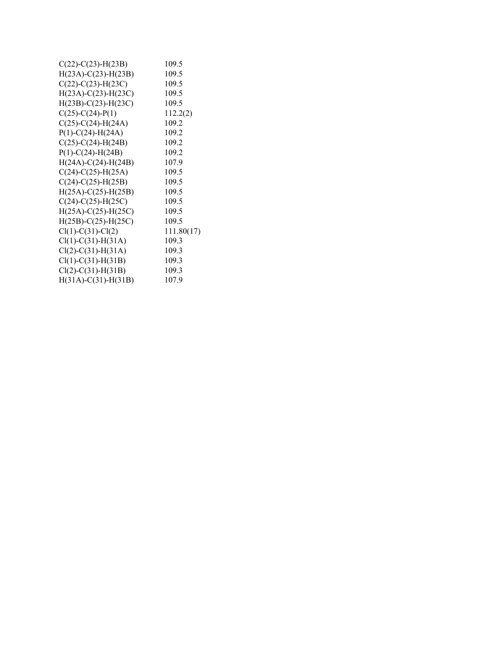| $C(22) - C(23) - H(23B)$  | 109.5      |
|---------------------------|------------|
| $H(23A) - C(23) - H(23B)$ | 109.5      |
| $C(22)$ -C(23)-H(23C)     | 109.5      |
| $H(23A)-C(23)-H(23C)$     | 109.5      |
| $H(23B) - C(23) - H(23C)$ | 109.5      |
| $C(25) - C(24) - P(1)$    | 112.2(2)   |
| $C(25)-C(24)-H(24A)$      | 109.2      |
| $P(1)$ -C(24)-H(24A)      | 109.2      |
| $C(25)-C(24)-H(24B)$      | 109.2      |
| $P(1) - C(24) - H(24B)$   | 109.2      |
| $H(24A)-C(24)-H(24B)$     | 107.9      |
| $C(24)-C(25)-H(25A)$      | 109.5      |
| $C(24)-C(25)-H(25B)$      | 109.5      |
| $H(25A) - C(25) - H(25B)$ | 109.5      |
| $C(24)-C(25)-H(25C)$      | 109.5      |
| $H(25A)-C(25)-H(25C)$     | 109.5      |
| $H(25B) - C(25) - H(25C)$ | 109.5      |
| $Cl(1)-C(31)-Cl(2)$       | 111.80(17) |
| $Cl(1)-C(31)-H(31A)$      | 109.3      |
| $Cl(2)-C(31)-H(31A)$      | 109.3      |
| $Cl(1)-C(31)-H(31B)$      | 109.3      |
| $Cl(2)-C(31)-H(31B)$      | 109.3      |
| $H(31A)-C(31)-H(31B)$     | 107.9      |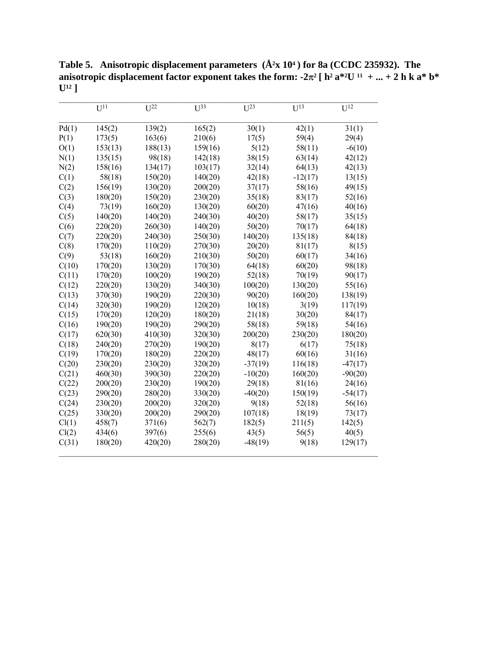**Table 5. Anisotropic displacement parameters (Å2x 104 ) for 8a (CCDC 235932). The anisotropic displacement factor exponent takes the form:**  $-2\pi^2$  **[**  $h^2$  $a^{*2}$ **U**  $^{11}$  **+ ... + 2 h k**  $a^*$  $b^*$ **U12 ]**

|       | $U^{11}$ | $U^{22}$ | I <sup>33</sup> | $U^{23}$  | $U^{13}$  | $U^{12}$  |
|-------|----------|----------|-----------------|-----------|-----------|-----------|
| Pd(1) | 145(2)   | 139(2)   | 165(2)          | 30(1)     | 42(1)     | 31(1)     |
| P(1)  | 173(5)   | 163(6)   | 210(6)          | 17(5)     | 59(4)     | 29(4)     |
| O(1)  | 153(13)  | 188(13)  | 159(16)         | 5(12)     | 58(11)    | $-6(10)$  |
| N(1)  | 135(15)  | 98(18)   | 142(18)         | 38(15)    | 63(14)    | 42(12)    |
| N(2)  | 158(16)  | 134(17)  | 103(17)         | 32(14)    | 64(13)    | 42(13)    |
| C(1)  | 58(18)   | 150(20)  | 140(20)         | 42(18)    | $-12(17)$ | 13(15)    |
| C(2)  | 156(19)  | 130(20)  | 200(20)         | 37(17)    | 58(16)    | 49(15)    |
| C(3)  | 180(20)  | 150(20)  | 230(20)         | 35(18)    | 83(17)    | 52(16)    |
| C(4)  | 73(19)   | 160(20)  | 130(20)         | 60(20)    | 47(16)    | 40(16)    |
| C(5)  | 140(20)  | 140(20)  | 240(30)         | 40(20)    | 58(17)    | 35(15)    |
| C(6)  | 220(20)  | 260(30)  | 140(20)         | 50(20)    | 70(17)    | 64(18)    |
| C(7)  | 220(20)  | 240(30)  | 250(30)         | 140(20)   | 135(18)   | 84(18)    |
| C(8)  | 170(20)  | 110(20)  | 270(30)         | 20(20)    | 81(17)    | 8(15)     |
| C(9)  | 53(18)   | 160(20)  | 210(30)         | 50(20)    | 60(17)    | 34(16)    |
| C(10) | 170(20)  | 130(20)  | 170(30)         | 64(18)    | 60(20)    | 98(18)    |
| C(11) | 170(20)  | 100(20)  | 190(20)         | 52(18)    | 70(19)    | 90(17)    |
| C(12) | 220(20)  | 130(20)  | 340(30)         | 100(20)   | 130(20)   | 55(16)    |
| C(13) | 370(30)  | 190(20)  | 220(30)         | 90(20)    | 160(20)   | 138(19)   |
| C(14) | 320(30)  | 190(20)  | 120(20)         | 10(18)    | 3(19)     | 117(19)   |
| C(15) | 170(20)  | 120(20)  | 180(20)         | 21(18)    | 30(20)    | 84(17)    |
| C(16) | 190(20)  | 190(20)  | 290(20)         | 58(18)    | 59(18)    | 54(16)    |
| C(17) | 620(30)  | 410(30)  | 320(30)         | 200(20)   | 230(20)   | 180(20)   |
| C(18) | 240(20)  | 270(20)  | 190(20)         | 8(17)     | 6(17)     | 75(18)    |
| C(19) | 170(20)  | 180(20)  | 220(20)         | 48(17)    | 60(16)    | 31(16)    |
| C(20) | 230(20)  | 230(20)  | 320(20)         | $-37(19)$ | 116(18)   | $-47(17)$ |
| C(21) | 460(30)  | 390(30)  | 220(20)         | $-10(20)$ | 160(20)   | $-90(20)$ |
| C(22) | 200(20)  | 230(20)  | 190(20)         | 29(18)    | 81(16)    | 24(16)    |
| C(23) | 290(20)  | 280(20)  | 330(20)         | $-40(20)$ | 150(19)   | $-54(17)$ |
| C(24) | 230(20)  | 200(20)  | 320(20)         | 9(18)     | 52(18)    | 56(16)    |
| C(25) | 330(20)  | 200(20)  | 290(20)         | 107(18)   | 18(19)    | 73(17)    |
| Cl(1) | 458(7)   | 371(6)   | 562(7)          | 182(5)    | 211(5)    | 142(5)    |
| Cl(2) | 434(6)   | 397(6)   | 255(6)          | 43(5)     | 56(5)     | 40(5)     |
| C(31) | 180(20)  | 420(20)  | 280(20)         | $-48(19)$ | 9(18)     | 129(17)   |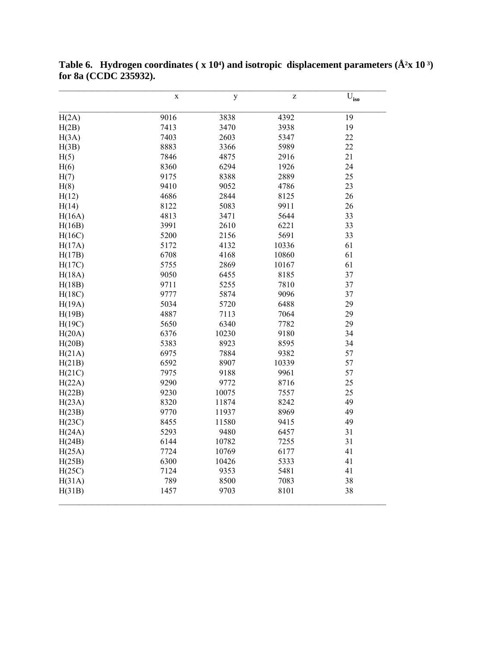|        | $\mathbf X$ | $\mathbf y$ | $\mathbf{Z}% ^{T}=\mathbf{Z}^{T}\times\mathbf{Z}^{T}$ | $\overline{\mathbf{U}}_{\text{iso}}$ |
|--------|-------------|-------------|-------------------------------------------------------|--------------------------------------|
| H(2A)  | 9016        | 3838        | 4392                                                  | 19                                   |
| H(2B)  | 7413        | 3470        | 3938                                                  | 19                                   |
| H(3A)  | 7403        | 2603        | 5347                                                  | 22                                   |
| H(3B)  | 8883        | 3366        | 5989                                                  | 22                                   |
| H(5)   | 7846        | 4875        | 2916                                                  | 21                                   |
| H(6)   | 8360        | 6294        | 1926                                                  | 24                                   |
| H(7)   | 9175        | 8388        | 2889                                                  | 25                                   |
| H(8)   | 9410        | 9052        | 4786                                                  | 23                                   |
| H(12)  | 4686        | 2844        | 8125                                                  | 26                                   |
| H(14)  | 8122        | 5083        | 9911                                                  | 26                                   |
| H(16A) | 4813        | 3471        | 5644                                                  | 33                                   |
| H(16B) | 3991        | 2610        | 6221                                                  | 33                                   |
| H(16C) | 5200        | 2156        | 5691                                                  | 33                                   |
| H(17A) | 5172        | 4132        | 10336                                                 | 61                                   |
| H(17B) | 6708        | 4168        | 10860                                                 | 61                                   |
| H(17C) | 5755        | 2869        | 10167                                                 | 61                                   |
| H(18A) | 9050        | 6455        | 8185                                                  | 37                                   |
| H(18B) | 9711        | 5255        | 7810                                                  | 37                                   |
| H(18C) | 9777        | 5874        | 9096                                                  | 37                                   |
| H(19A) | 5034        | 5720        | 6488                                                  | 29                                   |
| H(19B) | 4887        | 7113        | 7064                                                  | 29                                   |
| H(19C) | 5650        | 6340        | 7782                                                  | 29                                   |
| H(20A) | 6376        | 10230       | 9180                                                  | 34                                   |
| H(20B) | 5383        | 8923        | 8595                                                  | 34                                   |
| H(21A) | 6975        | 7884        | 9382                                                  | 57                                   |
| H(21B) | 6592        | 8907        | 10339                                                 | 57                                   |
| H(21C) | 7975        | 9188        | 9961                                                  | 57                                   |
| H(22A) | 9290        | 9772        | 8716                                                  | 25                                   |
| H(22B) | 9230        | 10075       | 7557                                                  | 25                                   |
| H(23A) | 8320        | 11874       | 8242                                                  | 49                                   |
| H(23B) | 9770        | 11937       | 8969                                                  | 49                                   |
| H(23C) | 8455        | 11580       | 9415                                                  | 49                                   |
| H(24A) | 5293        | 9480        | 6457                                                  | 31                                   |
| H(24B) | 6144        | 10782       | 7255                                                  | 31                                   |
| H(25A) | 7724        | 10769       | 6177                                                  | 41                                   |
| H(25B) | 6300        | 10426       | 5333                                                  | 41                                   |
| H(25C) | 7124        | 9353        | 5481                                                  | 41                                   |
| H(31A) | 789         | 8500        | 7083                                                  | 38                                   |
| H(31B) | 1457        | 9703        | 8101                                                  | 38                                   |

Table 6. Hydrogen coordinates (x 10<sup>4</sup>) and isotropic displacement parameters ( $\AA$ <sup>2</sup>x 10<sup>3</sup>) **for 8a (CCDC 235932).**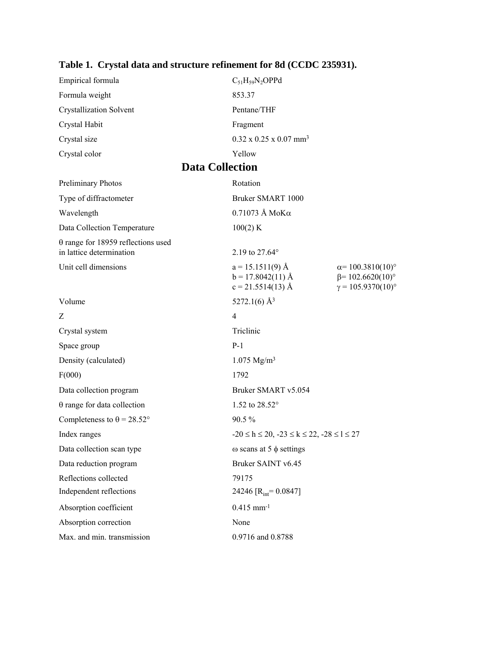# **Table 1. Crystal data and structure refinement for 8d (CCDC 235931).**

| Empirical formula                                                     | $C_{51}H_{59}N_2OPPd$                                            |                                                                                              |
|-----------------------------------------------------------------------|------------------------------------------------------------------|----------------------------------------------------------------------------------------------|
| Formula weight                                                        | 853.37                                                           |                                                                                              |
| <b>Crystallization Solvent</b>                                        | Pentane/THF                                                      |                                                                                              |
| Crystal Habit                                                         | Fragment                                                         |                                                                                              |
| Crystal size                                                          | $0.32 \times 0.25 \times 0.07$ mm <sup>3</sup>                   |                                                                                              |
| Crystal color                                                         | Yellow                                                           |                                                                                              |
|                                                                       | <b>Data Collection</b>                                           |                                                                                              |
| Preliminary Photos                                                    | Rotation                                                         |                                                                                              |
| Type of diffractometer                                                | <b>Bruker SMART 1000</b>                                         |                                                                                              |
| Wavelength                                                            | $0.71073$ Å MoK $\alpha$                                         |                                                                                              |
| Data Collection Temperature                                           | 100(2) K                                                         |                                                                                              |
| $\theta$ range for 18959 reflections used<br>in lattice determination | 2.19 to 27.64°                                                   |                                                                                              |
| Unit cell dimensions                                                  | $a = 15.1511(9)$ Å<br>$b = 17.8042(11)$ Å<br>$c = 21.5514(13)$ Å | $\alpha$ = 100.3810(10) <sup>o</sup><br>$\beta$ = 102.6620(10)°<br>$\gamma = 105.9370(10)$ ° |
| Volume                                                                | 5272.1(6) Å <sup>3</sup>                                         |                                                                                              |
| Ζ                                                                     | 4                                                                |                                                                                              |
| Crystal system                                                        | Triclinic                                                        |                                                                                              |
| Space group                                                           | $P-1$                                                            |                                                                                              |
| Density (calculated)                                                  | $1.075$ Mg/m <sup>3</sup>                                        |                                                                                              |
| F(000)                                                                | 1792                                                             |                                                                                              |
| Data collection program                                               | Bruker SMART v5.054                                              |                                                                                              |
| $\theta$ range for data collection                                    | 1.52 to 28.52°                                                   |                                                                                              |
| Completeness to $\theta = 28.52^{\circ}$                              | 90.5%                                                            |                                                                                              |
| Index ranges                                                          | $-20 \le h \le 20$ , $-23 \le k \le 22$ , $-28 \le l \le 27$     |                                                                                              |
| Data collection scan type                                             | $\omega$ scans at 5 $\phi$ settings                              |                                                                                              |
| Data reduction program                                                | Bruker SAINT v6.45                                               |                                                                                              |
| Reflections collected                                                 | 79175                                                            |                                                                                              |
| Independent reflections                                               | 24246 [ $R_{int}$ = 0.0847]                                      |                                                                                              |
| Absorption coefficient                                                | $0.415$ mm <sup>-1</sup>                                         |                                                                                              |
| Absorption correction                                                 | None                                                             |                                                                                              |
| Max. and min. transmission                                            | 0.9716 and 0.8788                                                |                                                                                              |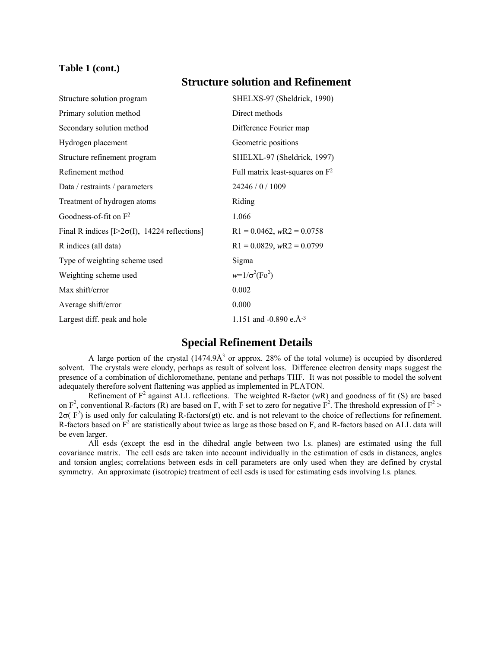#### **Table 1 (cont.)**

## **Structure solution and Refinement**

| Structure solution program                          | SHELXS-97 (Sheldrick, 1990)             |
|-----------------------------------------------------|-----------------------------------------|
| Primary solution method                             | Direct methods                          |
| Secondary solution method                           | Difference Fourier map                  |
| Hydrogen placement                                  | Geometric positions                     |
| Structure refinement program                        | SHELXL-97 (Sheldrick, 1997)             |
| Refinement method                                   | Full matrix least-squares on $F^2$      |
| Data / restraints / parameters                      | 24246/0/1009                            |
| Treatment of hydrogen atoms                         | Riding                                  |
| Goodness-of-fit on $F^2$                            | 1.066                                   |
| Final R indices $[1>2\sigma(1), 14224$ reflections] | $R1 = 0.0462$ , $wR2 = 0.0758$          |
| R indices (all data)                                | $R1 = 0.0829$ , $wR2 = 0.0799$          |
| Type of weighting scheme used                       | Sigma                                   |
| Weighting scheme used                               | $w=1/\sigma^2(F\sigma^2)$               |
| Max shift/error                                     | 0.002                                   |
| Average shift/error                                 | 0.000                                   |
| Largest diff. peak and hole                         | 1.151 and -0.890 e. $\AA$ <sup>-3</sup> |

### **Special Refinement Details**

A large portion of the crystal  $(1474.9\text{\AA}^3)$  or approx. 28% of the total volume) is occupied by disordered solvent. The crystals were cloudy, perhaps as result of solvent loss. Difference electron density maps suggest the presence of a combination of dichloromethane, pentane and perhaps THF. It was not possible to model the solvent adequately therefore solvent flattening was applied as implemented in PLATON.

Refinement of  $F^2$  against ALL reflections. The weighted R-factor  $(wR)$  and goodness of fit (S) are based on  $F^2$ , conventional R-factors (R) are based on F, with F set to zero for negative  $F^2$ . The threshold expression of  $F^2$  $2\sigma$ ( $F^2$ ) is used only for calculating R-factors(gt) etc. and is not relevant to the choice of reflections for refinement. R-factors based on  $F^2$  are statistically about twice as large as those based on F, and R-factors based on ALL data will be even larger.

All esds (except the esd in the dihedral angle between two l.s. planes) are estimated using the full covariance matrix. The cell esds are taken into account individually in the estimation of esds in distances, angles and torsion angles; correlations between esds in cell parameters are only used when they are defined by crystal symmetry. An approximate (isotropic) treatment of cell esds is used for estimating esds involving l.s. planes.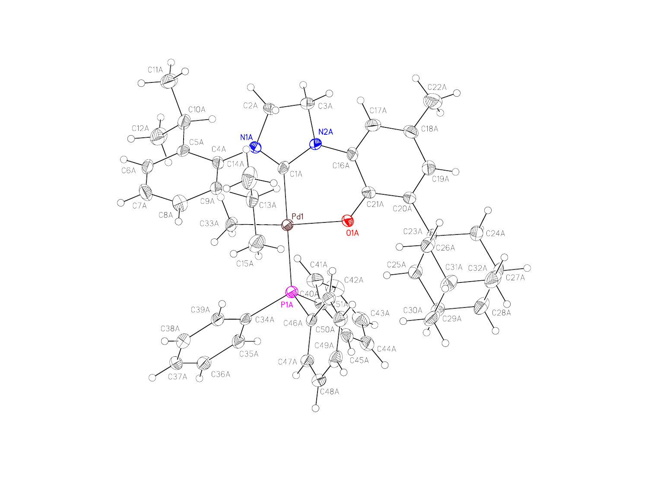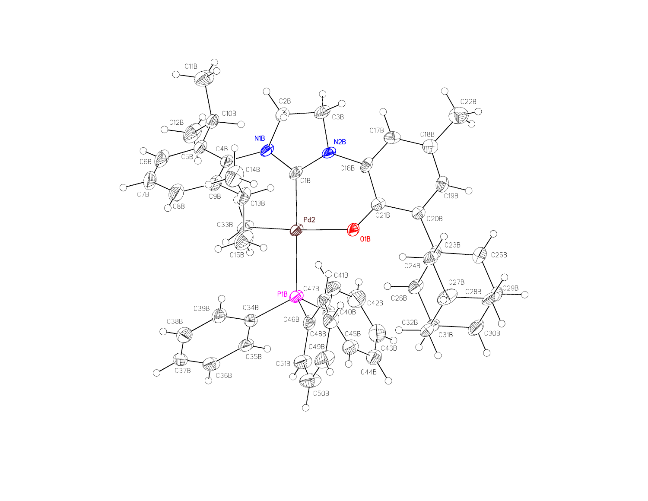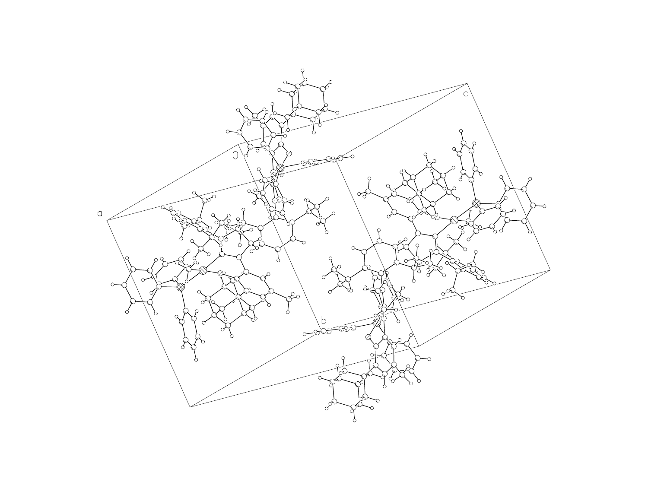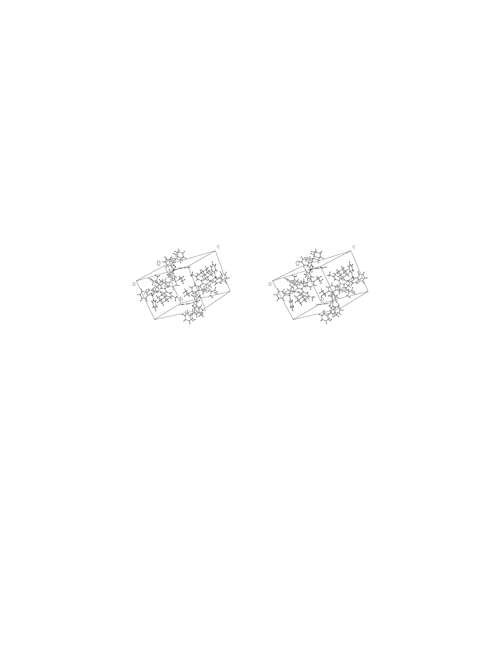

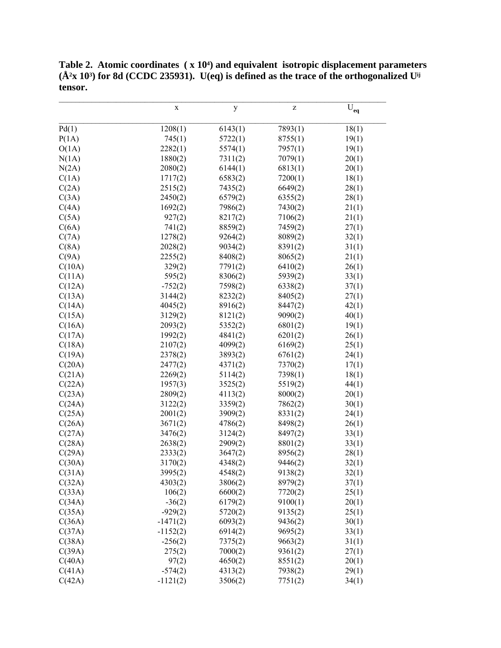**Table 2. Atomic coordinates ( x 104) and equivalent isotropic displacement parameters**   $(\AA^2$ x  $10^3)$  for 8d (CCDC 235931). U(eq) is defined as the trace of the orthogonalized U<sup>ij</sup> **tensor.**

|        | $\mathbf X$ | y       | z       | $\mathbf{\bar{U}_{eq}}$ |
|--------|-------------|---------|---------|-------------------------|
| Pd(1)  | 1208(1)     | 6143(1) | 7893(1) | 18(1)                   |
| P(1A)  | 745(1)      | 5722(1) | 8755(1) | 19(1)                   |
| O(1A)  | 2282(1)     | 5574(1) | 7957(1) | 19(1)                   |
|        | 1880(2)     | 7311(2) | 7079(1) |                         |
| N(1A)  |             |         |         | 20(1)                   |
| N(2A)  | 2080(2)     | 6144(1) | 6813(1) | 20(1)                   |
| C(1A)  | 1717(2)     | 6583(2) | 7200(1) | 18(1)                   |
| C(2A)  | 2515(2)     | 7435(2) | 6649(2) | 28(1)                   |
| C(3A)  | 2450(2)     | 6579(2) | 6355(2) | 28(1)                   |
| C(4A)  | 1692(2)     | 7986(2) | 7430(2) | 21(1)                   |
| C(5A)  | 927(2)      | 8217(2) | 7106(2) | 21(1)                   |
| C(6A)  | 741(2)      | 8859(2) | 7459(2) | 27(1)                   |
| C(7A)  | 1278(2)     | 9264(2) | 8089(2) | 32(1)                   |
| C(8A)  | 2028(2)     | 9034(2) | 8391(2) | 31(1)                   |
| C(9A)  | 2255(2)     | 8408(2) | 8065(2) | 21(1)                   |
| C(10A) | 329(2)      | 7791(2) | 6410(2) | 26(1)                   |
| C(11A) | 595(2)      | 8306(2) | 5939(2) | 33(1)                   |
| C(12A) | $-752(2)$   | 7598(2) | 6338(2) | 37(1)                   |
| C(13A) | 3144(2)     | 8232(2) | 8405(2) | 27(1)                   |
| C(14A) | 4045(2)     | 8916(2) | 8447(2) | 42(1)                   |
| C(15A) | 3129(2)     | 8121(2) | 9090(2) | 40(1)                   |
| C(16A) | 2093(2)     | 5352(2) | 6801(2) | 19(1)                   |
| C(17A) | 1992(2)     | 4841(2) | 6201(2) | 26(1)                   |
| C(18A) | 2107(2)     | 4099(2) | 6169(2) | 25(1)                   |
| C(19A) | 2378(2)     | 3893(2) | 6761(2) | 24(1)                   |
| C(20A) | 2477(2)     | 4371(2) | 7370(2) | 17(1)                   |
| C(21A) | 2269(2)     | 5114(2) | 7398(1) | 18(1)                   |
| C(22A) | 1957(3)     | 3525(2) | 5519(2) | 44(1)                   |
| C(23A) | 2809(2)     | 4113(2) | 8000(2) | 20(1)                   |
| C(24A) | 3122(2)     | 3359(2) | 7862(2) | 30(1)                   |
| C(25A) | 2001(2)     | 3909(2) | 8331(2) | 24(1)                   |
| C(26A) | 3671(2)     | 4786(2) | 8498(2) | 26(1)                   |
| C(27A) | 3476(2)     | 3124(2) | 8497(2) | 33(1)                   |
| C(28A) | 2638(2)     | 2909(2) | 8801(2) | 33(1)                   |
| C(29A) | 2333(2)     | 3647(2) | 8956(2) | 28(1)                   |
| C(30A) | 3170(2)     | 4348(2) | 9446(2) | 32(1)                   |
| C(31A) | 3995(2)     | 4548(2) | 9138(2) | 32(1)                   |
| C(32A) | 4303(2)     | 3806(2) | 8979(2) | 37(1)                   |
| C(33A) | 106(2)      | 6600(2) | 7720(2) | 25(1)                   |
| C(34A) | $-36(2)$    | 6179(2) | 9100(1) | 20(1)                   |
| C(35A) | $-929(2)$   | 5720(2) | 9135(2) | 25(1)                   |
| C(36A) | $-1471(2)$  | 6093(2) | 9436(2) | 30(1)                   |
| C(37A) | $-1152(2)$  | 6914(2) | 9695(2) | 33(1)                   |
| C(38A) | $-256(2)$   | 7375(2) | 9663(2) | 31(1)                   |
| C(39A) | 275(2)      | 7000(2) | 9361(2) | 27(1)                   |
| C(40A) | 97(2)       | 4650(2) | 8551(2) | 20(1)                   |
| C(41A) | $-574(2)$   | 4313(2) | 7938(2) | 29(1)                   |
| C(42A) | $-1121(2)$  | 3506(2) | 7751(2) | 34(1)                   |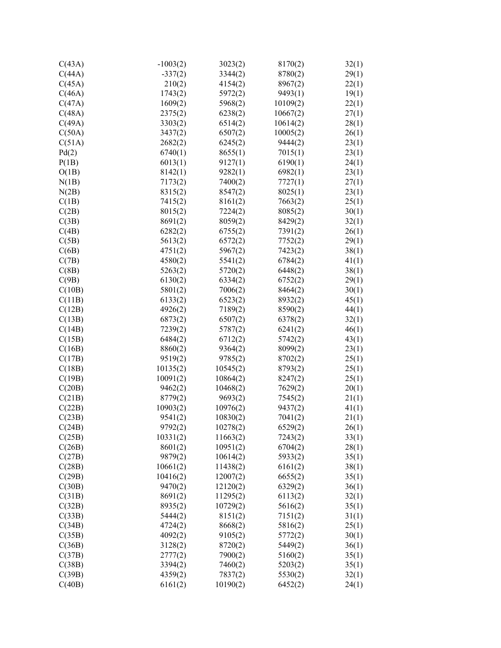| C(43A) | $-1003(2)$ | 3023(2)  | 8170(2)  | 32(1) |
|--------|------------|----------|----------|-------|
| C(44A) | $-337(2)$  | 3344(2)  | 8780(2)  | 29(1) |
| C(45A) | 210(2)     | 4154(2)  | 8967(2)  | 22(1) |
| C(46A) | 1743(2)    | 5972(2)  | 9493(1)  | 19(1) |
| C(47A) | 1609(2)    | 5968(2)  | 10109(2) | 22(1) |
| C(48A) | 2375(2)    | 6238(2)  | 10667(2) | 27(1) |
| C(49A) | 3303(2)    | 6514(2)  | 10614(2) | 28(1) |
| C(50A) | 3437(2)    | 6507(2)  | 10005(2) | 26(1) |
| C(51A) | 2682(2)    | 6245(2)  | 9444(2)  | 23(1) |
| Pd(2)  | 6740(1)    | 8655(1)  | 7015(1)  | 23(1) |
| P(1B)  | 6013(1)    | 9127(1)  | 6190(1)  | 24(1) |
| O(1B)  | 8142(1)    | 9282(1)  | 6982(1)  |       |
|        |            |          |          | 23(1) |
| N(1B)  | 7173(2)    | 7400(2)  | 7727(1)  | 27(1) |
| N(2B)  | 8315(2)    | 8547(2)  | 8025(1)  | 23(1) |
| C(1B)  | 7415(2)    | 8161(2)  | 7663(2)  | 25(1) |
| C(2B)  | 8015(2)    | 7224(2)  | 8085(2)  | 30(1) |
| C(3B)  | 8691(2)    | 8059(2)  | 8429(2)  | 32(1) |
| C(4B)  | 6282(2)    | 6755(2)  | 7391(2)  | 26(1) |
| C(5B)  | 5613(2)    | 6572(2)  | 7752(2)  | 29(1) |
| C(6B)  | 4751(2)    | 5967(2)  | 7423(2)  | 38(1) |
| C(7B)  | 4580(2)    | 5541(2)  | 6784(2)  | 41(1) |
| C(8B)  | 5263(2)    | 5720(2)  | 6448(2)  | 38(1) |
| C(9B)  | 6130(2)    | 6334(2)  | 6752(2)  | 29(1) |
| C(10B) | 5801(2)    | 7006(2)  | 8464(2)  | 30(1) |
| C(11B) | 6133(2)    | 6523(2)  | 8932(2)  | 45(1) |
| C(12B) | 4926(2)    | 7189(2)  | 8590(2)  | 44(1) |
| C(13B) | 6873(2)    | 6507(2)  | 6378(2)  | 32(1) |
| C(14B) | 7239(2)    | 5787(2)  | 6241(2)  | 46(1) |
| C(15B) | 6484(2)    | 6712(2)  | 5742(2)  | 43(1) |
| C(16B) | 8860(2)    | 9364(2)  | 8099(2)  | 23(1) |
| C(17B) | 9519(2)    | 9785(2)  | 8702(2)  | 25(1) |
| C(18B) | 10135(2)   | 10545(2) | 8793(2)  | 25(1) |
| C(19B) | 10091(2)   | 10864(2) | 8247(2)  | 25(1) |
| C(20B) | 9462(2)    | 10468(2) | 7629(2)  | 20(1) |
| C(21B) | 8779(2)    | 9693(2)  | 7545(2)  | 21(1) |
| C(22B) | 10903(2)   | 10976(2) | 9437(2)  | 41(1) |
| C(23B) | 9541(2)    | 10830(2) | 7041(2)  | 21(1) |
| C(24B) | 9792(2)    | 10278(2) | 6529(2)  | 26(1) |
| C(25B) | 10331(2)   | 11663(2) | 7243(2)  | 33(1) |
| C(26B) | 8601(2)    | 10951(2) | 6704(2)  | 28(1) |
| C(27B) | 9879(2)    | 10614(2) | 5933(2)  | 35(1) |
| C(28B) | 10661(2)   | 11438(2) | 6161(2)  | 38(1) |
| C(29B) | 10416(2)   | 12007(2) | 6655(2)  | 35(1) |
| C(30B) | 9470(2)    | 12120(2) |          |       |
|        |            |          | 6329(2)  | 36(1) |
| C(31B) | 8691(2)    | 11295(2) | 6113(2)  | 32(1) |
| C(32B) | 8935(2)    | 10729(2) | 5616(2)  | 35(1) |
| C(33B) | 5444(2)    | 8151(2)  | 7151(2)  | 31(1) |
| C(34B) | 4724(2)    | 8668(2)  | 5816(2)  | 25(1) |
| C(35B) | 4092(2)    | 9105(2)  | 5772(2)  | 30(1) |
| C(36B) | 3128(2)    | 8720(2)  | 5449(2)  | 36(1) |
| C(37B) | 2777(2)    | 7900(2)  | 5160(2)  | 35(1) |
| C(38B) | 3394(2)    | 7460(2)  | 5203(2)  | 35(1) |
| C(39B) | 4359(2)    | 7837(2)  | 5530(2)  | 32(1) |
| C(40B) | 6161(2)    | 10190(2) | 6452(2)  | 24(1) |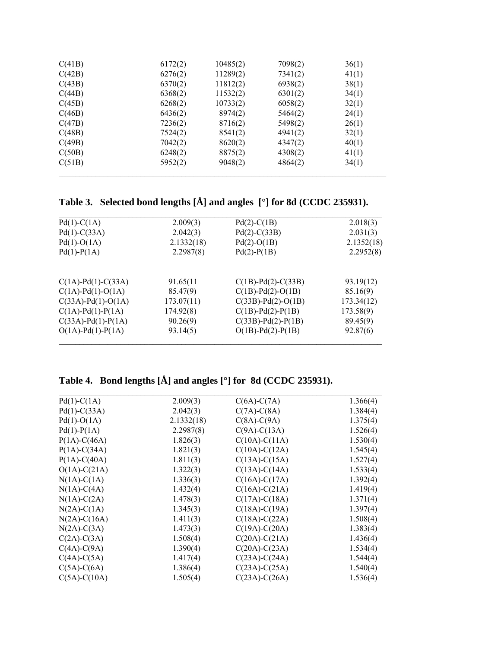| C(41B) | 6172(2) | 10485(2) | 7098(2) | 36(1) |
|--------|---------|----------|---------|-------|
| C(42B) | 6276(2) | 11289(2) | 7341(2) | 41(1) |
| C(43B) | 6370(2) | 11812(2) | 6938(2) | 38(1) |
| C(44B) | 6368(2) | 11532(2) | 6301(2) | 34(1) |
| C(45B) | 6268(2) | 10733(2) | 6058(2) | 32(1) |
| C(46B) | 6436(2) | 8974(2)  | 5464(2) | 24(1) |
| C(47B) | 7236(2) | 8716(2)  | 5498(2) | 26(1) |
| C(48B) | 7524(2) | 8541(2)  | 4941(2) | 32(1) |
| C(49B) | 7042(2) | 8620(2)  | 4347(2) | 40(1) |
| C(50B) | 6248(2) | 8875(2)  | 4308(2) | 41(1) |
| C(51B) | 5952(2) | 9048(2)  | 4864(2) | 34(1) |
|        |         |          |         |       |

**Table 3. Selected bond lengths [Å] and angles [°] for 8d (CCDC 235931).**

| $Pd(1)-C(1A)$         | 2.009(3)   | $Pd(2)-C(1B)$                | 2.018(3)   |
|-----------------------|------------|------------------------------|------------|
| $Pd(1)-C(33A)$        | 2.042(3)   | $Pd(2)-C(33B)$               | 2.031(3)   |
| $Pd(1)-O(1A)$         | 2.1332(18) | $Pd(2)-O(1B)$                | 2.1352(18) |
| $Pd(1)-P(1A)$         | 2.2987(8)  | $Pd(2)-P(1B)$                | 2.2952(8)  |
| $C(1A)$ -Pd(1)-C(33A) | 91.65(11)  | $C(1B)$ -Pd $(2)$ -C $(33B)$ | 93.19(12)  |
| $C(1A)$ -Pd(1)-O(1A)  | 85.47(9)   | $C(1B)$ -Pd(2)-O(1B)         | 85.16(9)   |
| $C(33A)$ -Pd(1)-O(1A) | 173.07(11) | $C(33B)$ -Pd(2)-O(1B)        | 173.34(12) |
| $C(1A)$ -Pd(1)-P(1A)  | 174.92(8)  | $C(1B)$ -Pd(2)-P(1B)         | 173.58(9)  |
| $C(33A)$ -Pd(1)-P(1A) | 90.26(9)   | $C(33B)$ -Pd(2)-P(1B)        | 89.45(9)   |
| $O(1A)$ -Pd(1)-P(1A)  | 93.14(5)   | $O(1B)$ -Pd(2)-P(1B)         | 92.87(6)   |

**Table 4. Bond lengths [Å] and angles [°] for 8d (CCDC 235931).**

| 2.009(3)   | $C(6A)-C(7A)$       | 1.366(4) |
|------------|---------------------|----------|
| 2.042(3)   | $C(7A) - C(8A)$     | 1.384(4) |
| 2.1332(18) | $C(8A)-C(9A)$       | 1.375(4) |
| 2.2987(8)  | $C(9A)-C(13A)$      | 1.526(4) |
| 1.826(3)   | $C(10A) - C(11A)$   | 1.530(4) |
| 1.821(3)   | $C(10A) - C(12A)$   | 1.545(4) |
| 1.811(3)   | $C(13A) - C(15A)$   | 1.527(4) |
| 1.322(3)   | $C(13A) - C(14A)$   | 1.533(4) |
| 1.336(3)   | $C(16A) - C(17A)$   | 1.392(4) |
| 1.432(4)   | $C(16A)$ -C $(21A)$ | 1.419(4) |
| 1.478(3)   | $C(17A) - C(18A)$   | 1.371(4) |
| 1.345(3)   | $C(18A) - C(19A)$   | 1.397(4) |
| 1.411(3)   | $C(18A) - C(22A)$   | 1.508(4) |
| 1.473(3)   | $C(19A) - C(20A)$   | 1.383(4) |
| 1.508(4)   | $C(20A)$ - $C(21A)$ | 1.436(4) |
| 1.390(4)   | $C(20A)$ -C $(23A)$ | 1.534(4) |
| 1.417(4)   | $C(23A)$ -C $(24A)$ | 1.544(4) |
| 1.386(4)   | $C(23A) - C(25A)$   | 1.540(4) |
| 1.505(4)   | $C(23A) - C(26A)$   | 1.536(4) |
|            |                     |          |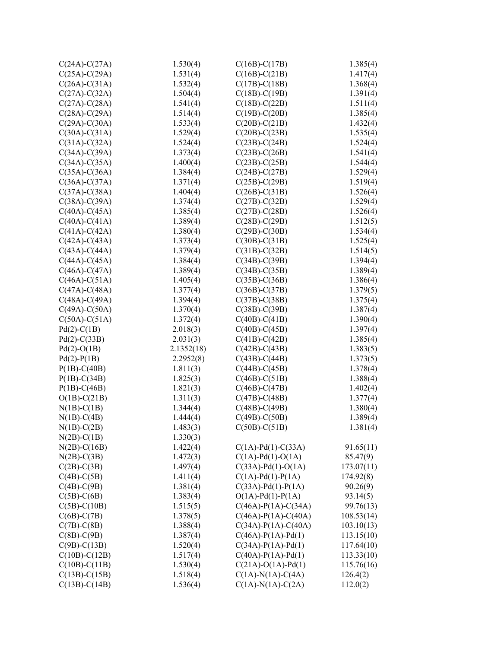| $C(24A) - C(27A)$  | 1.530(4)   | $C(16B) - C(17B)$         | 1.385(4)   |
|--------------------|------------|---------------------------|------------|
| $C(25A) - C(29A)$  | 1.531(4)   | $C(16B) - C(21B)$         | 1.417(4)   |
| $C(26A) - C(31A)$  | 1.532(4)   | $C(17B) - C(18B)$         | 1.368(4)   |
| $C(27A) - C(32A)$  | 1.504(4)   | $C(18B) - C(19B)$         | 1.391(4)   |
| $C(27A) - C(28A)$  | 1.541(4)   | $C(18B) - C(22B)$         | 1.511(4)   |
| $C(28A) - C(29A)$  | 1.514(4)   | $C(19B) - C(20B)$         | 1.385(4)   |
| $C(29A) - C(30A)$  | 1.533(4)   | $C(20B) - C(21B)$         | 1.432(4)   |
| $C(30A) - C(31A)$  | 1.529(4)   | $C(20B)$ - $C(23B)$       | 1.535(4)   |
| $C(31A) - C(32A)$  | 1.524(4)   | $C(23B)$ - $C(24B)$       | 1.524(4)   |
| $C(34A) - C(39A)$  | 1.373(4)   | $C(23B)$ - $C(26B)$       | 1.541(4)   |
| $C(34A) - C(35A)$  | 1.400(4)   | $C(23B) - C(25B)$         | 1.544(4)   |
| $C(35A) - C(36A)$  | 1.384(4)   | $C(24B) - C(27B)$         | 1.529(4)   |
| $C(36A) - C(37A)$  | 1.371(4)   | $C(25B) - C(29B)$         | 1.519(4)   |
| $C(37A) - C(38A)$  | 1.404(4)   | $C(26B) - C(31B)$         | 1.526(4)   |
| $C(38A) - C(39A)$  | 1.374(4)   | $C(27B) - C(32B)$         | 1.529(4)   |
| $C(40A) - C(45A)$  | 1.385(4)   | $C(27B) - C(28B)$         | 1.526(4)   |
| $C(40A) - C(41A)$  | 1.389(4)   | $C(28B)$ - $C(29B)$       |            |
|                    |            |                           | 1.512(5)   |
| $C(41A) - C(42A)$  | 1.380(4)   | $C(29B) - C(30B)$         | 1.534(4)   |
| $C(42A) - C(43A)$  | 1.373(4)   | $C(30B) - C(31B)$         | 1.525(4)   |
| $C(43A) - C(44A)$  | 1.379(4)   | $C(31B) - C(32B)$         | 1.514(5)   |
| $C(44A) - C(45A)$  | 1.384(4)   | $C(34B) - C(39B)$         | 1.394(4)   |
| $C(46A) - C(47A)$  | 1.389(4)   | $C(34B) - C(35B)$         | 1.389(4)   |
| $C(46A) - C(51A)$  | 1.405(4)   | $C(35B) - C(36B)$         | 1.386(4)   |
| $C(47A) - C(48A)$  | 1.377(4)   | $C(36B) - C(37B)$         | 1.379(5)   |
| $C(48A) - C(49A)$  | 1.394(4)   | $C(37B) - C(38B)$         | 1.375(4)   |
| $C(49A) - C(50A)$  | 1.370(4)   | $C(38B) - C(39B)$         | 1.387(4)   |
| $C(50A) - C(51A)$  | 1.372(4)   | $C(40B) - C(41B)$         | 1.390(4)   |
| $Pd(2)-C(1B)$      | 2.018(3)   | $C(40B) - C(45B)$         | 1.397(4)   |
| $Pd(2)-C(33B)$     | 2.031(3)   | $C(41B) - C(42B)$         | 1.385(4)   |
| $Pd(2)-O(1B)$      | 2.1352(18) | $C(42B) - C(43B)$         | 1.383(5)   |
| $Pd(2)-P(1B)$      | 2.2952(8)  | $C(43B) - C(44B)$         | 1.373(5)   |
| $P(1B)-C(40B)$     | 1.811(3)   | $C(44B) - C(45B)$         | 1.378(4)   |
| $P(1B)-C(34B)$     | 1.825(3)   | $C(46B) - C(51B)$         | 1.388(4)   |
| $P(1B)-C(46B)$     | 1.821(3)   | $C(46B) - C(47B)$         | 1.402(4)   |
| $O(1B)$ -C $(21B)$ | 1.311(3)   | $C(47B) - C(48B)$         | 1.377(4)   |
| $N(1B)-C(1B)$      | 1.344(4)   | $C(48B) - C(49B)$         | 1.380(4)   |
| $N(1B)-C(4B)$      | 1.444(4)   | $C(49B)$ - $C(50B)$       | 1.389(4)   |
| $N(1B)-C(2B)$      | 1.483(3)   | $C(50B) - C(51B)$         | 1.381(4)   |
| $N(2B)-C(1B)$      | 1.330(3)   |                           |            |
| $N(2B)-C(16B)$     | 1.422(4)   | $C(1A)$ -Pd(1)-C(33A)     | 91.65(11)  |
| $N(2B)-C(3B)$      | 1.472(3)   | $C(1A)$ -Pd(1)-O(1A)      | 85.47(9)   |
| $C(2B)$ -C(3B)     | 1.497(4)   | $C(33A)$ -Pd(1)-O(1A)     | 173.07(11) |
| $C(4B)$ - $C(5B)$  | 1.411(4)   | $C(1A)$ -Pd(1)-P(1A)      | 174.92(8)  |
| $C(4B)$ - $C(9B)$  | 1.381(4)   | $C(33A)$ -Pd(1)-P(1A)     | 90.26(9)   |
| $C(5B)$ - $C(6B)$  | 1.383(4)   | $O(1A)$ -Pd(1)-P(1A)      | 93.14(5)   |
| $C(5B) - C(10B)$   | 1.515(5)   | $C(46A) - P(1A) - C(34A)$ | 99.76(13)  |
| $C(6B)$ -C(7B)     | 1.378(5)   | $C(46A) - P(1A) - C(40A)$ | 108.53(14) |
| $C(7B)$ -C(8B)     | 1.388(4)   | $C(34A) - P(1A) - C(40A)$ | 103.10(13) |
| $C(8B)$ -C(9B)     | 1.387(4)   | $C(46A) - P(1A) - Pd(1)$  | 113.15(10) |
| $C(9B) - C(13B)$   | 1.520(4)   | $C(34A) - P(1A) - Pd(1)$  | 117.64(10) |
| $C(10B) - C(12B)$  | 1.517(4)   | $C(40A) - P(1A) - Pd(1)$  | 113.33(10) |
| $C(10B) - C(11B)$  | 1.530(4)   | $C(21A)-O(1A)-Pd(1)$      | 115.76(16) |
| $C(13B) - C(15B)$  | 1.518(4)   | $C(1A)-N(1A)-C(4A)$       | 126.4(2)   |
| $C(13B) - C(14B)$  | 1.536(4)   | $C(1A)-N(1A)-C(2A)$       | 112.0(2)   |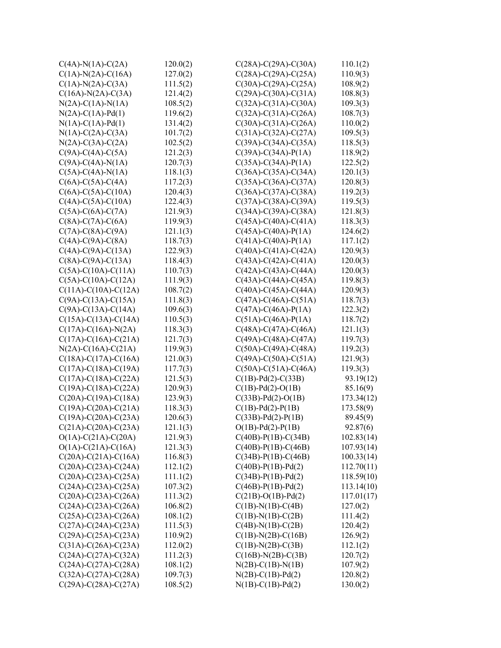| $C(4A) - N(1A) - C(2A)$    | 120.0(2) | $C(28A) - C(29A) - C(30A)$ | 110.1(2)   |
|----------------------------|----------|----------------------------|------------|
| $C(1A)-N(2A)-C(16A)$       | 127.0(2) | $C(28A) - C(29A) - C(25A)$ | 110.9(3)   |
| $C(1A)-N(2A)-C(3A)$        | 111.5(2) | $C(30A) - C(29A) - C(25A)$ | 108.9(2)   |
| $C(16A) - N(2A) - C(3A)$   | 121.4(2) | $C(29A) - C(30A) - C(31A)$ | 108.8(3)   |
| $N(2A) - C(1A) - N(1A)$    | 108.5(2) | $C(32A) - C(31A) - C(30A)$ | 109.3(3)   |
| $N(2A) - C(1A) - Pd(1)$    | 119.6(2) | $C(32A) - C(31A) - C(26A)$ | 108.7(3)   |
| $N(1A)-C(1A)-Pd(1)$        | 131.4(2) | $C(30A) - C(31A) - C(26A)$ | 110.0(2)   |
| $N(1A)-C(2A)-C(3A)$        | 101.7(2) | $C(31A) - C(32A) - C(27A)$ | 109.5(3)   |
| $N(2A)-C(3A)-C(2A)$        | 102.5(2) | $C(39A) - C(34A) - C(35A)$ | 118.5(3)   |
| $C(9A)-C(4A)-C(5A)$        | 121.2(3) | $C(39A) - C(34A) - P(1A)$  | 118.9(2)   |
| $C(9A) - C(4A) - N(1A)$    | 120.7(3) | $C(35A) - C(34A) - P(1A)$  | 122.5(2)   |
| $C(5A)-C(4A)-N(1A)$        |          | $C(36A) - C(35A) - C(34A)$ | 120.1(3)   |
|                            | 118.1(3) |                            |            |
| $C(6A)-C(5A)-C(4A)$        | 117.2(3) | $C(35A) - C(36A) - C(37A)$ | 120.8(3)   |
| $C(6A)$ -C(5A)-C(10A)      | 120.4(3) | $C(36A) - C(37A) - C(38A)$ | 119.2(3)   |
| $C(4A)$ -C(5A)-C(10A)      | 122.4(3) | $C(37A) - C(38A) - C(39A)$ | 119.5(3)   |
| $C(5A)-C(6A)-C(7A)$        | 121.9(3) | $C(34A) - C(39A) - C(38A)$ | 121.8(3)   |
| $C(8A)-C(7A)-C(6A)$        | 119.9(3) | $C(45A) - C(40A) - C(41A)$ | 118.3(3)   |
| $C(7A)-C(8A)-C(9A)$        | 121.1(3) | $C(45A) - C(40A) - P(1A)$  | 124.6(2)   |
| $C(4A)-C(9A)-C(8A)$        | 118.7(3) | $C(41A) - C(40A) - P(1A)$  | 117.1(2)   |
| $C(4A) - C(9A) - C(13A)$   | 122.9(3) | $C(40A) - C(41A) - C(42A)$ | 120.9(3)   |
| $C(8A) - C(9A) - C(13A)$   | 118.4(3) | $C(43A) - C(42A) - C(41A)$ | 120.0(3)   |
| $C(5A) - C(10A) - C(11A)$  | 110.7(3) | $C(42A) - C(43A) - C(44A)$ | 120.0(3)   |
| $C(5A) - C(10A) - C(12A)$  | 111.9(3) | $C(43A) - C(44A) - C(45A)$ | 119.8(3)   |
| $C(11A) - C(10A) - C(12A)$ | 108.7(2) | $C(40A) - C(45A) - C(44A)$ | 120.9(3)   |
| $C(9A) - C(13A) - C(15A)$  | 111.8(3) | $C(47A) - C(46A) - C(51A)$ | 118.7(3)   |
| $C(9A) - C(13A) - C(14A)$  | 109.6(3) | $C(47A) - C(46A) - P(1A)$  | 122.3(2)   |
| $C(15A) - C(13A) - C(14A)$ | 110.5(3) | $C(51A) - C(46A) - P(1A)$  | 118.7(2)   |
| $C(17A) - C(16A) - N(2A)$  | 118.3(3) | $C(48A) - C(47A) - C(46A)$ | 121.1(3)   |
| $C(17A) - C(16A) - C(21A)$ | 121.7(3) | $C(49A) - C(48A) - C(47A)$ | 119.7(3)   |
| $N(2A) - C(16A) - C(21A)$  | 119.9(3) | $C(50A) - C(49A) - C(48A)$ | 119.2(3)   |
| $C(18A) - C(17A) - C(16A)$ | 121.0(3) | $C(49A) - C(50A) - C(51A)$ | 121.9(3)   |
| $C(17A) - C(18A) - C(19A)$ | 117.7(3) | $C(50A) - C(51A) - C(46A)$ | 119.3(3)   |
| $C(17A) - C(18A) - C(22A)$ | 121.5(3) | $C(1B)$ -Pd(2)-C(33B)      | 93.19(12)  |
| $C(19A) - C(18A) - C(22A)$ | 120.9(3) | $C(1B)$ -Pd(2)-O(1B)       | 85.16(9)   |
| $C(20A) - C(19A) - C(18A)$ | 123.9(3) | $C(33B)$ -Pd(2)-O(1B)      | 173.34(12) |
| $C(19A) - C(20A) - C(21A)$ | 118.3(3) | $C(1B)$ -Pd(2)-P(1B)       | 173.58(9)  |
| $C(19A) - C(20A) - C(23A)$ | 120.6(3) | $C(33B)$ -Pd(2)-P(1B)      | 89.45(9)   |
| $C(21A) - C(20A) - C(23A)$ | 121.1(3) | $O(1B)$ -Pd(2)-P(1B)       | 92.87(6)   |
| $O(1A) - C(21A) - C(20A)$  | 121.9(3) | $C(40B) - P(1B) - C(34B)$  | 102.83(14) |
| $O(1A) - C(21A) - C(16A)$  | 121.3(3) | $C(40B) - P(1B) - C(46B)$  | 107.93(14) |
| $C(20A) - C(21A) - C(16A)$ | 116.8(3) | $C(34B) - P(1B) - C(46B)$  | 100.33(14) |
| $C(20A) - C(23A) - C(24A)$ | 112.1(2) | $C(40B) - P(1B) - Pd(2)$   | 112.70(11) |
| $C(20A) - C(23A) - C(25A)$ | 111.1(2) | $C(34B) - P(1B) - Pd(2)$   | 118.59(10) |
| $C(24A) - C(23A) - C(25A)$ | 107.3(2) | $C(46B) - P(1B) - Pd(2)$   | 113.14(10) |
| $C(20A) - C(23A) - C(26A)$ | 111.3(2) | $C(21B)-O(1B)-Pd(2)$       | 117.01(17) |
| $C(24A) - C(23A) - C(26A)$ | 106.8(2) | $C(1B)$ -N(1B)-C(4B)       | 127.0(2)   |
| $C(25A) - C(23A) - C(26A)$ | 108.1(2) | $C(1B)$ -N(1B)-C(2B)       | 111.4(2)   |
| $C(27A) - C(24A) - C(23A)$ | 111.5(3) | $C(4B)$ -N(1B)-C(2B)       | 120.4(2)   |
| $C(29A) - C(25A) - C(23A)$ | 110.9(2) | $C(1B)-N(2B)-C(16B)$       | 126.9(2)   |
| $C(31A) - C(26A) - C(23A)$ | 112.0(2) | $C(1B)-N(2B)-C(3B)$        | 112.1(2)   |
| $C(24A) - C(27A) - C(32A)$ | 111.2(3) | $C(16B)$ -N(2B)-C(3B)      | 120.7(2)   |
| $C(24A) - C(27A) - C(28A)$ | 108.1(2) | $N(2B) - C(1B) - N(1B)$    | 107.9(2)   |
| $C(32A) - C(27A) - C(28A)$ | 109.7(3) | $N(2B) - C(1B) - Pd(2)$    | 120.8(2)   |
|                            |          |                            |            |
| $C(29A) - C(28A) - C(27A)$ | 108.5(2) | $N(1B)-C(1B)-Pd(2)$        | 130.0(2)   |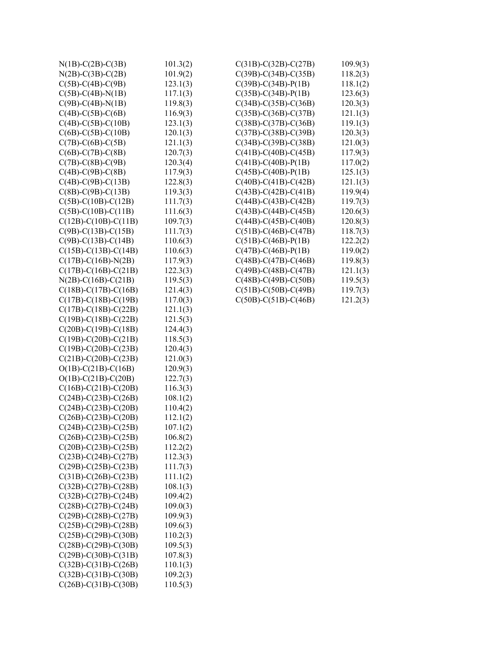| $N(1B)-C(2B)-C(3B)$         | 101.3(2) | $C(31B) - C(32B) - C(27B)$ | 109.9(3) |
|-----------------------------|----------|----------------------------|----------|
| $N(2B)$ -C(3B)-C(2B)        | 101.9(2) | $C(39B) - C(34B) - C(35B)$ | 118.2(3) |
| $C(5B)$ -C(4B)-C(9B)        | 123.1(3) | $C(39B) - C(34B) - P(1B)$  | 118.1(2) |
| $C(5B) - C(4B) - N(1B)$     | 117.1(3) | $C(35B) - C(34B) - P(1B)$  | 123.6(3) |
| $C(9B) - C(4B) - N(1B)$     | 119.8(3) | $C(34B) - C(35B) - C(36B)$ | 120.3(3) |
| $C(4B)$ - $C(5B)$ - $C(6B)$ | 116.9(3) | $C(35B) - C(36B) - C(37B)$ | 121.1(3) |
| $C(4B) - C(5B) - C(10B)$    | 123.1(3) | $C(38B) - C(37B) - C(36B)$ | 119.1(3) |
| $C(6B)$ -C(5B)-C(10B)       | 120.1(3) | $C(37B) - C(38B) - C(39B)$ | 120.3(3) |
| $C(7B)$ -C(6B)-C(5B)        | 121.1(3) | $C(34B) - C(39B) - C(38B)$ | 121.0(3) |
| $C(6B)$ -C(7B)-C(8B)        | 120.7(3) | $C(41B) - C(40B) - C(45B)$ | 117.9(3) |
| $C(7B)$ -C(8B)-C(9B)        | 120.3(4) | $C(41B) - C(40B) - P(1B)$  | 117.0(2) |
| $C(4B)$ -C(9B)-C(8B)        | 117.9(3) | $C(45B) - C(40B) - P(1B)$  | 125.1(3) |
| $C(4B) - C(9B) - C(13B)$    | 122.8(3) | $C(40B) - C(41B) - C(42B)$ | 121.1(3) |
| $C(8B) - C(9B) - C(13B)$    | 119.3(3) | $C(43B) - C(42B) - C(41B)$ | 119.9(4) |
| $C(5B) - C(10B) - C(12B)$   | 111.7(3) | $C(44B) - C(43B) - C(42B)$ | 119.7(3) |
| $C(5B) - C(10B) - C(11B)$   | 111.6(3) | $C(43B) - C(44B) - C(45B)$ | 120.6(3) |
| $C(12B) - C(10B) - C(11B)$  | 109.7(3) | $C(44B) - C(45B) - C(40B)$ | 120.8(3) |
| $C(9B) - C(13B) - C(15B)$   | 111.7(3) | $C(51B) - C(46B) - C(47B)$ | 118.7(3) |
| $C(9B) - C(13B) - C(14B)$   | 110.6(3) | $C(51B) - C(46B) - P(1B)$  | 122.2(2) |
| $C(15B) - C(13B) - C(14B)$  | 110.6(3) | $C(47B) - C(46B) - P(1B)$  | 119.0(2) |
| $C(17B) - C(16B) - N(2B)$   | 117.9(3) | $C(48B) - C(47B) - C(46B)$ | 119.8(3) |
| $C(17B) - C(16B) - C(21B)$  | 122.3(3) | $C(49B) - C(48B) - C(47B)$ | 121.1(3) |
| $N(2B) - C(16B) - C(21B)$   | 119.5(3) | $C(48B) - C(49B) - C(50B)$ | 119.5(3) |
| $C(18B) - C(17B) - C(16B)$  | 121.4(3) | $C(51B) - C(50B) - C(49B)$ | 119.7(3) |
| $C(17B) - C(18B) - C(19B)$  | 117.0(3) | $C(50B) - C(51B) - C(46B)$ | 121.2(3) |
| $C(17B) - C(18B) - C(22B)$  | 121.1(3) |                            |          |
| $C(19B) - C(18B) - C(22B)$  | 121.5(3) |                            |          |
| $C(20B) - C(19B) - C(18B)$  | 124.4(3) |                            |          |
| $C(19B) - C(20B) - C(21B)$  | 118.5(3) |                            |          |
| $C(19B) - C(20B) - C(23B)$  | 120.4(3) |                            |          |
| $C(21B) - C(20B) - C(23B)$  | 121.0(3) |                            |          |
| $O(1B) - C(21B) - C(16B)$   | 120.9(3) |                            |          |
| $O(1B) - C(21B) - C(20B)$   | 122.7(3) |                            |          |
| $C(16B) - C(21B) - C(20B)$  | 116.3(3) |                            |          |
| $C(24B) - C(23B) - C(26B)$  | 108.1(2) |                            |          |
| $C(24B) - C(23B) - C(20B)$  | 110.4(2) |                            |          |
| $C(26B) - C(23B) - C(20B)$  | 112.1(2) |                            |          |
| $C(24B) - C(23B) - C(25B)$  | 107.1(2) |                            |          |
| $C(26B) - C(23B) - C(25B)$  | 106.8(2) |                            |          |
| $C(20B) - C(23B) - C(25B)$  | 112.2(2) |                            |          |
| $C(23B) - C(24B) - C(27B)$  | 112.3(3) |                            |          |
| $C(29B) - C(25B) - C(23B)$  | 111.7(3) |                            |          |
| $C(31B) - C(26B) - C(23B)$  | 111.1(2) |                            |          |
| $C(32B) - C(27B) - C(28B)$  | 108.1(3) |                            |          |
| $C(32B) - C(27B) - C(24B)$  | 109.4(2) |                            |          |
| $C(28B) - C(27B) - C(24B)$  | 109.0(3) |                            |          |
| $C(29B) - C(28B) - C(27B)$  | 109.9(3) |                            |          |
| $C(25B) - C(29B) - C(28B)$  | 109.6(3) |                            |          |
| $C(25B) - C(29B) - C(30B)$  | 110.2(3) |                            |          |
| $C(28B) - C(29B) - C(30B)$  | 109.5(3) |                            |          |
| $C(29B) - C(30B) - C(31B)$  | 107.8(3) |                            |          |
| $C(32B) - C(31B) - C(26B)$  | 110.1(3) |                            |          |
| $C(32B) - C(31B) - C(30B)$  | 109.2(3) |                            |          |
| $C(26B) - C(31B) - C(30B)$  | 110.5(3) |                            |          |
|                             |          |                            |          |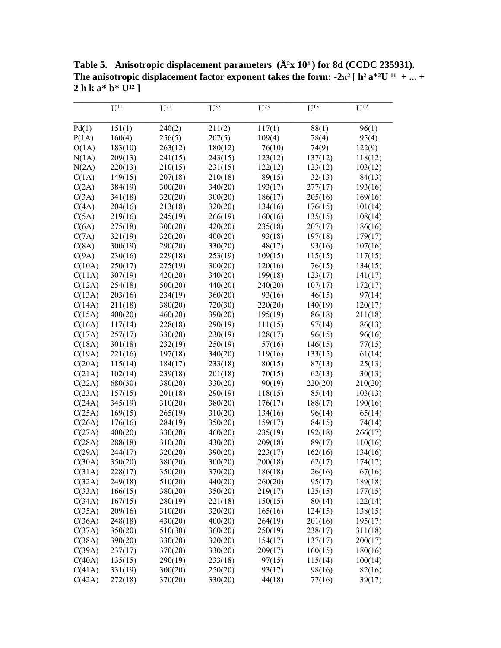Table 5. Anisotropic displacement parameters  $(\AA^2x 10^4)$  for 8d (CCDC 235931). The anisotropic displacement factor exponent takes the form:  $-2\pi^2$  [ h<sup>2</sup>  $a^{*2}U^{11} + ...$  +  $2 h k a^* b^* U^{12}$ 

| 240(2)<br>211(2)<br>117(1)<br>96(1)<br>151(1)<br>88(1)<br>160(4)<br>207(5)<br>109(4)<br>78(4)<br>95(4)<br>256(5)<br>183(10)<br>263(12)<br>180(12)<br>74(9)<br>122(9)<br>76(10)<br>209(13)<br>241(15)<br>243(15)<br>123(12)<br>137(12)<br>118(12)<br>220(13)<br>210(15)<br>231(15)<br>122(12)<br>123(12)<br>103(12)<br>149(15)<br>207(18)<br>210(18)<br>89(15)<br>32(13)<br>384(19)<br>300(20)<br>340(20)<br>193(17)<br>277(17)<br>193(16)<br>320(20)<br>300(20)<br>205(16)<br>169(16)<br>341(18)<br>186(17)<br>204(16)<br>213(18)<br>320(20)<br>101(14)<br>C(4A)<br>134(16)<br>176(15)<br>C(5A)<br>219(16)<br>245(19)<br>266(19)<br>160(16)<br>135(15)<br>108(14)<br>275(18)<br>300(20)<br>420(20)<br>235(18)<br>207(17)<br>186(16)<br>C(6A)<br>321(19)<br>320(20)<br>400(20)<br>93(18)<br>197(18)<br>179(17)<br>C(7A)<br>300(19)<br>290(20)<br>330(20)<br>48(17)<br>93(16)<br>107(16)<br>C(8A)<br>230(16)<br>229(18)<br>253(19)<br>109(15)<br>115(15)<br>117(15)<br>C(9A)<br>250(17)<br>275(19)<br>300(20)<br>120(16)<br>134(15)<br>C(10A)<br>76(15)<br>307(19)<br>420(20)<br>340(20)<br>199(18)<br>123(17)<br>141(17)<br>C(11A)<br>254(18)<br>500(20)<br>440(20)<br>240(20)<br>107(17)<br>172(17)<br>C(12A)<br>203(16)<br>234(19)<br>360(20)<br>93(16)<br>97(14)<br>C(13A)<br>46(15)<br>380(20)<br>720(30)<br>220(20)<br>140(19)<br>120(17)<br>C(14A)<br>211(18)<br>400(20)<br>460(20)<br>390(20)<br>195(19)<br>86(18)<br>211(18)<br>C(15A)<br>228(18)<br>290(19)<br>97(14)<br>86(13)<br>C(16A)<br>117(14)<br>111(15)<br>330(20)<br>230(19)<br>128(17)<br>96(15)<br>96(16)<br>C(17A)<br>257(17)<br>C(18A)<br>232(19)<br>250(19)<br>57(16)<br>146(15)<br>301(18)<br>77(15)<br>197(18)<br>340(20)<br>119(16)<br>133(15)<br>61(14)<br>C(19A)<br>221(16)<br>184(17)<br>233(18)<br>80(15)<br>25(13)<br>C(20A)<br>115(14)<br>87(13)<br>239(18)<br>201(18)<br>70(15)<br>62(13)<br>30(13)<br>C(21A)<br>102(14)<br>C(22A)<br>680(30)<br>380(20)<br>330(20)<br>90(19)<br>220(20)<br>210(20)<br>C(23A)<br>201(18)<br>290(19)<br>118(15)<br>85(14)<br>103(13)<br>157(15)<br>C(24A)<br>310(20)<br>380(20)<br>188(17)<br>190(16)<br>345(19)<br>176(17)<br>265(19)<br>310(20)<br>65(14)<br>C(25A)<br>169(15)<br>134(16)<br>96(14)<br>284(19)<br>350(20)<br>159(17)<br>74(14)<br>C(26A)<br>176(16)<br>84(15)<br>330(20)<br>460(20)<br>235(19)<br>192(18)<br>266(17)<br>C(27A)<br>400(20)<br>C(28A)<br>288(18)<br>310(20)<br>430(20)<br>209(18)<br>89(17)<br>110(16)<br>C(29A)<br>320(20)<br>390(20)<br>223(17)<br>162(16)<br>134(16)<br>244(17)<br>C(30A)<br>350(20)<br>380(20)<br>300(20)<br>200(18)<br>62(17)<br>174(17)<br>C(31A)<br>228(17)<br>350(20)<br>370(20)<br>186(18)<br>26(16)<br>67(16)<br>C(32A)<br>440(20)<br>189(18)<br>249(18)<br>510(20)<br>260(20)<br>95(17)<br>C(33A)<br>166(15)<br>380(20)<br>350(20)<br>125(15)<br>219(17)<br>177(15)<br>C(34A)<br>280(19)<br>221(18)<br>150(15)<br>80(14)<br>122(14)<br>167(15)<br>C(35A)<br>209(16)<br>310(20)<br>320(20)<br>165(16)<br>124(15)<br>138(15)<br>C(36A)<br>248(18)<br>430(20)<br>400(20)<br>264(19)<br>201(16)<br>195(17)<br>360(20)<br>C(37A)<br>350(20)<br>510(30)<br>250(19)<br>238(17)<br>311(18)<br>C(38A)<br>390(20)<br>330(20)<br>320(20)<br>154(17)<br>137(17)<br>200(17)<br>C(39A)<br>237(17)<br>370(20)<br>330(20)<br>209(17)<br>160(15)<br>180(16)<br>C(40A)<br>135(15)<br>290(19)<br>233(18)<br>97(15)<br>115(14)<br>100(14)<br>C(41A)<br>331(19)<br>300(20)<br>250(20)<br>93(17)<br>98(16)<br>82(16) |        | $U^{11}$ | $U^{22}$ | $U^{33}$ | $U^{23}$ | $\overline{U^{13}}$ | $U^{12}$ |
|--------------------------------------------------------------------------------------------------------------------------------------------------------------------------------------------------------------------------------------------------------------------------------------------------------------------------------------------------------------------------------------------------------------------------------------------------------------------------------------------------------------------------------------------------------------------------------------------------------------------------------------------------------------------------------------------------------------------------------------------------------------------------------------------------------------------------------------------------------------------------------------------------------------------------------------------------------------------------------------------------------------------------------------------------------------------------------------------------------------------------------------------------------------------------------------------------------------------------------------------------------------------------------------------------------------------------------------------------------------------------------------------------------------------------------------------------------------------------------------------------------------------------------------------------------------------------------------------------------------------------------------------------------------------------------------------------------------------------------------------------------------------------------------------------------------------------------------------------------------------------------------------------------------------------------------------------------------------------------------------------------------------------------------------------------------------------------------------------------------------------------------------------------------------------------------------------------------------------------------------------------------------------------------------------------------------------------------------------------------------------------------------------------------------------------------------------------------------------------------------------------------------------------------------------------------------------------------------------------------------------------------------------------------------------------------------------------------------------------------------------------------------------------------------------------------------------------------------------------------------------------------------------------------------------------------------------------------------------------------------------------------------------------------------------------------------------------------------------------------------------------------------------------------------------------------------------------------------------------------------------------------------------------------------------------------------------------------------------------------------------------------------------------------------------------------------------------------------------|--------|----------|----------|----------|----------|---------------------|----------|
|                                                                                                                                                                                                                                                                                                                                                                                                                                                                                                                                                                                                                                                                                                                                                                                                                                                                                                                                                                                                                                                                                                                                                                                                                                                                                                                                                                                                                                                                                                                                                                                                                                                                                                                                                                                                                                                                                                                                                                                                                                                                                                                                                                                                                                                                                                                                                                                                                                                                                                                                                                                                                                                                                                                                                                                                                                                                                                                                                                                                                                                                                                                                                                                                                                                                                                                                                                                                                                                                          | Pd(1)  |          |          |          |          |                     |          |
|                                                                                                                                                                                                                                                                                                                                                                                                                                                                                                                                                                                                                                                                                                                                                                                                                                                                                                                                                                                                                                                                                                                                                                                                                                                                                                                                                                                                                                                                                                                                                                                                                                                                                                                                                                                                                                                                                                                                                                                                                                                                                                                                                                                                                                                                                                                                                                                                                                                                                                                                                                                                                                                                                                                                                                                                                                                                                                                                                                                                                                                                                                                                                                                                                                                                                                                                                                                                                                                                          | P(1A)  |          |          |          |          |                     |          |
|                                                                                                                                                                                                                                                                                                                                                                                                                                                                                                                                                                                                                                                                                                                                                                                                                                                                                                                                                                                                                                                                                                                                                                                                                                                                                                                                                                                                                                                                                                                                                                                                                                                                                                                                                                                                                                                                                                                                                                                                                                                                                                                                                                                                                                                                                                                                                                                                                                                                                                                                                                                                                                                                                                                                                                                                                                                                                                                                                                                                                                                                                                                                                                                                                                                                                                                                                                                                                                                                          | O(1A)  |          |          |          |          |                     |          |
|                                                                                                                                                                                                                                                                                                                                                                                                                                                                                                                                                                                                                                                                                                                                                                                                                                                                                                                                                                                                                                                                                                                                                                                                                                                                                                                                                                                                                                                                                                                                                                                                                                                                                                                                                                                                                                                                                                                                                                                                                                                                                                                                                                                                                                                                                                                                                                                                                                                                                                                                                                                                                                                                                                                                                                                                                                                                                                                                                                                                                                                                                                                                                                                                                                                                                                                                                                                                                                                                          | N(1A)  |          |          |          |          |                     |          |
|                                                                                                                                                                                                                                                                                                                                                                                                                                                                                                                                                                                                                                                                                                                                                                                                                                                                                                                                                                                                                                                                                                                                                                                                                                                                                                                                                                                                                                                                                                                                                                                                                                                                                                                                                                                                                                                                                                                                                                                                                                                                                                                                                                                                                                                                                                                                                                                                                                                                                                                                                                                                                                                                                                                                                                                                                                                                                                                                                                                                                                                                                                                                                                                                                                                                                                                                                                                                                                                                          | N(2A)  |          |          |          |          |                     |          |
|                                                                                                                                                                                                                                                                                                                                                                                                                                                                                                                                                                                                                                                                                                                                                                                                                                                                                                                                                                                                                                                                                                                                                                                                                                                                                                                                                                                                                                                                                                                                                                                                                                                                                                                                                                                                                                                                                                                                                                                                                                                                                                                                                                                                                                                                                                                                                                                                                                                                                                                                                                                                                                                                                                                                                                                                                                                                                                                                                                                                                                                                                                                                                                                                                                                                                                                                                                                                                                                                          | C(1A)  |          |          |          |          |                     | 84(13)   |
|                                                                                                                                                                                                                                                                                                                                                                                                                                                                                                                                                                                                                                                                                                                                                                                                                                                                                                                                                                                                                                                                                                                                                                                                                                                                                                                                                                                                                                                                                                                                                                                                                                                                                                                                                                                                                                                                                                                                                                                                                                                                                                                                                                                                                                                                                                                                                                                                                                                                                                                                                                                                                                                                                                                                                                                                                                                                                                                                                                                                                                                                                                                                                                                                                                                                                                                                                                                                                                                                          | C(2A)  |          |          |          |          |                     |          |
|                                                                                                                                                                                                                                                                                                                                                                                                                                                                                                                                                                                                                                                                                                                                                                                                                                                                                                                                                                                                                                                                                                                                                                                                                                                                                                                                                                                                                                                                                                                                                                                                                                                                                                                                                                                                                                                                                                                                                                                                                                                                                                                                                                                                                                                                                                                                                                                                                                                                                                                                                                                                                                                                                                                                                                                                                                                                                                                                                                                                                                                                                                                                                                                                                                                                                                                                                                                                                                                                          | C(3A)  |          |          |          |          |                     |          |
|                                                                                                                                                                                                                                                                                                                                                                                                                                                                                                                                                                                                                                                                                                                                                                                                                                                                                                                                                                                                                                                                                                                                                                                                                                                                                                                                                                                                                                                                                                                                                                                                                                                                                                                                                                                                                                                                                                                                                                                                                                                                                                                                                                                                                                                                                                                                                                                                                                                                                                                                                                                                                                                                                                                                                                                                                                                                                                                                                                                                                                                                                                                                                                                                                                                                                                                                                                                                                                                                          |        |          |          |          |          |                     |          |
|                                                                                                                                                                                                                                                                                                                                                                                                                                                                                                                                                                                                                                                                                                                                                                                                                                                                                                                                                                                                                                                                                                                                                                                                                                                                                                                                                                                                                                                                                                                                                                                                                                                                                                                                                                                                                                                                                                                                                                                                                                                                                                                                                                                                                                                                                                                                                                                                                                                                                                                                                                                                                                                                                                                                                                                                                                                                                                                                                                                                                                                                                                                                                                                                                                                                                                                                                                                                                                                                          |        |          |          |          |          |                     |          |
|                                                                                                                                                                                                                                                                                                                                                                                                                                                                                                                                                                                                                                                                                                                                                                                                                                                                                                                                                                                                                                                                                                                                                                                                                                                                                                                                                                                                                                                                                                                                                                                                                                                                                                                                                                                                                                                                                                                                                                                                                                                                                                                                                                                                                                                                                                                                                                                                                                                                                                                                                                                                                                                                                                                                                                                                                                                                                                                                                                                                                                                                                                                                                                                                                                                                                                                                                                                                                                                                          |        |          |          |          |          |                     |          |
|                                                                                                                                                                                                                                                                                                                                                                                                                                                                                                                                                                                                                                                                                                                                                                                                                                                                                                                                                                                                                                                                                                                                                                                                                                                                                                                                                                                                                                                                                                                                                                                                                                                                                                                                                                                                                                                                                                                                                                                                                                                                                                                                                                                                                                                                                                                                                                                                                                                                                                                                                                                                                                                                                                                                                                                                                                                                                                                                                                                                                                                                                                                                                                                                                                                                                                                                                                                                                                                                          |        |          |          |          |          |                     |          |
|                                                                                                                                                                                                                                                                                                                                                                                                                                                                                                                                                                                                                                                                                                                                                                                                                                                                                                                                                                                                                                                                                                                                                                                                                                                                                                                                                                                                                                                                                                                                                                                                                                                                                                                                                                                                                                                                                                                                                                                                                                                                                                                                                                                                                                                                                                                                                                                                                                                                                                                                                                                                                                                                                                                                                                                                                                                                                                                                                                                                                                                                                                                                                                                                                                                                                                                                                                                                                                                                          |        |          |          |          |          |                     |          |
|                                                                                                                                                                                                                                                                                                                                                                                                                                                                                                                                                                                                                                                                                                                                                                                                                                                                                                                                                                                                                                                                                                                                                                                                                                                                                                                                                                                                                                                                                                                                                                                                                                                                                                                                                                                                                                                                                                                                                                                                                                                                                                                                                                                                                                                                                                                                                                                                                                                                                                                                                                                                                                                                                                                                                                                                                                                                                                                                                                                                                                                                                                                                                                                                                                                                                                                                                                                                                                                                          |        |          |          |          |          |                     |          |
|                                                                                                                                                                                                                                                                                                                                                                                                                                                                                                                                                                                                                                                                                                                                                                                                                                                                                                                                                                                                                                                                                                                                                                                                                                                                                                                                                                                                                                                                                                                                                                                                                                                                                                                                                                                                                                                                                                                                                                                                                                                                                                                                                                                                                                                                                                                                                                                                                                                                                                                                                                                                                                                                                                                                                                                                                                                                                                                                                                                                                                                                                                                                                                                                                                                                                                                                                                                                                                                                          |        |          |          |          |          |                     |          |
|                                                                                                                                                                                                                                                                                                                                                                                                                                                                                                                                                                                                                                                                                                                                                                                                                                                                                                                                                                                                                                                                                                                                                                                                                                                                                                                                                                                                                                                                                                                                                                                                                                                                                                                                                                                                                                                                                                                                                                                                                                                                                                                                                                                                                                                                                                                                                                                                                                                                                                                                                                                                                                                                                                                                                                                                                                                                                                                                                                                                                                                                                                                                                                                                                                                                                                                                                                                                                                                                          |        |          |          |          |          |                     |          |
|                                                                                                                                                                                                                                                                                                                                                                                                                                                                                                                                                                                                                                                                                                                                                                                                                                                                                                                                                                                                                                                                                                                                                                                                                                                                                                                                                                                                                                                                                                                                                                                                                                                                                                                                                                                                                                                                                                                                                                                                                                                                                                                                                                                                                                                                                                                                                                                                                                                                                                                                                                                                                                                                                                                                                                                                                                                                                                                                                                                                                                                                                                                                                                                                                                                                                                                                                                                                                                                                          |        |          |          |          |          |                     |          |
|                                                                                                                                                                                                                                                                                                                                                                                                                                                                                                                                                                                                                                                                                                                                                                                                                                                                                                                                                                                                                                                                                                                                                                                                                                                                                                                                                                                                                                                                                                                                                                                                                                                                                                                                                                                                                                                                                                                                                                                                                                                                                                                                                                                                                                                                                                                                                                                                                                                                                                                                                                                                                                                                                                                                                                                                                                                                                                                                                                                                                                                                                                                                                                                                                                                                                                                                                                                                                                                                          |        |          |          |          |          |                     |          |
|                                                                                                                                                                                                                                                                                                                                                                                                                                                                                                                                                                                                                                                                                                                                                                                                                                                                                                                                                                                                                                                                                                                                                                                                                                                                                                                                                                                                                                                                                                                                                                                                                                                                                                                                                                                                                                                                                                                                                                                                                                                                                                                                                                                                                                                                                                                                                                                                                                                                                                                                                                                                                                                                                                                                                                                                                                                                                                                                                                                                                                                                                                                                                                                                                                                                                                                                                                                                                                                                          |        |          |          |          |          |                     |          |
|                                                                                                                                                                                                                                                                                                                                                                                                                                                                                                                                                                                                                                                                                                                                                                                                                                                                                                                                                                                                                                                                                                                                                                                                                                                                                                                                                                                                                                                                                                                                                                                                                                                                                                                                                                                                                                                                                                                                                                                                                                                                                                                                                                                                                                                                                                                                                                                                                                                                                                                                                                                                                                                                                                                                                                                                                                                                                                                                                                                                                                                                                                                                                                                                                                                                                                                                                                                                                                                                          |        |          |          |          |          |                     |          |
|                                                                                                                                                                                                                                                                                                                                                                                                                                                                                                                                                                                                                                                                                                                                                                                                                                                                                                                                                                                                                                                                                                                                                                                                                                                                                                                                                                                                                                                                                                                                                                                                                                                                                                                                                                                                                                                                                                                                                                                                                                                                                                                                                                                                                                                                                                                                                                                                                                                                                                                                                                                                                                                                                                                                                                                                                                                                                                                                                                                                                                                                                                                                                                                                                                                                                                                                                                                                                                                                          |        |          |          |          |          |                     |          |
|                                                                                                                                                                                                                                                                                                                                                                                                                                                                                                                                                                                                                                                                                                                                                                                                                                                                                                                                                                                                                                                                                                                                                                                                                                                                                                                                                                                                                                                                                                                                                                                                                                                                                                                                                                                                                                                                                                                                                                                                                                                                                                                                                                                                                                                                                                                                                                                                                                                                                                                                                                                                                                                                                                                                                                                                                                                                                                                                                                                                                                                                                                                                                                                                                                                                                                                                                                                                                                                                          |        |          |          |          |          |                     |          |
|                                                                                                                                                                                                                                                                                                                                                                                                                                                                                                                                                                                                                                                                                                                                                                                                                                                                                                                                                                                                                                                                                                                                                                                                                                                                                                                                                                                                                                                                                                                                                                                                                                                                                                                                                                                                                                                                                                                                                                                                                                                                                                                                                                                                                                                                                                                                                                                                                                                                                                                                                                                                                                                                                                                                                                                                                                                                                                                                                                                                                                                                                                                                                                                                                                                                                                                                                                                                                                                                          |        |          |          |          |          |                     |          |
|                                                                                                                                                                                                                                                                                                                                                                                                                                                                                                                                                                                                                                                                                                                                                                                                                                                                                                                                                                                                                                                                                                                                                                                                                                                                                                                                                                                                                                                                                                                                                                                                                                                                                                                                                                                                                                                                                                                                                                                                                                                                                                                                                                                                                                                                                                                                                                                                                                                                                                                                                                                                                                                                                                                                                                                                                                                                                                                                                                                                                                                                                                                                                                                                                                                                                                                                                                                                                                                                          |        |          |          |          |          |                     |          |
|                                                                                                                                                                                                                                                                                                                                                                                                                                                                                                                                                                                                                                                                                                                                                                                                                                                                                                                                                                                                                                                                                                                                                                                                                                                                                                                                                                                                                                                                                                                                                                                                                                                                                                                                                                                                                                                                                                                                                                                                                                                                                                                                                                                                                                                                                                                                                                                                                                                                                                                                                                                                                                                                                                                                                                                                                                                                                                                                                                                                                                                                                                                                                                                                                                                                                                                                                                                                                                                                          |        |          |          |          |          |                     |          |
|                                                                                                                                                                                                                                                                                                                                                                                                                                                                                                                                                                                                                                                                                                                                                                                                                                                                                                                                                                                                                                                                                                                                                                                                                                                                                                                                                                                                                                                                                                                                                                                                                                                                                                                                                                                                                                                                                                                                                                                                                                                                                                                                                                                                                                                                                                                                                                                                                                                                                                                                                                                                                                                                                                                                                                                                                                                                                                                                                                                                                                                                                                                                                                                                                                                                                                                                                                                                                                                                          |        |          |          |          |          |                     |          |
|                                                                                                                                                                                                                                                                                                                                                                                                                                                                                                                                                                                                                                                                                                                                                                                                                                                                                                                                                                                                                                                                                                                                                                                                                                                                                                                                                                                                                                                                                                                                                                                                                                                                                                                                                                                                                                                                                                                                                                                                                                                                                                                                                                                                                                                                                                                                                                                                                                                                                                                                                                                                                                                                                                                                                                                                                                                                                                                                                                                                                                                                                                                                                                                                                                                                                                                                                                                                                                                                          |        |          |          |          |          |                     |          |
|                                                                                                                                                                                                                                                                                                                                                                                                                                                                                                                                                                                                                                                                                                                                                                                                                                                                                                                                                                                                                                                                                                                                                                                                                                                                                                                                                                                                                                                                                                                                                                                                                                                                                                                                                                                                                                                                                                                                                                                                                                                                                                                                                                                                                                                                                                                                                                                                                                                                                                                                                                                                                                                                                                                                                                                                                                                                                                                                                                                                                                                                                                                                                                                                                                                                                                                                                                                                                                                                          |        |          |          |          |          |                     |          |
|                                                                                                                                                                                                                                                                                                                                                                                                                                                                                                                                                                                                                                                                                                                                                                                                                                                                                                                                                                                                                                                                                                                                                                                                                                                                                                                                                                                                                                                                                                                                                                                                                                                                                                                                                                                                                                                                                                                                                                                                                                                                                                                                                                                                                                                                                                                                                                                                                                                                                                                                                                                                                                                                                                                                                                                                                                                                                                                                                                                                                                                                                                                                                                                                                                                                                                                                                                                                                                                                          |        |          |          |          |          |                     |          |
|                                                                                                                                                                                                                                                                                                                                                                                                                                                                                                                                                                                                                                                                                                                                                                                                                                                                                                                                                                                                                                                                                                                                                                                                                                                                                                                                                                                                                                                                                                                                                                                                                                                                                                                                                                                                                                                                                                                                                                                                                                                                                                                                                                                                                                                                                                                                                                                                                                                                                                                                                                                                                                                                                                                                                                                                                                                                                                                                                                                                                                                                                                                                                                                                                                                                                                                                                                                                                                                                          |        |          |          |          |          |                     |          |
|                                                                                                                                                                                                                                                                                                                                                                                                                                                                                                                                                                                                                                                                                                                                                                                                                                                                                                                                                                                                                                                                                                                                                                                                                                                                                                                                                                                                                                                                                                                                                                                                                                                                                                                                                                                                                                                                                                                                                                                                                                                                                                                                                                                                                                                                                                                                                                                                                                                                                                                                                                                                                                                                                                                                                                                                                                                                                                                                                                                                                                                                                                                                                                                                                                                                                                                                                                                                                                                                          |        |          |          |          |          |                     |          |
|                                                                                                                                                                                                                                                                                                                                                                                                                                                                                                                                                                                                                                                                                                                                                                                                                                                                                                                                                                                                                                                                                                                                                                                                                                                                                                                                                                                                                                                                                                                                                                                                                                                                                                                                                                                                                                                                                                                                                                                                                                                                                                                                                                                                                                                                                                                                                                                                                                                                                                                                                                                                                                                                                                                                                                                                                                                                                                                                                                                                                                                                                                                                                                                                                                                                                                                                                                                                                                                                          |        |          |          |          |          |                     |          |
|                                                                                                                                                                                                                                                                                                                                                                                                                                                                                                                                                                                                                                                                                                                                                                                                                                                                                                                                                                                                                                                                                                                                                                                                                                                                                                                                                                                                                                                                                                                                                                                                                                                                                                                                                                                                                                                                                                                                                                                                                                                                                                                                                                                                                                                                                                                                                                                                                                                                                                                                                                                                                                                                                                                                                                                                                                                                                                                                                                                                                                                                                                                                                                                                                                                                                                                                                                                                                                                                          |        |          |          |          |          |                     |          |
|                                                                                                                                                                                                                                                                                                                                                                                                                                                                                                                                                                                                                                                                                                                                                                                                                                                                                                                                                                                                                                                                                                                                                                                                                                                                                                                                                                                                                                                                                                                                                                                                                                                                                                                                                                                                                                                                                                                                                                                                                                                                                                                                                                                                                                                                                                                                                                                                                                                                                                                                                                                                                                                                                                                                                                                                                                                                                                                                                                                                                                                                                                                                                                                                                                                                                                                                                                                                                                                                          |        |          |          |          |          |                     |          |
|                                                                                                                                                                                                                                                                                                                                                                                                                                                                                                                                                                                                                                                                                                                                                                                                                                                                                                                                                                                                                                                                                                                                                                                                                                                                                                                                                                                                                                                                                                                                                                                                                                                                                                                                                                                                                                                                                                                                                                                                                                                                                                                                                                                                                                                                                                                                                                                                                                                                                                                                                                                                                                                                                                                                                                                                                                                                                                                                                                                                                                                                                                                                                                                                                                                                                                                                                                                                                                                                          |        |          |          |          |          |                     |          |
|                                                                                                                                                                                                                                                                                                                                                                                                                                                                                                                                                                                                                                                                                                                                                                                                                                                                                                                                                                                                                                                                                                                                                                                                                                                                                                                                                                                                                                                                                                                                                                                                                                                                                                                                                                                                                                                                                                                                                                                                                                                                                                                                                                                                                                                                                                                                                                                                                                                                                                                                                                                                                                                                                                                                                                                                                                                                                                                                                                                                                                                                                                                                                                                                                                                                                                                                                                                                                                                                          |        |          |          |          |          |                     |          |
|                                                                                                                                                                                                                                                                                                                                                                                                                                                                                                                                                                                                                                                                                                                                                                                                                                                                                                                                                                                                                                                                                                                                                                                                                                                                                                                                                                                                                                                                                                                                                                                                                                                                                                                                                                                                                                                                                                                                                                                                                                                                                                                                                                                                                                                                                                                                                                                                                                                                                                                                                                                                                                                                                                                                                                                                                                                                                                                                                                                                                                                                                                                                                                                                                                                                                                                                                                                                                                                                          |        |          |          |          |          |                     |          |
|                                                                                                                                                                                                                                                                                                                                                                                                                                                                                                                                                                                                                                                                                                                                                                                                                                                                                                                                                                                                                                                                                                                                                                                                                                                                                                                                                                                                                                                                                                                                                                                                                                                                                                                                                                                                                                                                                                                                                                                                                                                                                                                                                                                                                                                                                                                                                                                                                                                                                                                                                                                                                                                                                                                                                                                                                                                                                                                                                                                                                                                                                                                                                                                                                                                                                                                                                                                                                                                                          |        |          |          |          |          |                     |          |
|                                                                                                                                                                                                                                                                                                                                                                                                                                                                                                                                                                                                                                                                                                                                                                                                                                                                                                                                                                                                                                                                                                                                                                                                                                                                                                                                                                                                                                                                                                                                                                                                                                                                                                                                                                                                                                                                                                                                                                                                                                                                                                                                                                                                                                                                                                                                                                                                                                                                                                                                                                                                                                                                                                                                                                                                                                                                                                                                                                                                                                                                                                                                                                                                                                                                                                                                                                                                                                                                          |        |          |          |          |          |                     |          |
|                                                                                                                                                                                                                                                                                                                                                                                                                                                                                                                                                                                                                                                                                                                                                                                                                                                                                                                                                                                                                                                                                                                                                                                                                                                                                                                                                                                                                                                                                                                                                                                                                                                                                                                                                                                                                                                                                                                                                                                                                                                                                                                                                                                                                                                                                                                                                                                                                                                                                                                                                                                                                                                                                                                                                                                                                                                                                                                                                                                                                                                                                                                                                                                                                                                                                                                                                                                                                                                                          |        |          |          |          |          |                     |          |
|                                                                                                                                                                                                                                                                                                                                                                                                                                                                                                                                                                                                                                                                                                                                                                                                                                                                                                                                                                                                                                                                                                                                                                                                                                                                                                                                                                                                                                                                                                                                                                                                                                                                                                                                                                                                                                                                                                                                                                                                                                                                                                                                                                                                                                                                                                                                                                                                                                                                                                                                                                                                                                                                                                                                                                                                                                                                                                                                                                                                                                                                                                                                                                                                                                                                                                                                                                                                                                                                          |        |          |          |          |          |                     |          |
|                                                                                                                                                                                                                                                                                                                                                                                                                                                                                                                                                                                                                                                                                                                                                                                                                                                                                                                                                                                                                                                                                                                                                                                                                                                                                                                                                                                                                                                                                                                                                                                                                                                                                                                                                                                                                                                                                                                                                                                                                                                                                                                                                                                                                                                                                                                                                                                                                                                                                                                                                                                                                                                                                                                                                                                                                                                                                                                                                                                                                                                                                                                                                                                                                                                                                                                                                                                                                                                                          |        |          |          |          |          |                     |          |
|                                                                                                                                                                                                                                                                                                                                                                                                                                                                                                                                                                                                                                                                                                                                                                                                                                                                                                                                                                                                                                                                                                                                                                                                                                                                                                                                                                                                                                                                                                                                                                                                                                                                                                                                                                                                                                                                                                                                                                                                                                                                                                                                                                                                                                                                                                                                                                                                                                                                                                                                                                                                                                                                                                                                                                                                                                                                                                                                                                                                                                                                                                                                                                                                                                                                                                                                                                                                                                                                          |        |          |          |          |          |                     |          |
|                                                                                                                                                                                                                                                                                                                                                                                                                                                                                                                                                                                                                                                                                                                                                                                                                                                                                                                                                                                                                                                                                                                                                                                                                                                                                                                                                                                                                                                                                                                                                                                                                                                                                                                                                                                                                                                                                                                                                                                                                                                                                                                                                                                                                                                                                                                                                                                                                                                                                                                                                                                                                                                                                                                                                                                                                                                                                                                                                                                                                                                                                                                                                                                                                                                                                                                                                                                                                                                                          |        |          |          |          |          |                     |          |
|                                                                                                                                                                                                                                                                                                                                                                                                                                                                                                                                                                                                                                                                                                                                                                                                                                                                                                                                                                                                                                                                                                                                                                                                                                                                                                                                                                                                                                                                                                                                                                                                                                                                                                                                                                                                                                                                                                                                                                                                                                                                                                                                                                                                                                                                                                                                                                                                                                                                                                                                                                                                                                                                                                                                                                                                                                                                                                                                                                                                                                                                                                                                                                                                                                                                                                                                                                                                                                                                          |        |          |          |          |          |                     |          |
|                                                                                                                                                                                                                                                                                                                                                                                                                                                                                                                                                                                                                                                                                                                                                                                                                                                                                                                                                                                                                                                                                                                                                                                                                                                                                                                                                                                                                                                                                                                                                                                                                                                                                                                                                                                                                                                                                                                                                                                                                                                                                                                                                                                                                                                                                                                                                                                                                                                                                                                                                                                                                                                                                                                                                                                                                                                                                                                                                                                                                                                                                                                                                                                                                                                                                                                                                                                                                                                                          |        |          |          |          |          |                     |          |
|                                                                                                                                                                                                                                                                                                                                                                                                                                                                                                                                                                                                                                                                                                                                                                                                                                                                                                                                                                                                                                                                                                                                                                                                                                                                                                                                                                                                                                                                                                                                                                                                                                                                                                                                                                                                                                                                                                                                                                                                                                                                                                                                                                                                                                                                                                                                                                                                                                                                                                                                                                                                                                                                                                                                                                                                                                                                                                                                                                                                                                                                                                                                                                                                                                                                                                                                                                                                                                                                          | C(42A) | 272(18)  | 370(20)  | 330(20)  | 44(18)   | 77(16)              | 39(17)   |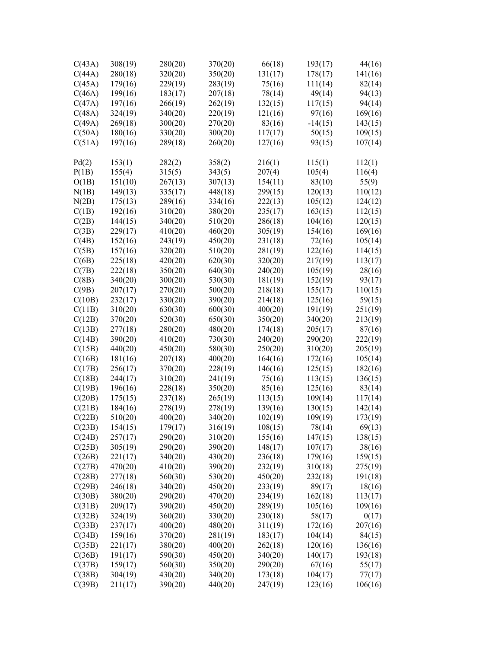| C(43A) | 308(19) | 280(20) | 370(20)            | 66(18)  | 193(17)   | 44(16)  |
|--------|---------|---------|--------------------|---------|-----------|---------|
| C(44A) | 280(18) | 320(20) | 350(20)            | 131(17) | 178(17)   | 141(16) |
| C(45A) | 179(16) | 229(19) | 283(19)            | 75(16)  | 111(14)   | 82(14)  |
| C(46A) | 199(16) | 183(17) | 207(18)            | 78(14)  | 49(14)    | 94(13)  |
| C(47A) | 197(16) | 266(19) | 262(19)            | 132(15) | 117(15)   | 94(14)  |
| C(48A) | 324(19) | 340(20) | 220(19)            | 121(16) | 97(16)    | 169(16) |
| C(49A) | 269(18) | 300(20) | 270(20)            | 83(16)  | $-14(15)$ | 143(15) |
| C(50A) | 180(16) | 330(20) | 300(20)            | 117(17) | 50(15)    | 109(15) |
| C(51A) | 197(16) | 289(18) | 260(20)            | 127(16) | 93(15)    | 107(14) |
|        |         |         |                    |         |           |         |
| Pd(2)  | 153(1)  | 282(2)  | 358(2)             | 216(1)  | 115(1)    | 112(1)  |
| P(1B)  | 155(4)  | 315(5)  | 343(5)             | 207(4)  | 105(4)    | 116(4)  |
| O(1B)  | 151(10) | 267(13) | 307(13)            | 154(11) | 83(10)    | 55(9)   |
| N(1B)  | 149(13) | 335(17) | 448(18)            | 299(15) | 120(13)   | 110(12) |
| N(2B)  | 175(13) | 289(16) | 334(16)            | 222(13) | 105(12)   | 124(12) |
| C(1B)  | 192(16) | 310(20) | 380(20)            | 235(17) | 163(15)   | 112(15) |
| C(2B)  | 144(15) | 340(20) | 510(20)            | 286(18) | 104(16)   | 120(15) |
| C(3B)  | 229(17) | 410(20) | 460(20)            | 305(19) | 154(16)   | 169(16) |
| C(4B)  | 152(16) | 243(19) | 450(20)            | 231(18) | 72(16)    | 105(14) |
| C(5B)  | 157(16) | 320(20) | 510(20)            | 281(19) | 122(16)   | 114(15) |
|        |         |         |                    |         |           |         |
| C(6B)  | 225(18) | 420(20) | 620(30)            | 320(20) | 217(19)   | 113(17) |
| C(7B)  | 222(18) | 350(20) | 640(30)            | 240(20) | 105(19)   | 28(16)  |
| C(8B)  | 340(20) | 300(20) | 530(30)            | 181(19) | 152(19)   | 93(17)  |
| C(9B)  | 207(17) | 270(20) | 500(20)            | 218(18) | 155(17)   | 110(15) |
| C(10B) | 232(17) | 330(20) | 390(20)            | 214(18) | 125(16)   | 59(15)  |
| C(11B) | 310(20) | 630(30) | 600(30)            | 400(20) | 191(19)   | 251(19) |
| C(12B) | 370(20) | 520(30) | 650(30)            | 350(20) | 340(20)   | 213(19) |
| C(13B) | 277(18) | 280(20) | 480(20)            | 174(18) | 205(17)   | 87(16)  |
| C(14B) | 390(20) | 410(20) | 730(30)            | 240(20) | 290(20)   | 222(19) |
| C(15B) | 440(20) | 450(20) | 580(30)            | 250(20) | 310(20)   | 205(19) |
| C(16B) | 181(16) | 207(18) | 400(20)            | 164(16) | 172(16)   | 105(14) |
| C(17B) | 256(17) | 370(20) | 228(19)            | 146(16) | 125(15)   | 182(16) |
| C(18B) | 244(17) | 310(20) | 241(19)            | 75(16)  | 113(15)   | 136(15) |
| C(19B) | 196(16) | 228(18) | 350(20)            | 85(16)  | 125(16)   | 83(14)  |
| C(20B) | 175(15) | 237(18) | 265(19)            | 113(15) | 109(14)   | 117(14) |
| C(21B) | 184(16) | 278(19) | 278(19)            | 139(16) | 130(15)   | 142(14) |
| C(22B) | 510(20) | 400(20) | 340(20)            | 102(19) | 109(19)   | 173(19) |
| C(23B) | 154(15) | 179(17) | 316(19)            | 108(15) | 78(14)    | 69(13)  |
| C(24B) | 257(17) | 290(20) | 310(20)            | 155(16) | 147(15)   | 138(15) |
| C(25B) | 305(19) | 290(20) | 390(20)            | 148(17) | 107(17)   | 38(16)  |
| C(26B) | 221(17) | 340(20) | 430(20)            | 236(18) | 179(16)   | 159(15) |
| C(27B) | 470(20) | 410(20) | 390(20)            | 232(19) | 310(18)   | 275(19) |
| C(28B) | 277(18) | 560(30) | 530(20)            | 450(20) | 232(18)   | 191(18) |
| C(29B) | 246(18) | 340(20) | 450(20)            | 233(19) | 89(17)    | 18(16)  |
| C(30B) | 380(20) | 290(20) | 470(20)            | 234(19) | 162(18)   | 113(17) |
| C(31B) | 209(17) | 390(20) | 450(20)            | 289(19) | 105(16)   | 109(16) |
| C(32B) | 324(19) | 360(20) | 330(20)            | 230(18) | 58(17)    | 0(17)   |
| C(33B) | 237(17) | 400(20) | 480(20)            | 311(19) | 172(16)   | 207(16) |
| C(34B) | 159(16) | 370(20) | 281(19)            | 183(17) | 104(14)   | 84(15)  |
| C(35B) | 221(17) | 380(20) | 400(20)            | 262(18) | 120(16)   | 136(16) |
| C(36B) | 191(17) | 590(30) | 450(20)            | 340(20) | 140(17)   | 193(18) |
| C(37B) | 159(17) | 560(30) | 350(20)            | 290(20) | 67(16)    | 55(17)  |
|        |         |         |                    |         | 104(17)   |         |
| C(38B) | 304(19) | 430(20) | 340(20)<br>440(20) | 173(18) |           | 77(17)  |
| C(39B) | 211(17) | 390(20) |                    | 247(19) | 123(16)   | 106(16) |